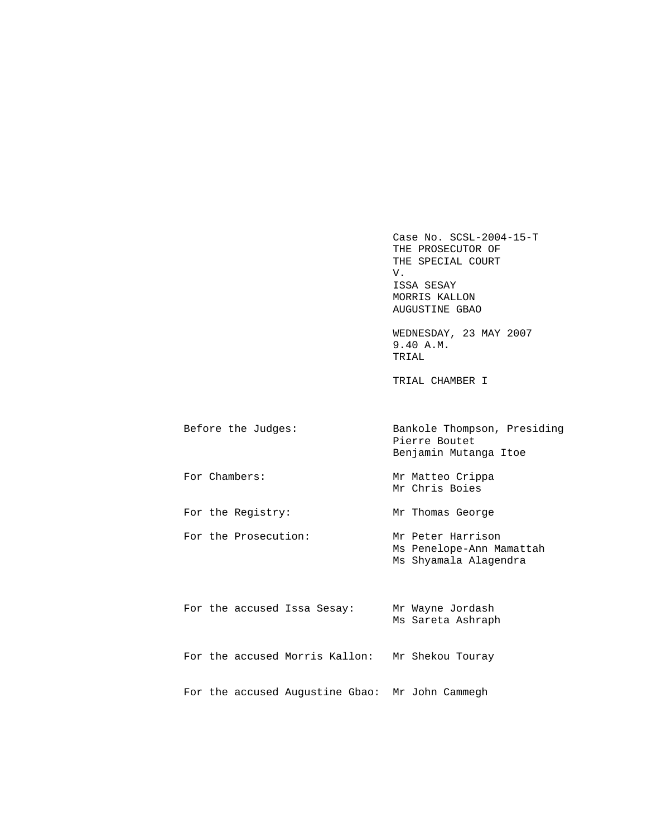Case No. SCSL-2004-15-T THE PROSECUTOR OF THE SPECIAL COURT<br>V. V. ISSA SESAY MORRIS KALLON AUGUSTINE GBAO

 WEDNESDAY, 23 MAY 2007 9.40 A.M. TRIAL

TRIAL CHAMBER I

| Before the Judges:   | Bankole Thompson, Presiding<br>Pierre Boutet<br>Benjamin Mutanga Itoe |
|----------------------|-----------------------------------------------------------------------|
| For Chambers:        | Mr Matteo Crippa<br>Mr Chris Boies                                    |
| For the Registry:    | Mr Thomas George                                                      |
| For the Prosecution: | Mr Peter Harrison                                                     |

 Ms Penelope-Ann Mamattah Ms Shyamala Alagendra

|  |  | For the accused Issa Sesay:                     | Mr Wayne Jordash<br>Ms Sareta Ashraph |
|--|--|-------------------------------------------------|---------------------------------------|
|  |  | For the accused Morris Kallon:                  | Mr Shekou Touray                      |
|  |  | For the accused Augustine Gbao: Mr John Cammegh |                                       |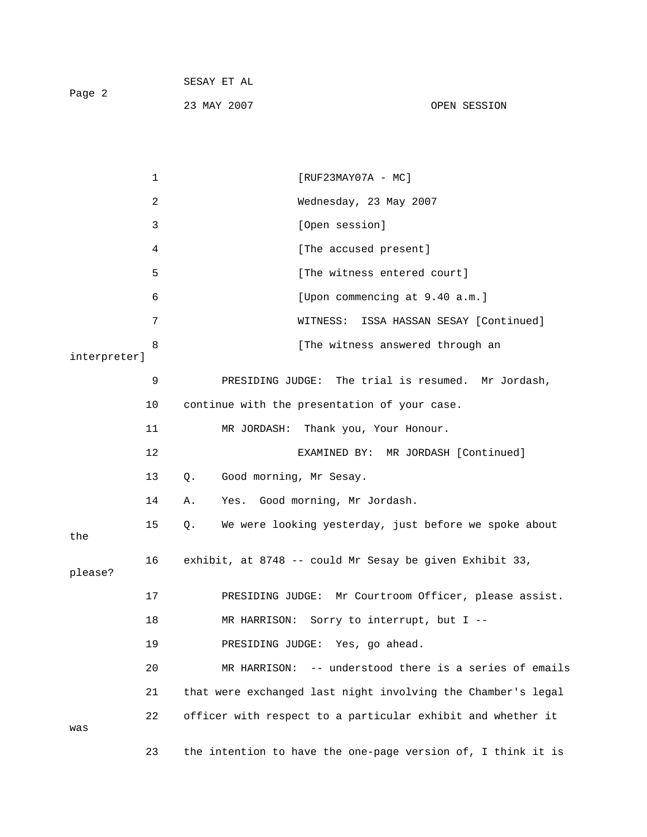| Page 2 | SESAY ET AL |              |
|--------|-------------|--------------|
|        | 23 MAY 2007 | OPEN SESSION |

|              | $\mathbf 1$ | $[RUF23MAY07A - MC]$                                         |
|--------------|-------------|--------------------------------------------------------------|
|              | 2           | Wednesday, 23 May 2007                                       |
|              | 3           | [Open session]                                               |
|              | 4           | [The accused present]                                        |
|              | 5           | [The witness entered court]                                  |
|              | 6           | [Upon commencing at 9.40 a.m.]                               |
|              | 7           | ISSA HASSAN SESAY [Continued]<br>WITNESS:                    |
| interpreter] | 8           | [The witness answered through an                             |
|              | 9           | PRESIDING JUDGE: The trial is resumed. Mr Jordash,           |
|              | 10          | continue with the presentation of your case.                 |
|              | 11          | MR JORDASH: Thank you, Your Honour.                          |
|              | 12          | EXAMINED BY: MR JORDASH [Continued]                          |
|              | 13          | Good morning, Mr Sesay.<br>$Q$ .                             |
|              | 14          | Yes. Good morning, Mr Jordash.<br>Α.                         |
| the          | 15          | We were looking yesterday, just before we spoke about<br>Q.  |
| please?      | 16          | exhibit, at 8748 -- could Mr Sesay be given Exhibit 33,      |
|              | 17          | PRESIDING JUDGE: Mr Courtroom Officer, please assist.        |
|              | 18          | MR HARRISON: Sorry to interrupt, but I --                    |
|              | 19          | PRESIDING JUDGE: Yes, go ahead.                              |
|              | 20          | -- understood there is a series of emails<br>MR HARRISON:    |
|              | 21          | that were exchanged last night involving the Chamber's legal |
| was          | 22          | officer with respect to a particular exhibit and whether it  |
|              | 23          | the intention to have the one-page version of, I think it is |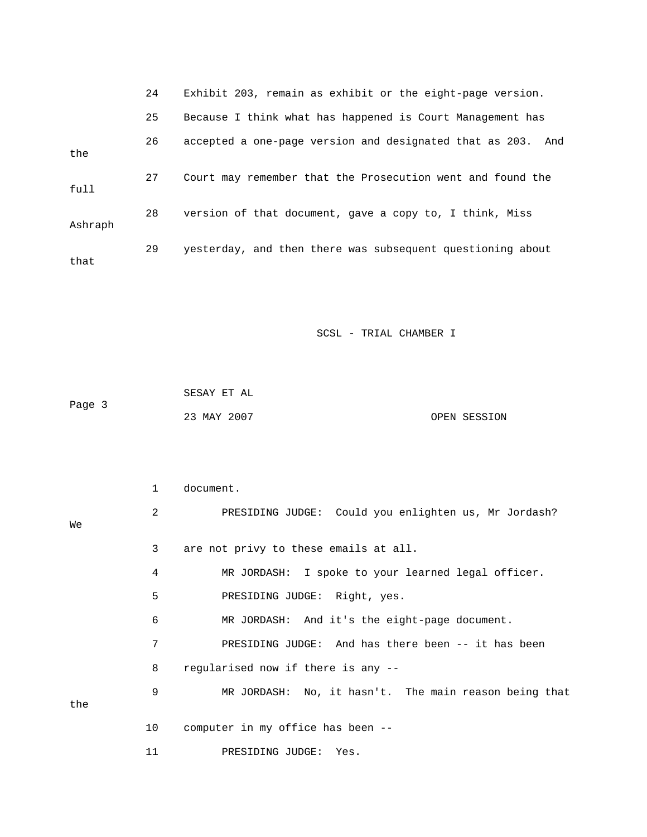|         | 24 | Exhibit 203, remain as exhibit or the eight-page version.      |
|---------|----|----------------------------------------------------------------|
|         | 25 | Because I think what has happened is Court Management has      |
| the     | 26 | accepted a one-page version and designated that as 203.<br>And |
| full    | 27 | Court may remember that the Prosecution went and found the     |
| Ashraph | 28 | version of that document, gave a copy to, I think, Miss        |
| that    | 29 | yesterday, and then there was subsequent questioning about     |

| Page 3 | SESAY ET AL |              |
|--------|-------------|--------------|
|        | 23 MAY 2007 | OPEN SESSION |

|     | $\mathbf{1}$ | document.                                             |
|-----|--------------|-------------------------------------------------------|
| We  | 2            | PRESIDING JUDGE: Could you enlighten us, Mr Jordash?  |
|     | 3            | are not privy to these emails at all.                 |
|     | 4            | MR JORDASH: I spoke to your learned legal officer.    |
|     | 5            | PRESIDING JUDGE: Right, yes.                          |
|     | 6            | MR JORDASH: And it's the eight-page document.         |
|     | 7            | PRESIDING JUDGE: And has there been -- it has been    |
|     | 8            | regularised now if there is any --                    |
| the | 9            | MR JORDASH: No, it hasn't. The main reason being that |
|     | 10           | computer in my office has been --                     |
|     | 11           | PRESIDING JUDGE: Yes.                                 |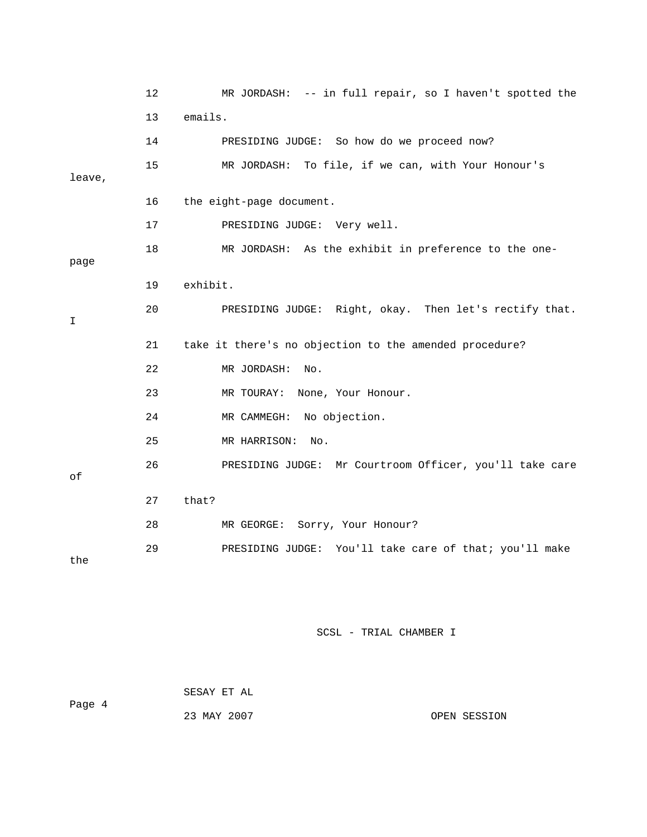|        | 12 | MR JORDASH: -- in full repair, so I haven't spotted the |
|--------|----|---------------------------------------------------------|
|        | 13 | emails.                                                 |
|        | 14 | PRESIDING JUDGE: So how do we proceed now?              |
| leave, | 15 | MR JORDASH: To file, if we can, with Your Honour's      |
|        |    |                                                         |
|        | 16 | the eight-page document.                                |
|        | 17 | PRESIDING JUDGE: Very well.                             |
| page   | 18 | MR JORDASH: As the exhibit in preference to the one-    |
|        | 19 | exhibit.                                                |
| I      | 20 | PRESIDING JUDGE: Right, okay. Then let's rectify that.  |
|        | 21 | take it there's no objection to the amended procedure?  |
|        | 22 | MR JORDASH:<br>No.                                      |
|        | 23 | MR TOURAY:<br>None, Your Honour.                        |
|        | 24 | MR CAMMEGH: No objection.                               |
|        | 25 | MR HARRISON:<br>No.                                     |
| оf     | 26 | PRESIDING JUDGE: Mr Courtroom Officer, you'll take care |
|        |    |                                                         |
|        | 27 | that?                                                   |
|        | 28 | MR GEORGE:<br>Sorry, Your Honour?                       |
| the    | 29 | PRESIDING JUDGE: You'll take care of that; you'll make  |

|        | SESAY ET AL |  |
|--------|-------------|--|
| Page 4 |             |  |
|        | 23 MAY 2007 |  |

OPEN SESSION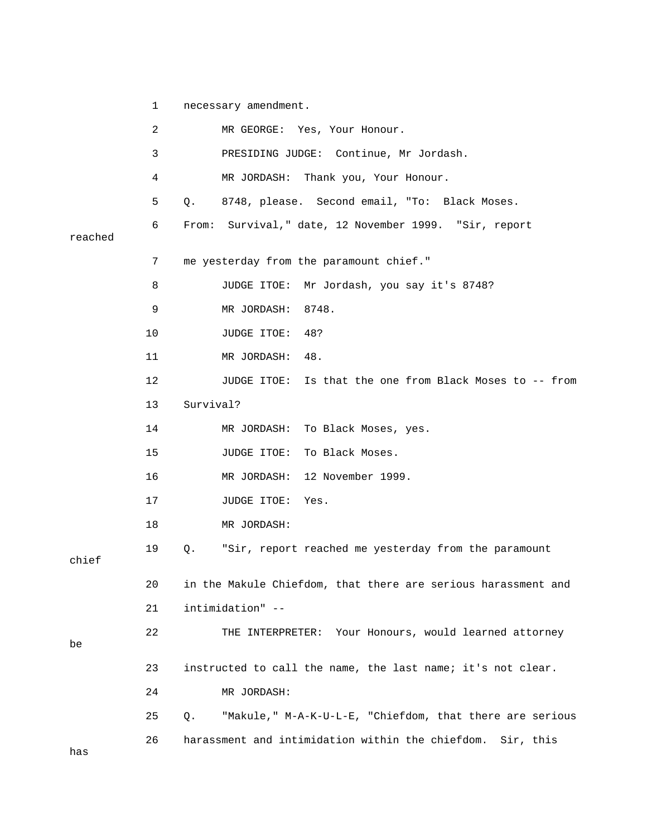1 necessary amendment. 2 MR GEORGE: Yes, Your Honour. 3 PRESIDING JUDGE: Continue, Mr Jordash. 4 MR JORDASH: Thank you, Your Honour. 5 Q. 8748, please. Second email, "To: Black Moses. 6 From: Survival," date, 12 November 1999. "Sir, report reached 7 me yesterday from the paramount chief." 8 JUDGE ITOE: Mr Jordash, you say it's 8748? 9 MR JORDASH: 8748. 10 JUDGE ITOE: 48? 11 MR JORDASH: 48. 12 JUDGE ITOE: Is that the one from Black Moses to -- from 13 Survival? 14 MR JORDASH: To Black Moses, yes. 15 JUDGE ITOE: To Black Moses. 16 MR JORDASH: 12 November 1999. 17 JUDGE ITOE: Yes. 18 MR JORDASH: 19 Q. "Sir, report reached me yesterday from the paramount chief 20 in the Makule Chiefdom, that there are serious harassment and 21 intimidation" -- 22 THE INTERPRETER: Your Honours, would learned attorney be 23 instructed to call the name, the last name; it's not clear. 24 MR JORDASH: 25 Q. "Makule," M-A-K-U-L-E, "Chiefdom, that there are serious 26 harassment and intimidation within the chiefdom. Sir, this has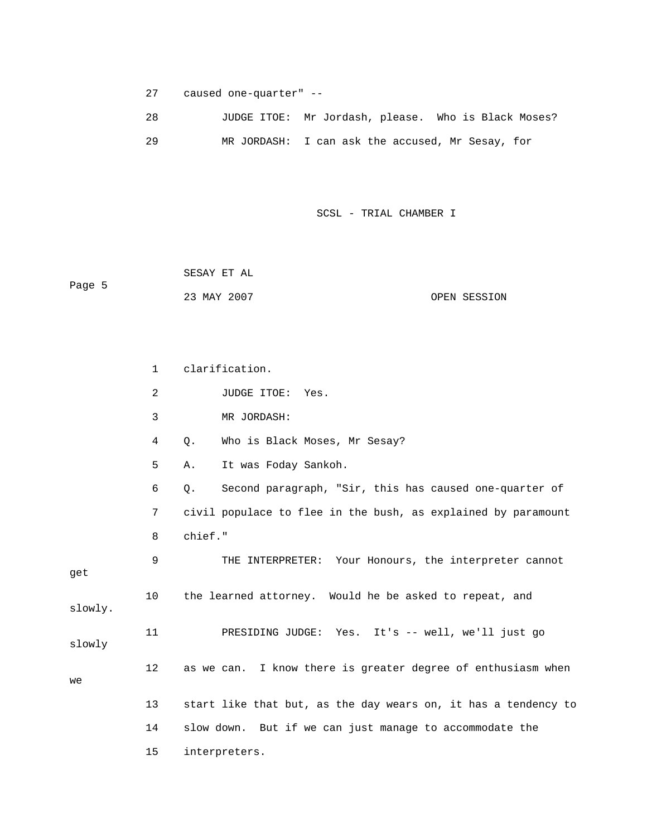27 caused one-quarter" --

| 28 | JUDGE ITOE: Mr Jordash, please. Who is Black Moses? |  |
|----|-----------------------------------------------------|--|
| 29 | MR JORDASH: I can ask the accused, Mr Sesay, for    |  |

SCSL - TRIAL CHAMBER I

 SESAY ET AL Page 5 23 MAY 2007 OPEN SESSION

 1 clarification. 2 JUDGE ITOE: Yes. 3 MR JORDASH: 4 Q. Who is Black Moses, Mr Sesay? 5 A. It was Foday Sankoh. 6 Q. Second paragraph, "Sir, this has caused one-quarter of 7 civil populace to flee in the bush, as explained by paramount 8 chief." 9 THE INTERPRETER: Your Honours, the interpreter cannot get 10 the learned attorney. Would he be asked to repeat, and slowly. 11 PRESIDING JUDGE: Yes. It's -- well, we'll just go slowly 12 as we can. I know there is greater degree of enthusiasm when we 13 start like that but, as the day wears on, it has a tendency to 14 slow down. But if we can just manage to accommodate the 15 interpreters.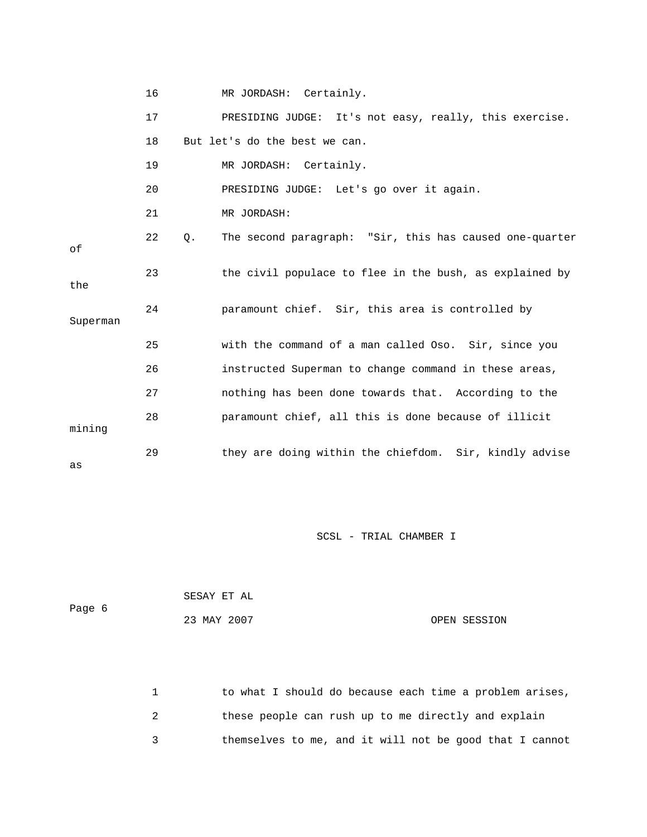|          | 16 |    | MR JORDASH: Certainly.                                  |
|----------|----|----|---------------------------------------------------------|
|          | 17 |    | PRESIDING JUDGE: It's not easy, really, this exercise.  |
|          | 18 |    | But let's do the best we can.                           |
|          | 19 |    | MR JORDASH: Certainly.                                  |
|          | 20 |    | PRESIDING JUDGE: Let's go over it again.                |
|          | 21 |    | MR JORDASH:                                             |
| оf       | 22 | Q. | The second paragraph: "Sir, this has caused one-quarter |
| the      | 23 |    | the civil populace to flee in the bush, as explained by |
| Superman | 24 |    | paramount chief. Sir, this area is controlled by        |
|          | 25 |    | with the command of a man called Oso. Sir, since you    |
|          | 26 |    | instructed Superman to change command in these areas,   |
|          | 27 |    | nothing has been done towards that. According to the    |
| mining   | 28 |    | paramount chief, all this is done because of illicit    |
| as       | 29 |    | they are doing within the chiefdom. Sir, kindly advise  |

| Page 6 | SESAY ET AL |              |
|--------|-------------|--------------|
|        | 23 MAY 2007 | OPEN SESSION |

1 to what I should do because each time a problem arises, 2 these people can rush up to me directly and explain 3 themselves to me, and it will not be good that I cannot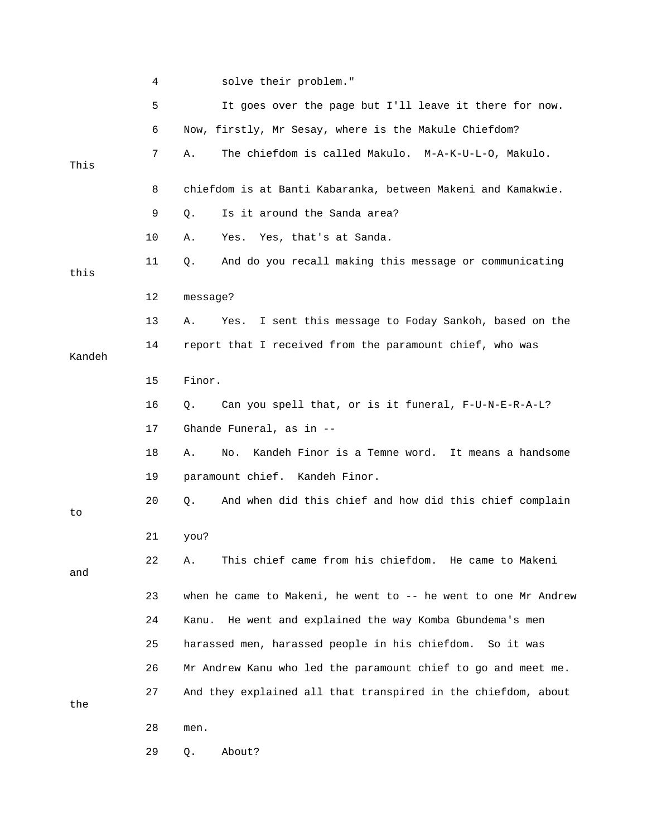|        | 4  | solve their problem."                                           |
|--------|----|-----------------------------------------------------------------|
|        | 5  | It goes over the page but I'll leave it there for now.          |
|        | 6  | Now, firstly, Mr Sesay, where is the Makule Chiefdom?           |
| This   | 7  | The chiefdom is called Makulo. M-A-K-U-L-O, Makulo.<br>Α.       |
|        | 8  | chiefdom is at Banti Kabaranka, between Makeni and Kamakwie.    |
|        | 9  | Is it around the Sanda area?<br>Q.                              |
|        | 10 | Yes. Yes, that's at Sanda.<br>Α.                                |
| this   | 11 | And do you recall making this message or communicating<br>Q.    |
|        | 12 | message?                                                        |
|        | 13 | I sent this message to Foday Sankoh, based on the<br>Α.<br>Yes. |
| Kandeh | 14 | report that I received from the paramount chief, who was        |
|        | 15 | Finor.                                                          |
|        | 16 | Can you spell that, or is it funeral, F-U-N-E-R-A-L?<br>Q.      |
|        | 17 | Ghande Funeral, as in --                                        |
|        | 18 | Kandeh Finor is a Temne word. It means a handsome<br>Α.<br>No.  |
|        | 19 | paramount chief. Kandeh Finor.                                  |
| to     | 20 | And when did this chief and how did this chief complain<br>Q.   |
|        | 21 | you?                                                            |
| and    | 22 | This chief came from his chiefdom. He came to Makeni<br>Α.      |
|        | 23 | when he came to Makeni, he went to -- he went to one Mr Andrew  |
|        | 24 | He went and explained the way Komba Gbundema's men<br>Kanu.     |
|        | 25 | harassed men, harassed people in his chiefdom.<br>So it was     |
|        | 26 | Mr Andrew Kanu who led the paramount chief to go and meet me.   |
| the    | 27 | And they explained all that transpired in the chiefdom, about   |
|        | 28 | men.                                                            |
|        | 29 | About?<br>Q.                                                    |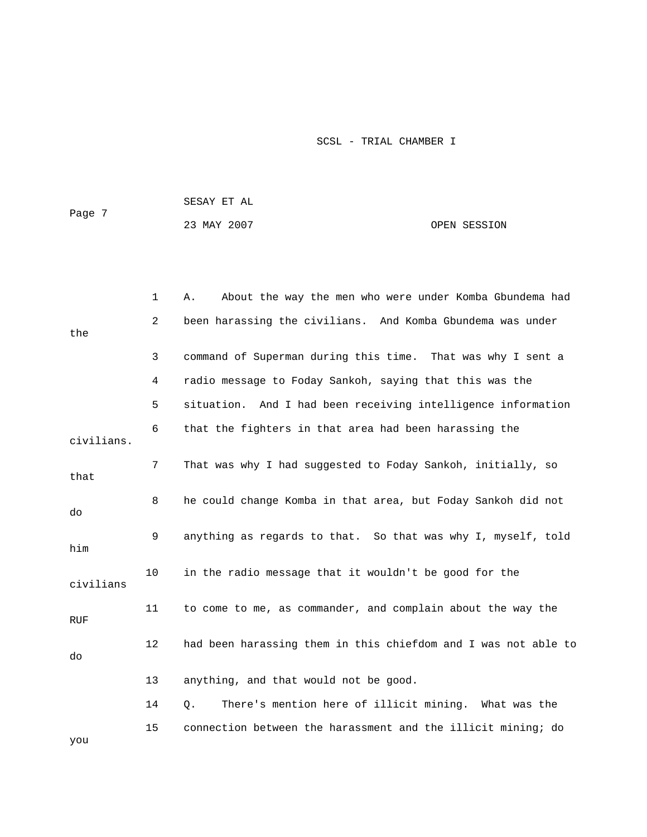|        | SESAY ET AL |              |
|--------|-------------|--------------|
| Page 7 |             |              |
|        | 23 MAY 2007 | OPEN SESSION |

|            | 1  | About the way the men who were under Komba Gbundema had<br>Α.  |
|------------|----|----------------------------------------------------------------|
| the        | 2  | been harassing the civilians. And Komba Gbundema was under     |
|            | 3  | command of Superman during this time. That was why I sent a    |
|            | 4  | radio message to Foday Sankoh, saying that this was the        |
|            | 5  | situation. And I had been receiving intelligence information   |
| civilians. | 6  | that the fighters in that area had been harassing the          |
| that       | 7  | That was why I had suggested to Foday Sankoh, initially, so    |
| do         | 8  | he could change Komba in that area, but Foday Sankoh did not   |
| him        | 9  | anything as regards to that. So that was why I, myself, told   |
| civilians  | 10 | in the radio message that it wouldn't be good for the          |
| <b>RUF</b> | 11 | to come to me, as commander, and complain about the way the    |
| do         | 12 | had been harassing them in this chiefdom and I was not able to |
|            | 13 | anything, and that would not be good.                          |
|            | 14 | There's mention here of illicit mining. What was the<br>Q.     |
| you        | 15 | connection between the harassment and the illicit mining; do   |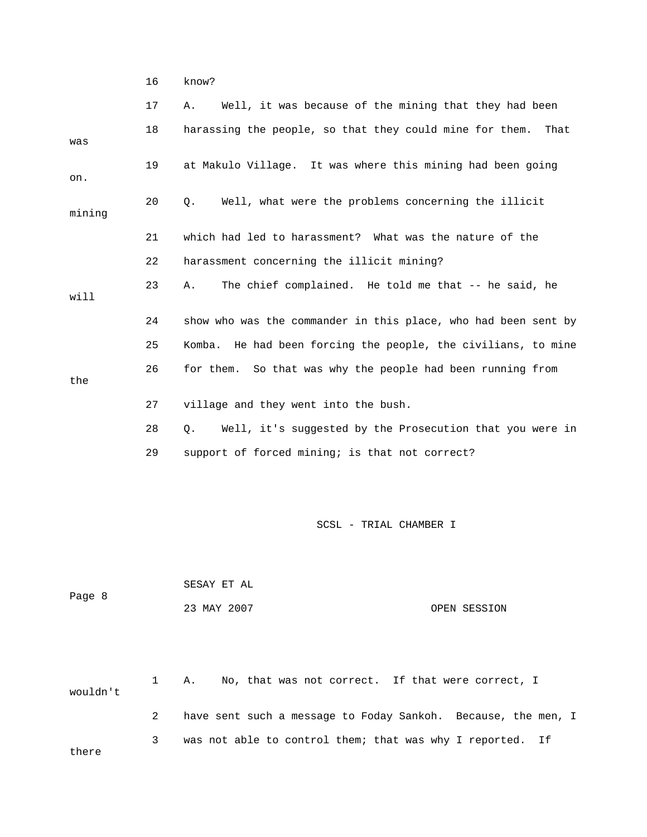16 know?

|        | 17 | Well, it was because of the mining that they had been<br>Α.     |
|--------|----|-----------------------------------------------------------------|
| was    | 18 | harassing the people, so that they could mine for them.<br>That |
| on.    | 19 | at Makulo Village. It was where this mining had been going      |
| mining | 20 | Well, what were the problems concerning the illicit<br>Q.       |
|        | 21 | which had led to harassment? What was the nature of the         |
|        | 22 | harassment concerning the illicit mining?                       |
| will   | 23 | The chief complained. He told me that -- he said, he<br>Α.      |
|        | 24 | show who was the commander in this place, who had been sent by  |
|        | 25 | Komba. He had been forcing the people, the civilians, to mine   |
| the    | 26 | for them. So that was why the people had been running from      |
|        | 27 | village and they went into the bush.                            |
|        | 28 | Well, it's suggested by the Prosecution that you were in<br>О.  |
|        | 29 | support of forced mining; is that not correct?                  |
|        |    |                                                                 |
|        |    | SCSL - TRIAL CHAMBER I                                          |

 SESAY ET AL Page 8 23 MAY 2007 OPEN SESSION

 1 A. No, that was not correct. If that were correct, I wouldn't 2 have sent such a message to Foday Sankoh. Because, the men, I 3 was not able to control them; that was why I reported. If there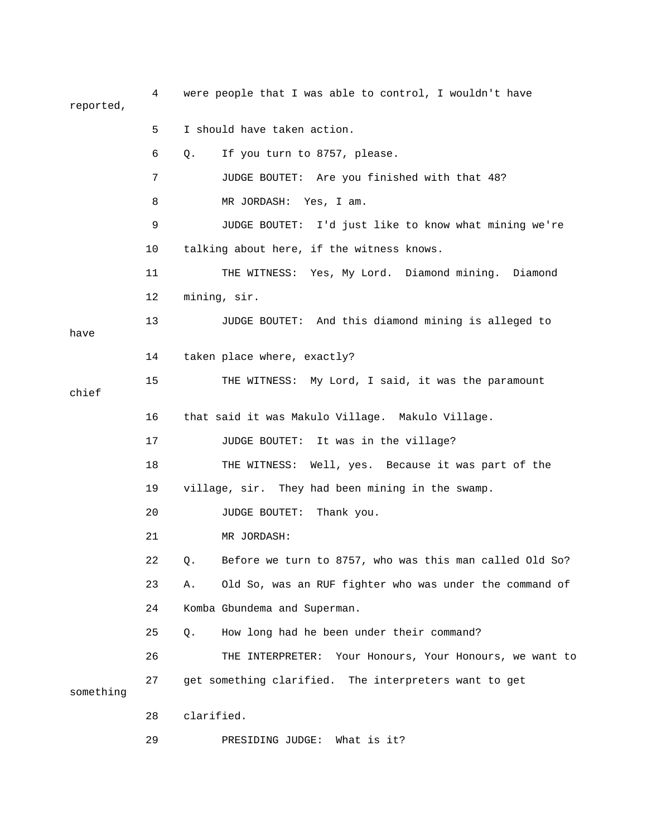4 were people that I was able to control, I wouldn't have reported,

 5 I should have taken action. 6 Q. If you turn to 8757, please. 7 JUDGE BOUTET: Are you finished with that 48? 8 MR JORDASH: Yes, I am. 9 JUDGE BOUTET: I'd just like to know what mining we're 10 talking about here, if the witness knows. 11 THE WITNESS: Yes, My Lord. Diamond mining. Diamond 12 mining, sir. 13 JUDGE BOUTET: And this diamond mining is alleged to have 14 taken place where, exactly? 15 THE WITNESS: My Lord, I said, it was the paramount chief 16 that said it was Makulo Village. Makulo Village. 17 JUDGE BOUTET: It was in the village? 18 THE WITNESS: Well, yes. Because it was part of the 19 village, sir. They had been mining in the swamp. 20 JUDGE BOUTET: Thank you. 21 MR JORDASH: 22 Q. Before we turn to 8757, who was this man called Old So? 23 A. Old So, was an RUF fighter who was under the command of 24 Komba Gbundema and Superman. 25 Q. How long had he been under their command? 26 THE INTERPRETER: Your Honours, Your Honours, we want to 27 get something clarified. The interpreters want to get something 28 clarified.

29 PRESIDING JUDGE: What is it?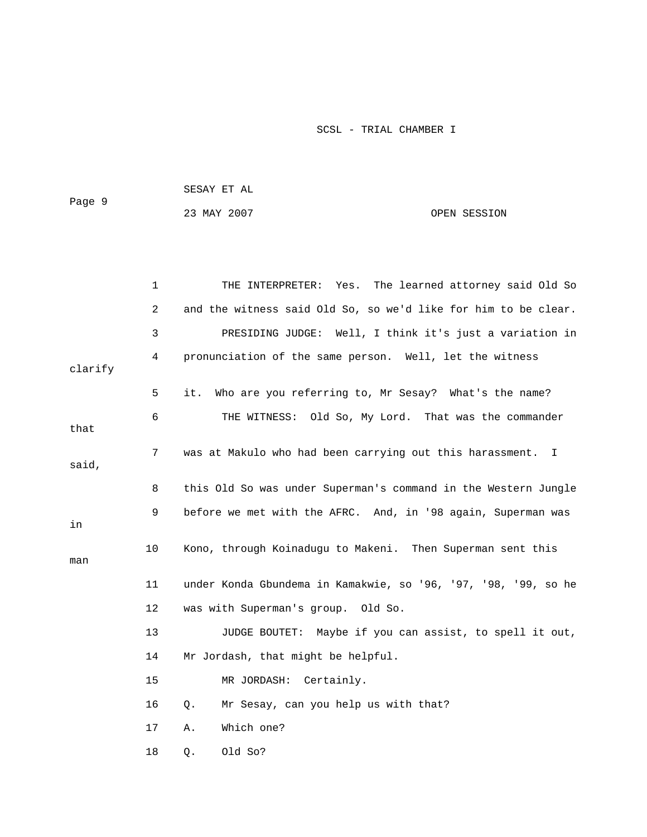| Page 9 | SESAY ET AL |              |
|--------|-------------|--------------|
|        | 23 MAY 2007 | OPEN SESSION |

|         | 1  | The learned attorney said Old So<br>THE INTERPRETER: Yes.      |
|---------|----|----------------------------------------------------------------|
|         | 2  | and the witness said Old So, so we'd like for him to be clear. |
|         | 3  | PRESIDING JUDGE: Well, I think it's just a variation in        |
|         | 4  | pronunciation of the same person. Well, let the witness        |
| clarify |    |                                                                |
|         | 5  | Who are you referring to, Mr Sesay? What's the name?<br>it.    |
| that    | 6  | THE WITNESS: Old So, My Lord. That was the commander           |
|         |    |                                                                |
| said,   | 7  | was at Makulo who had been carrying out this harassment. I     |
|         |    |                                                                |
|         | 8  | this Old So was under Superman's command in the Western Jungle |
|         | 9  | before we met with the AFRC. And, in '98 again, Superman was   |
| in      |    |                                                                |
| man     | 10 | Kono, through Koinadugu to Makeni. Then Superman sent this     |
|         |    |                                                                |
|         | 11 | under Konda Gbundema in Kamakwie, so '96, '97, '98, '99, so he |
|         | 12 | was with Superman's group. Old So.                             |
|         | 13 | JUDGE BOUTET: Maybe if you can assist, to spell it out,        |
|         | 14 | Mr Jordash, that might be helpful.                             |
|         | 15 | MR JORDASH: Certainly.                                         |
|         | 16 | Mr Sesay, can you help us with that?<br>Q.                     |
|         | 17 | Which one?<br>Α.                                               |
|         | 18 | Old So?<br>$Q$ .                                               |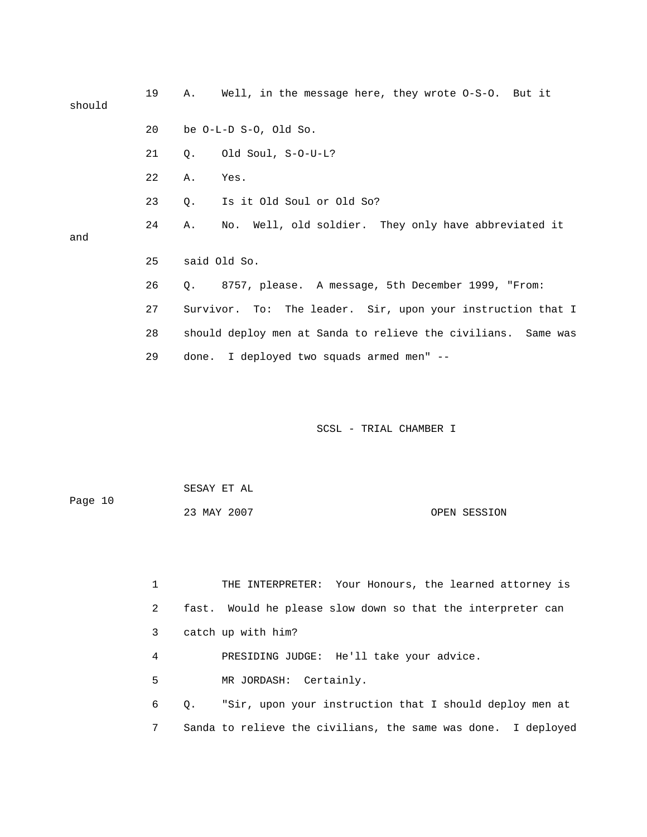| should | 19 | Well, in the message here, they wrote $0-S-0$ . But it<br>Α.    |
|--------|----|-----------------------------------------------------------------|
|        | 20 | be $O-L-D S-O$ , Old So.                                        |
|        | 21 | Old Soul, S-O-U-L?<br>0.                                        |
|        | 22 | Α.<br>Yes.                                                      |
|        | 23 | Is it Old Soul or Old So?<br>О.                                 |
| and    | 24 | No. Well, old soldier. They only have abbreviated it<br>Α.      |
|        |    |                                                                 |
|        | 25 | said Old So.                                                    |
|        | 26 | 8757, please. A message, 5th December 1999, "From:<br>$\circ$ . |
|        | 27 | Survivor. To: The leader. Sir, upon your instruction that I     |
|        | 28 | should deploy men at Sanda to relieve the civilians. Same was   |
|        | 29 | done. I deployed two squads armed men" --                       |
|        |    |                                                                 |
|        |    |                                                                 |

| Page 10 | SESAY ET AL |              |
|---------|-------------|--------------|
|         | 23 MAY 2007 | OPEN SESSION |

|   | THE INTERPRETER: Your Honours, the learned attorney is        |
|---|---------------------------------------------------------------|
| 2 | fast. Would he please slow down so that the interpreter can   |
| 3 | catch up with him?                                            |
| 4 | PRESIDING JUDGE: He'll take your advice.                      |
| 5 | MR JORDASH: Certainly.                                        |
| 6 | "Sir, upon your instruction that I should deploy men at<br>0. |
| 7 | Sanda to relieve the civilians, the same was done. I deployed |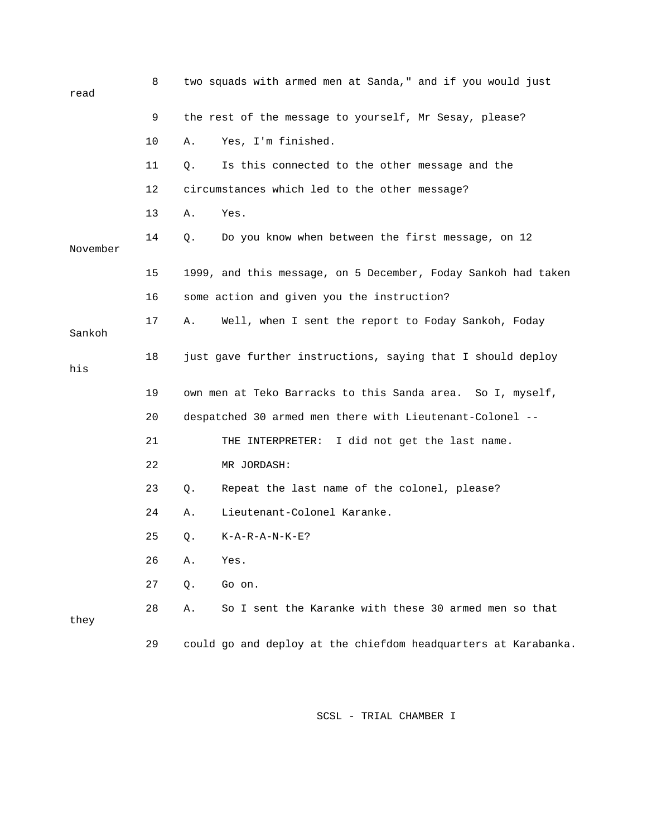| read     | 8  |    | two squads with armed men at Sanda," and if you would just     |
|----------|----|----|----------------------------------------------------------------|
|          | 9  |    | the rest of the message to yourself, Mr Sesay, please?         |
|          | 10 | Α. | Yes, I'm finished.                                             |
|          | 11 | Q. | Is this connected to the other message and the                 |
|          | 12 |    | circumstances which led to the other message?                  |
|          | 13 | Α. | Yes.                                                           |
| November | 14 | Q. | Do you know when between the first message, on 12              |
|          | 15 |    | 1999, and this message, on 5 December, Foday Sankoh had taken  |
|          | 16 |    | some action and given you the instruction?                     |
| Sankoh   | 17 | Α. | Well, when I sent the report to Foday Sankoh, Foday            |
| his      | 18 |    | just gave further instructions, saying that I should deploy    |
|          | 19 |    | own men at Teko Barracks to this Sanda area. So I, myself,     |
|          | 20 |    | despatched 30 armed men there with Lieutenant-Colonel --       |
|          | 21 |    | I did not get the last name.<br>THE INTERPRETER:               |
|          | 22 |    | MR JORDASH:                                                    |
|          | 23 | Q. | Repeat the last name of the colonel, please?                   |
|          | 24 | Α. | Lieutenant-Colonel Karanke.                                    |
|          | 25 | Q. | $K - A - R - A - N - K - E$ ?                                  |
|          | 26 | Α. | Yes.                                                           |
|          | 27 | Q. | Go on.                                                         |
| they     | 28 | Α. | So I sent the Karanke with these 30 armed men so that          |
|          | 29 |    | could go and deploy at the chiefdom headquarters at Karabanka. |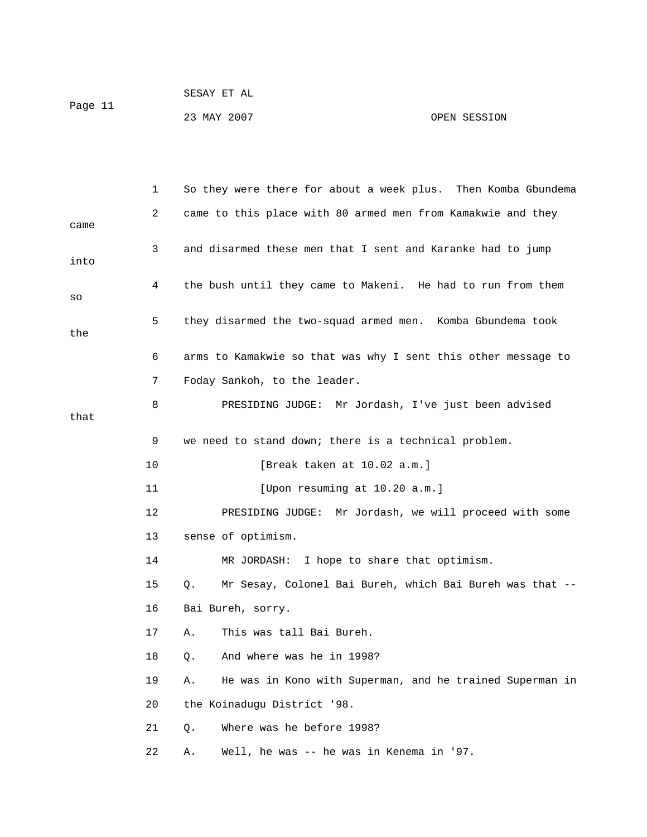| Page 11 | SESAY ET AL |              |
|---------|-------------|--------------|
|         | 23 MAY 2007 | OPEN SESSION |

|      | 1  | So they were there for about a week plus. Then Komba Gbundema  |
|------|----|----------------------------------------------------------------|
|      | 2  | came to this place with 80 armed men from Kamakwie and they    |
| came |    |                                                                |
| into | 3  | and disarmed these men that I sent and Karanke had to jump     |
|      | 4  | the bush until they came to Makeni. He had to run from them    |
| SO   |    |                                                                |
|      | 5  | they disarmed the two-squad armed men. Komba Gbundema took     |
| the  |    |                                                                |
|      | 6  | arms to Kamakwie so that was why I sent this other message to  |
|      | 7  | Foday Sankoh, to the leader.                                   |
|      | 8  | PRESIDING JUDGE: Mr Jordash, I've just been advised            |
| that |    |                                                                |
|      | 9  | we need to stand down; there is a technical problem.           |
|      | 10 | [Break taken at 10.02 a.m.]                                    |
|      | 11 | [Upon resuming at 10.20 a.m.]                                  |
|      | 12 | PRESIDING JUDGE: Mr Jordash, we will proceed with some         |
|      | 13 | sense of optimism.                                             |
|      | 14 | MR JORDASH:<br>I hope to share that optimism.                  |
|      | 15 |                                                                |
|      |    | Mr Sesay, Colonel Bai Bureh, which Bai Bureh was that --<br>Q. |
|      | 16 | Bai Bureh, sorry.                                              |
|      | 17 | This was tall Bai Bureh.<br>Α.                                 |
|      | 18 | And where was he in 1998?<br>Q.                                |
|      | 19 | He was in Kono with Superman, and he trained Superman in<br>Α. |
|      | 20 | the Koinadugu District '98.                                    |
|      | 21 | Where was he before 1998?<br>$Q$ .                             |
|      | 22 | Well, he was -- he was in Kenema in '97.<br>Α.                 |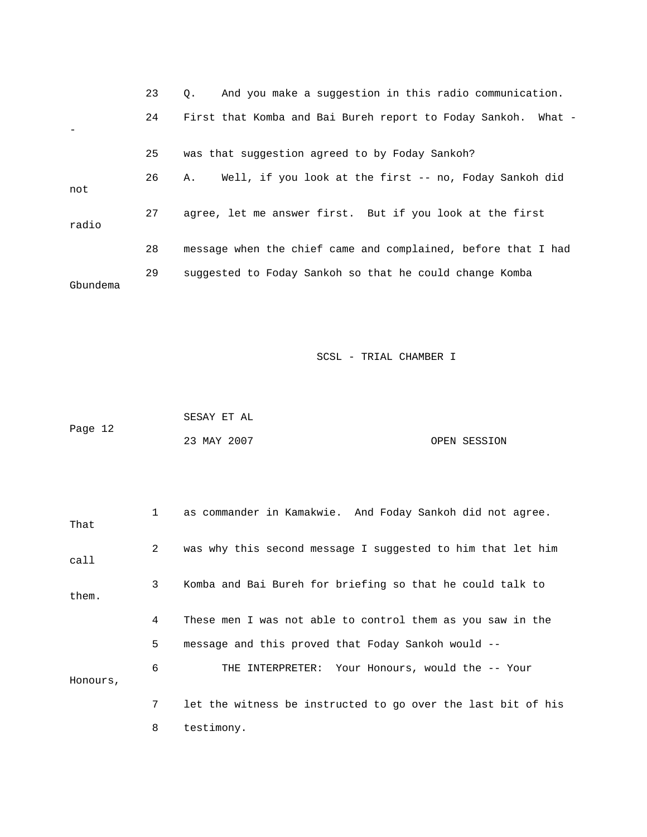|          | 23 | And you make a suggestion in this radio communication.<br>$\circ$ . |
|----------|----|---------------------------------------------------------------------|
|          | 24 | First that Komba and Bai Bureh report to Foday Sankoh. What -       |
|          | 25 | was that suggestion agreed to by Foday Sankoh?                      |
| not      | 26 | Well, if you look at the first -- no, Foday Sankoh did<br>Α.        |
| radio    | 27 | agree, let me answer first. But if you look at the first            |
|          | 28 | message when the chief came and complained, before that I had       |
| Gbundema | 29 | suggested to Foday Sankoh so that he could change Komba             |

|         | SESAY ET AL |              |
|---------|-------------|--------------|
| Page 12 |             |              |
|         | 23 MAY 2007 | OPEN SESSION |

| That     | $\mathbf{1}$ | as commander in Kamakwie. And Foday Sankoh did not agree.    |
|----------|--------------|--------------------------------------------------------------|
| call     | 2            | was why this second message I suggested to him that let him  |
| them.    | 3            | Komba and Bai Bureh for briefing so that he could talk to    |
|          | 4            | These men I was not able to control them as you saw in the   |
|          | 5            | message and this proved that Foday Sankoh would --           |
| Honours, | 6            | THE INTERPRETER: Your Honours, would the -- Your             |
|          | 7            | let the witness be instructed to go over the last bit of his |
|          | 8            | testimony.                                                   |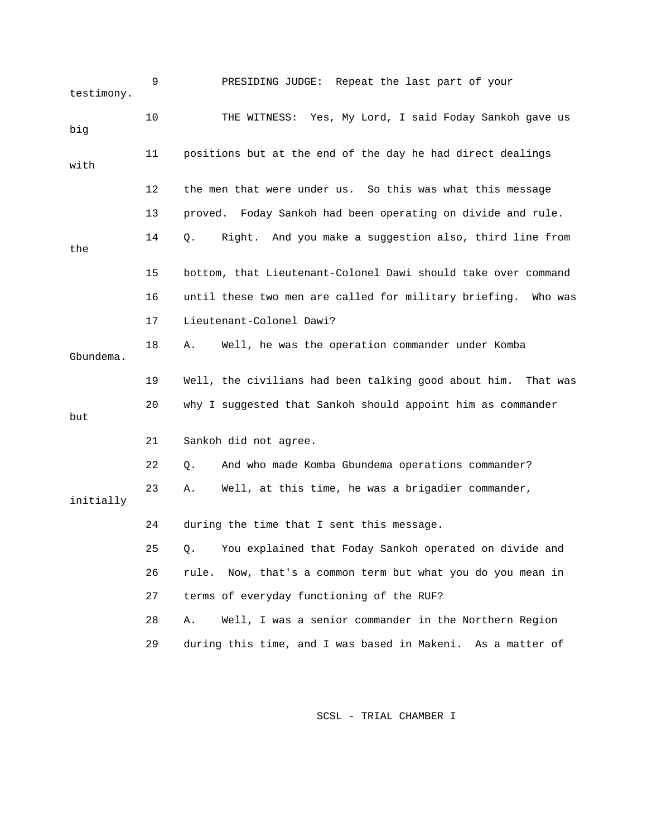| testimony. | 9  | PRESIDING JUDGE: Repeat the last part of your                    |
|------------|----|------------------------------------------------------------------|
| big        | 10 | THE WITNESS: Yes, My Lord, I said Foday Sankoh gave us           |
| with       | 11 | positions but at the end of the day he had direct dealings       |
|            | 12 | the men that were under us. So this was what this message        |
|            | 13 | proved. Foday Sankoh had been operating on divide and rule.      |
| the        | 14 | Right. And you make a suggestion also, third line from<br>Q.     |
|            | 15 | bottom, that Lieutenant-Colonel Dawi should take over command    |
|            | 16 | until these two men are called for military briefing.<br>Who was |
|            | 17 | Lieutenant-Colonel Dawi?                                         |
| Gbundema.  | 18 | Well, he was the operation commander under Komba<br>Α.           |
|            | 19 | Well, the civilians had been talking good about him. That was    |
| but        | 20 | why I suggested that Sankoh should appoint him as commander      |
|            | 21 | Sankoh did not agree.                                            |
|            | 22 | And who made Komba Gbundema operations commander?<br>Q.          |
| initially  | 23 | Well, at this time, he was a brigadier commander,<br>Α.          |
|            | 24 | during the time that I sent this message.                        |
|            | 25 | Q. You explained that Foday Sankoh operated on divide and        |
|            | 26 | Now, that's a common term but what you do you mean in<br>rule.   |
|            | 27 | terms of everyday functioning of the RUF?                        |
|            | 28 | Well, I was a senior commander in the Northern Region<br>Α.      |
|            | 29 | during this time, and I was based in Makeni. As a matter of      |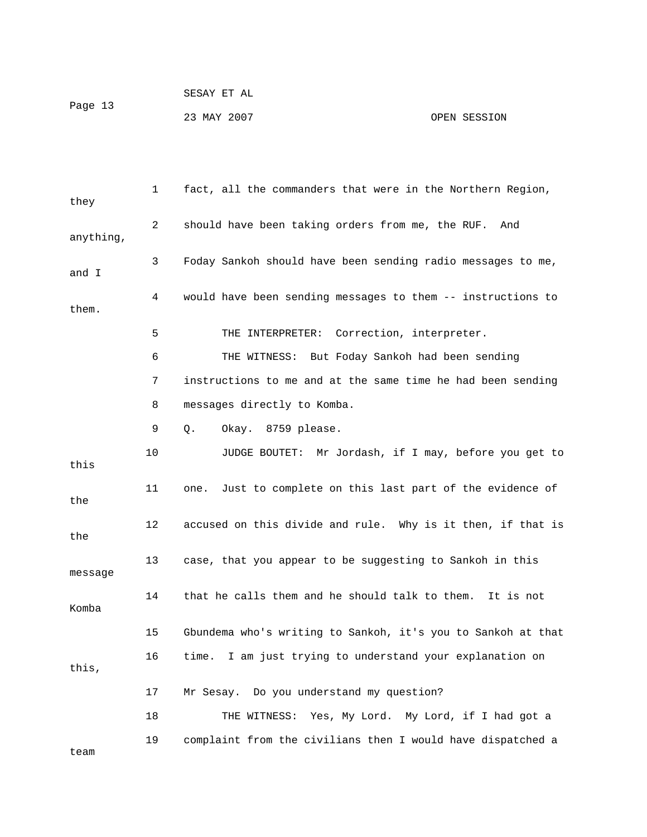|         | SESAY ET AL |              |
|---------|-------------|--------------|
| Page 13 |             |              |
|         | 23 MAY 2007 | OPEN SESSION |

 1 fact, all the commanders that were in the Northern Region, they 2 should have been taking orders from me, the RUF. And anything, 3 Foday Sankoh should have been sending radio messages to me, and I 4 would have been sending messages to them -- instructions to them. 5 THE INTERPRETER: Correction, interpreter. 6 THE WITNESS: But Foday Sankoh had been sending 7 instructions to me and at the same time he had been sending 8 messages directly to Komba. 9 Q. Okay. 8759 please. 10 JUDGE BOUTET: Mr Jordash, if I may, before you get to this 11 one. Just to complete on this last part of the evidence of the 12 accused on this divide and rule. Why is it then, if that is the 13 case, that you appear to be suggesting to Sankoh in this message 14 that he calls them and he should talk to them. It is not Komba 15 Gbundema who's writing to Sankoh, it's you to Sankoh at that 16 time. I am just trying to understand your explanation on this, 17 Mr Sesay. Do you understand my question? 18 THE WITNESS: Yes, My Lord. My Lord, if I had got a 19 complaint from the civilians then I would have dispatched a team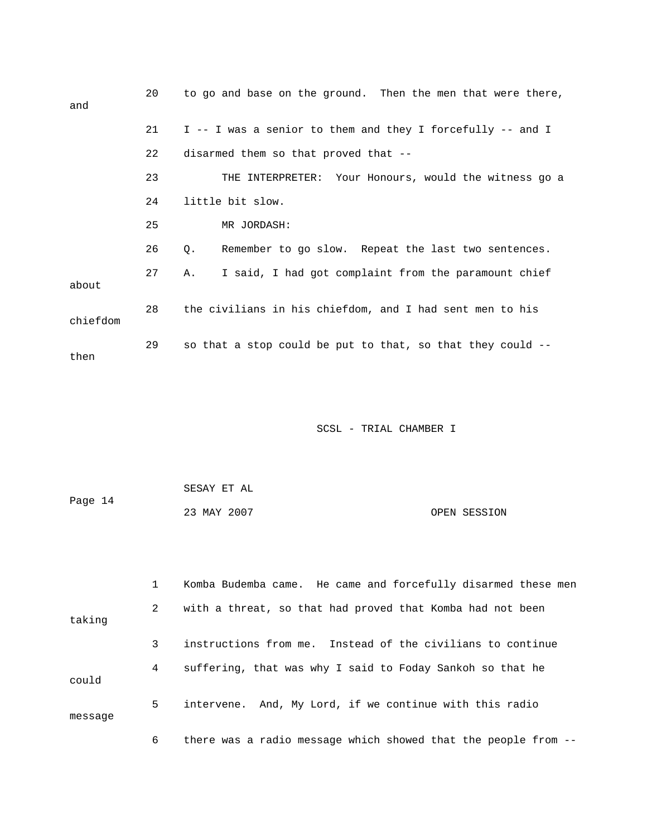| and      | 20 | to go and base on the ground. Then the men that were there, |
|----------|----|-------------------------------------------------------------|
|          | 21 | I -- I was a senior to them and they I forcefully -- and I  |
|          | 22 | disarmed them so that proved that --                        |
|          | 23 | THE INTERPRETER: Your Honours, would the witness go a       |
|          | 24 | little bit slow.                                            |
|          | 25 | MR JORDASH:                                                 |
|          | 26 | Remember to go slow. Repeat the last two sentences.<br>Q.   |
| about    | 27 | I said, I had got complaint from the paramount chief<br>A., |
| chiefdom | 28 | the civilians in his chiefdom, and I had sent men to his    |
| then     | 29 | so that a stop could be put to that, so that they could --  |

| Page 14 | SESAY ET AL |              |
|---------|-------------|--------------|
|         | 23 MAY 2007 | OPEN SESSION |

|         |              | Komba Budemba came. He came and forcefully disarmed these men  |
|---------|--------------|----------------------------------------------------------------|
| taking  | $\mathbf{2}$ | with a threat, so that had proved that Komba had not been      |
|         | 3            | instructions from me. Instead of the civilians to continue     |
| could   | 4            | suffering, that was why I said to Foday Sankoh so that he      |
| message | 5            | intervene. And, My Lord, if we continue with this radio        |
|         | 6            | there was a radio message which showed that the people from -- |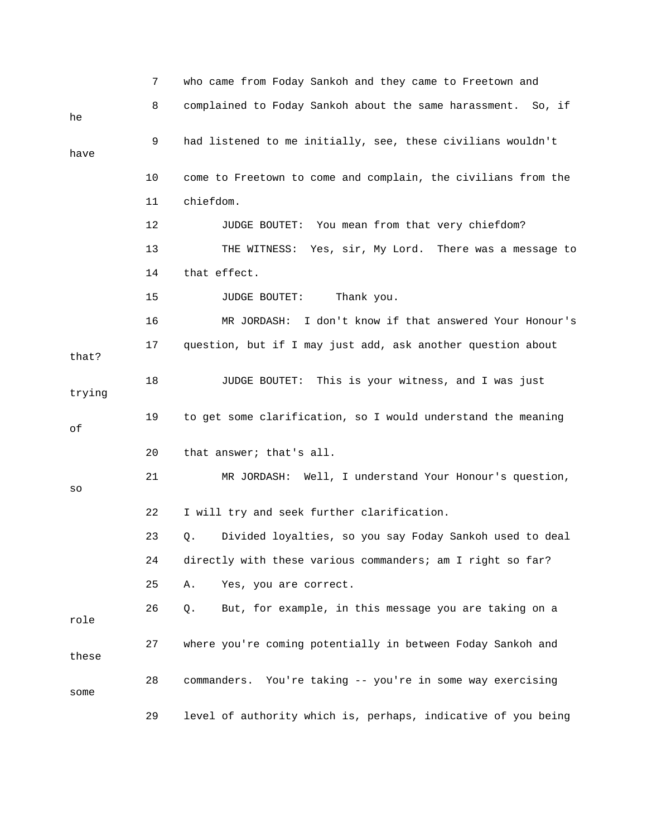|        | 7  | who came from Foday Sankoh and they came to Freetown and      |
|--------|----|---------------------------------------------------------------|
| he     | 8  | complained to Foday Sankoh about the same harassment. So, if  |
| have   | 9  | had listened to me initially, see, these civilians wouldn't   |
|        | 10 | come to Freetown to come and complain, the civilians from the |
|        | 11 | chiefdom.                                                     |
|        | 12 | JUDGE BOUTET: You mean from that very chiefdom?               |
|        | 13 | THE WITNESS:<br>Yes, sir, My Lord. There was a message to     |
|        | 14 | that effect.                                                  |
|        | 15 | Thank you.<br><b>JUDGE BOUTET:</b>                            |
|        | 16 | I don't know if that answered Your Honour's<br>MR JORDASH:    |
| that?  | 17 | question, but if I may just add, ask another question about   |
| trying | 18 | JUDGE BOUTET: This is your witness, and I was just            |
|        | 19 | to get some clarification, so I would understand the meaning  |
| οf     |    |                                                               |
|        | 20 | that answer; that's all.                                      |
| SO     | 21 | MR JORDASH: Well, I understand Your Honour's question,        |
|        | 22 | I will try and seek further clarification.                    |
|        | 23 | Divided loyalties, so you say Foday Sankoh used to deal<br>Q. |
|        | 24 | directly with these various commanders; am I right so far?    |
|        | 25 | Yes, you are correct.<br>Α.                                   |
| role   | 26 | But, for example, in this message you are taking on a<br>Q.   |
| these  | 27 | where you're coming potentially in between Foday Sankoh and   |
| some   | 28 | commanders. You're taking -- you're in some way exercising    |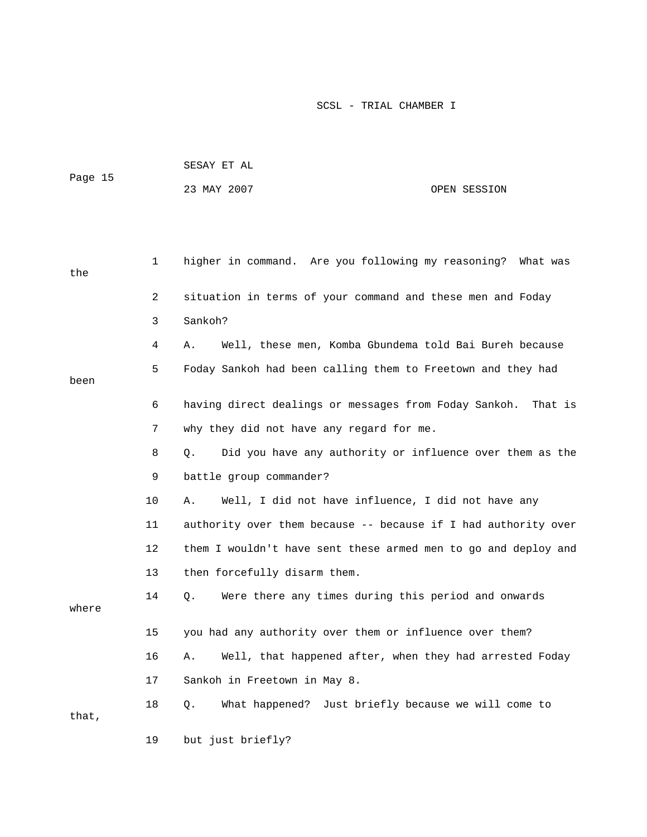| Page 15 |    | SESAY ET AL                                                    |         |  |  |
|---------|----|----------------------------------------------------------------|---------|--|--|
|         |    | 23 MAY 2007<br>OPEN SESSION                                    |         |  |  |
|         |    |                                                                |         |  |  |
|         |    |                                                                |         |  |  |
| the     | 1  | higher in command. Are you following my reasoning? What was    |         |  |  |
|         | 2  | situation in terms of your command and these men and Foday     |         |  |  |
|         | 3  | Sankoh?                                                        |         |  |  |
|         | 4  | Well, these men, Komba Gbundema told Bai Bureh because<br>Α.   |         |  |  |
|         | 5  | Foday Sankoh had been calling them to Freetown and they had    |         |  |  |
| been    |    |                                                                |         |  |  |
|         | 6  | having direct dealings or messages from Foday Sankoh.          | That is |  |  |
|         | 7  | why they did not have any regard for me.                       |         |  |  |
|         | 8  | Did you have any authority or influence over them as the<br>Q. |         |  |  |
|         | 9  | battle group commander?                                        |         |  |  |
|         | 10 | Well, I did not have influence, I did not have any<br>Α.       |         |  |  |
|         | 11 | authority over them because -- because if I had authority over |         |  |  |
|         | 12 | them I wouldn't have sent these armed men to go and deploy and |         |  |  |
|         | 13 | then forcefully disarm them.                                   |         |  |  |
|         | 14 | Were there any times during this period and onwards<br>Q.      |         |  |  |
| where   |    |                                                                |         |  |  |
|         | 15 | you had any authority over them or influence over them?        |         |  |  |
|         | 16 | Well, that happened after, when they had arrested Foday<br>Α.  |         |  |  |
|         | 17 | Sankoh in Freetown in May 8.                                   |         |  |  |
| that,   | 18 | What happened? Just briefly because we will come to<br>Q.      |         |  |  |
|         | 19 | but just briefly?                                              |         |  |  |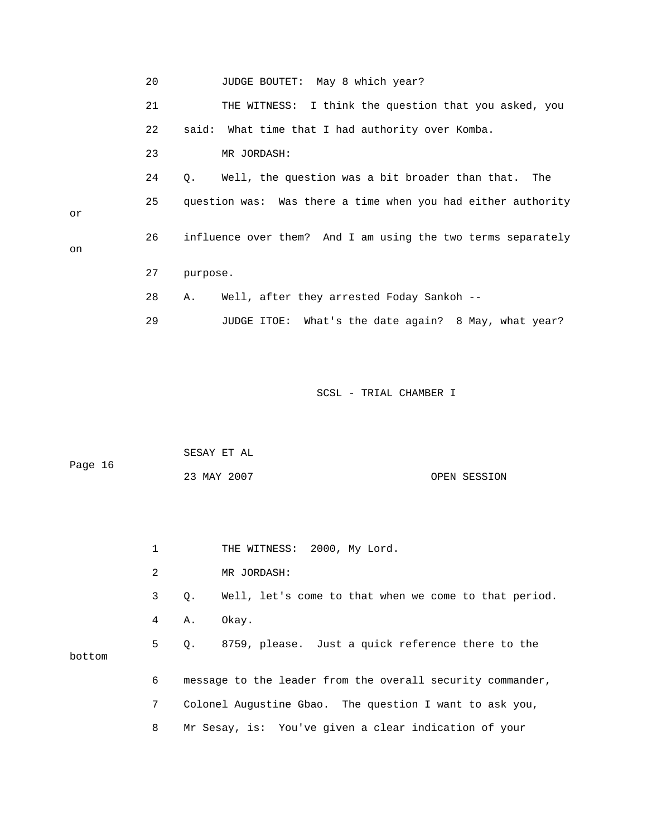|    | 20 | JUDGE BOUTET:<br>May 8 which year?                           |
|----|----|--------------------------------------------------------------|
|    | 21 | THE WITNESS: I think the question that you asked, you        |
|    | 22 | said: What time that I had authority over Komba.             |
|    | 23 | MR JORDASH:                                                  |
|    | 24 | Well, the question was a bit broader than that.<br>Q.<br>The |
| or | 25 | question was: Was there a time when you had either authority |
| on | 26 | influence over them? And I am using the two terms separately |
|    | 27 | purpose.                                                     |
|    | 28 | Well, after they arrested Foday Sankoh --<br>Α.              |
|    | 29 | What's the date again? 8 May, what year?<br>JUDGE ITOE:      |

| Page 16 | SESAY ET AL |              |
|---------|-------------|--------------|
|         | 23 MAY 2007 | OPEN SESSION |

|        | 1          |           | THE WITNESS: 2000, My Lord.                                |
|--------|------------|-----------|------------------------------------------------------------|
|        | 2          |           | MR JORDASH:                                                |
|        | 3          | $\circ$ . | Well, let's come to that when we come to that period.      |
|        | $4\degree$ | А.        | Okay.                                                      |
| bottom |            |           | 5 Q. 8759, please. Just a quick reference there to the     |
|        | 6          |           | message to the leader from the overall security commander, |
|        | 7          |           | Colonel Augustine Gbao. The question I want to ask you,    |
|        | 8          |           | Mr Sesay, is: You've given a clear indication of your      |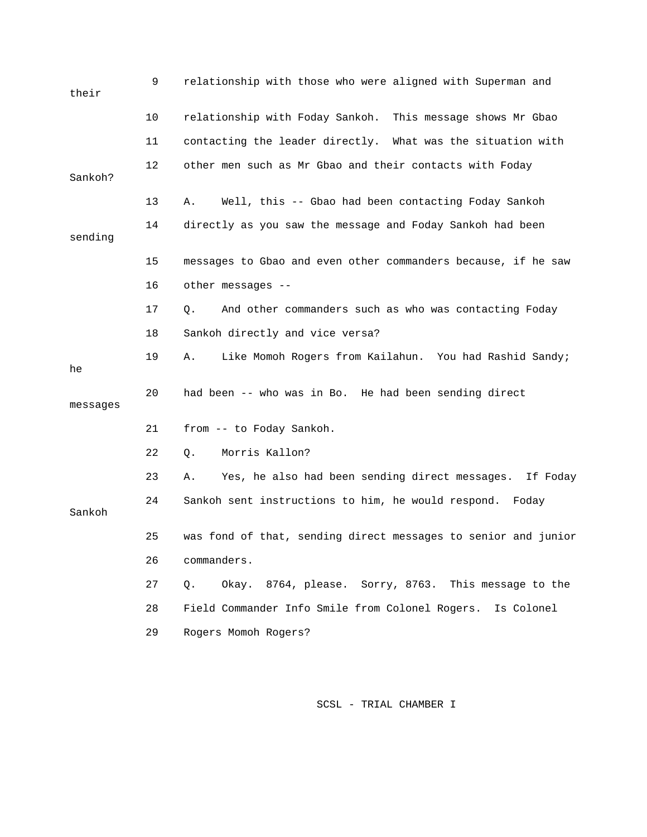| their    | 9  | relationship with those who were aligned with Superman and     |
|----------|----|----------------------------------------------------------------|
|          | 10 | relationship with Foday Sankoh. This message shows Mr Gbao     |
|          | 11 | contacting the leader directly. What was the situation with    |
| Sankoh?  | 12 | other men such as Mr Gbao and their contacts with Foday        |
|          | 13 | Well, this -- Gbao had been contacting Foday Sankoh<br>Α.      |
| sending  | 14 | directly as you saw the message and Foday Sankoh had been      |
|          | 15 | messages to Gbao and even other commanders because, if he saw  |
|          | 16 | other messages --                                              |
|          | 17 | And other commanders such as who was contacting Foday<br>Q.    |
|          | 18 | Sankoh directly and vice versa?                                |
| he       | 19 | Like Momoh Rogers from Kailahun. You had Rashid Sandy;<br>Α.   |
| messages | 20 | had been -- who was in Bo. He had been sending direct          |
|          | 21 | from -- to Foday Sankoh.                                       |
|          | 22 | Morris Kallon?<br>Q.                                           |
|          | 23 | Yes, he also had been sending direct messages. If Foday<br>Α.  |
| Sankoh   | 24 | Sankoh sent instructions to him, he would respond. Foday       |
|          | 25 | was fond of that, sending direct messages to senior and junior |
|          | 26 | commanders.                                                    |
|          | 27 | Okay. 8764, please. Sorry, 8763. This message to the<br>Q.     |
|          | 28 | Field Commander Info Smile from Colonel Rogers.<br>Is Colonel  |
|          | 29 | Rogers Momoh Rogers?                                           |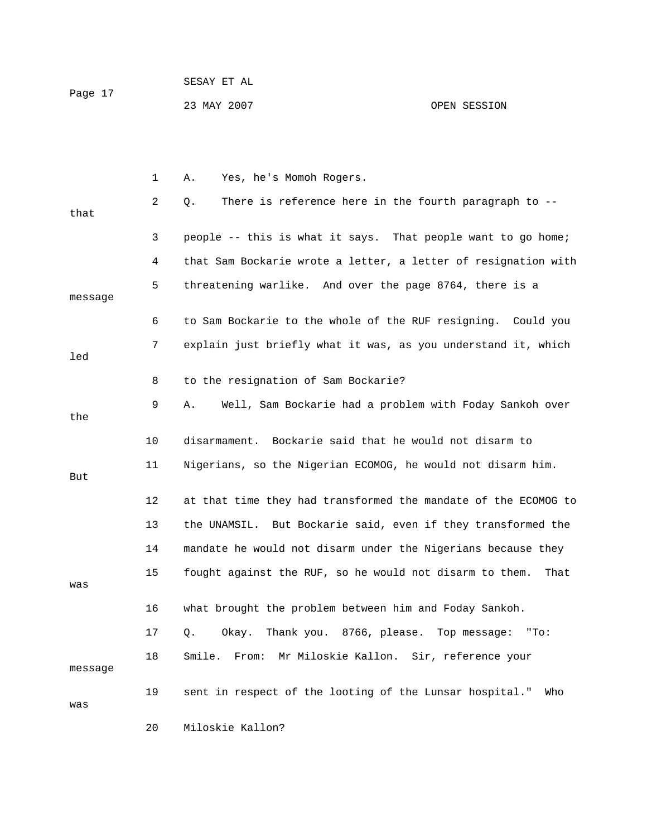| Page 17 | SESAY ET AL |              |
|---------|-------------|--------------|
|         | 23 MAY 2007 | OPEN SESSION |

|         | 1  | Yes, he's Momoh Rogers.<br>Α.                                   |
|---------|----|-----------------------------------------------------------------|
| that    | 2  | There is reference here in the fourth paragraph to --<br>Q.     |
|         | 3  | people -- this is what it says. That people want to go home;    |
|         | 4  | that Sam Bockarie wrote a letter, a letter of resignation with  |
| message | 5  | threatening warlike. And over the page 8764, there is a         |
|         | 6  | to Sam Bockarie to the whole of the RUF resigning. Could you    |
| led     | 7  | explain just briefly what it was, as you understand it, which   |
|         | 8  | to the resignation of Sam Bockarie?                             |
| the     | 9  | Well, Sam Bockarie had a problem with Foday Sankoh over<br>Α.   |
|         | 10 | Bockarie said that he would not disarm to<br>disarmament.       |
| But     | 11 | Nigerians, so the Nigerian ECOMOG, he would not disarm him.     |
|         | 12 | at that time they had transformed the mandate of the ECOMOG to  |
|         | 13 | the UNAMSIL. But Bockarie said, even if they transformed the    |
|         | 14 | mandate he would not disarm under the Nigerians because they    |
| was     | 15 | fought against the RUF, so he would not disarm to them.<br>That |
|         | 16 | what brought the problem between him and Foday Sankoh.          |
|         | 17 | Thank you. 8766, please.<br>Top message:<br>Q.<br>Okay.<br>"To: |
| message | 18 | Smile.<br>From: Mr Miloskie Kallon. Sir, reference your         |
| was     | 19 | sent in respect of the looting of the Lunsar hospital."<br>Who  |
|         | 20 | Miloskie Kallon?                                                |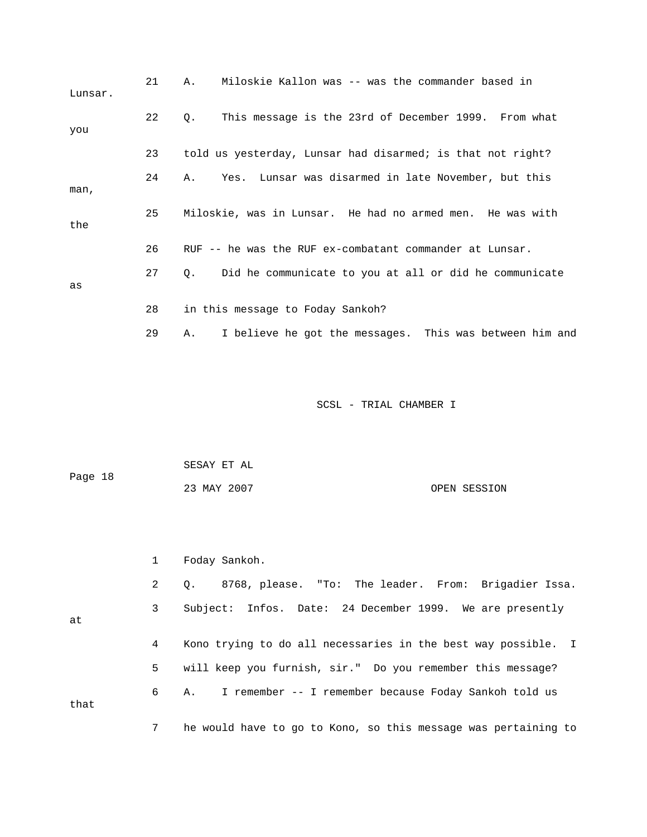| Lunsar. | 21 | Miloskie Kallon was -- was the commander based in<br>Α.               |
|---------|----|-----------------------------------------------------------------------|
| you     | 22 | This message is the 23rd of December 1999. From what<br>Q.            |
|         | 23 | told us yesterday, Lunsar had disarmed; is that not right?            |
| man,    | 24 | Yes. Lunsar was disarmed in late November, but this<br>Α.             |
| the     | 25 | Miloskie, was in Lunsar. He had no armed men. He was with             |
|         | 26 | RUF -- he was the RUF ex-combatant commander at Lunsar.               |
| as      | 27 | Did he communicate to you at all or did he communicate<br>$Q_{\star}$ |
|         | 28 | in this message to Foday Sankoh?                                      |
|         | 29 | I believe he got the messages. This was between him and<br>Α.         |

|         | SESAY ET AL |              |
|---------|-------------|--------------|
| Page 18 |             |              |
|         | 23 MAY 2007 | OPEN SESSION |

1 Foday Sankoh.

at

 2 Q. 8768, please. "To: The leader. From: Brigadier Issa. 3 Subject: Infos. Date: 24 December 1999. We are presently 4 Kono trying to do all necessaries in the best way possible. I 5 will keep you furnish, sir." Do you remember this message? 6 A. I remember -- I remember because Foday Sankoh told us that 7 he would have to go to Kono, so this message was pertaining to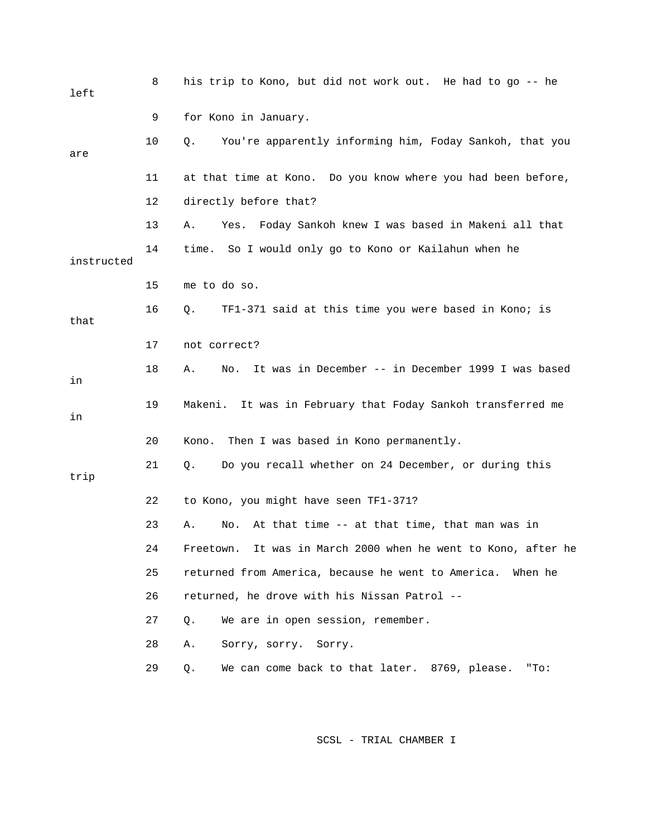| left       | 8  | his trip to Kono, but did not work out. He had to go -- he       |
|------------|----|------------------------------------------------------------------|
|            | 9  | for Kono in January.                                             |
| are        | 10 | You're apparently informing him, Foday Sankoh, that you<br>Q.    |
|            | 11 | at that time at Kono. Do you know where you had been before,     |
|            | 12 | directly before that?                                            |
|            | 13 | Foday Sankoh knew I was based in Makeni all that<br>Α.<br>Yes.   |
| instructed | 14 | time. So I would only go to Kono or Kailahun when he             |
|            | 15 | me to do so.                                                     |
| that       | 16 | TF1-371 said at this time you were based in Kono; is<br>Q.       |
|            | 17 | not correct?                                                     |
| in         | 18 | No. It was in December -- in December 1999 I was based<br>Α.     |
| in         | 19 | Makeni. It was in February that Foday Sankoh transferred me      |
|            | 20 | Then I was based in Kono permanently.<br>Kono.                   |
| trip       | 21 | Do you recall whether on 24 December, or during this<br>Q.       |
|            | 22 | to Kono, you might have seen TF1-371?                            |
|            | 23 | At that time -- at that time, that man was in<br>Α.<br>No.       |
|            | 24 | It was in March 2000 when he went to Kono, after he<br>Freetown. |
|            | 25 | returned from America, because he went to America. When he       |
|            | 26 | returned, he drove with his Nissan Patrol --                     |
|            | 27 | We are in open session, remember.<br>Q.                          |
|            | 28 | Α.<br>Sorry, sorry. Sorry.                                       |
|            | 29 | We can come back to that later. 8769, please.<br>Q.<br>"To:      |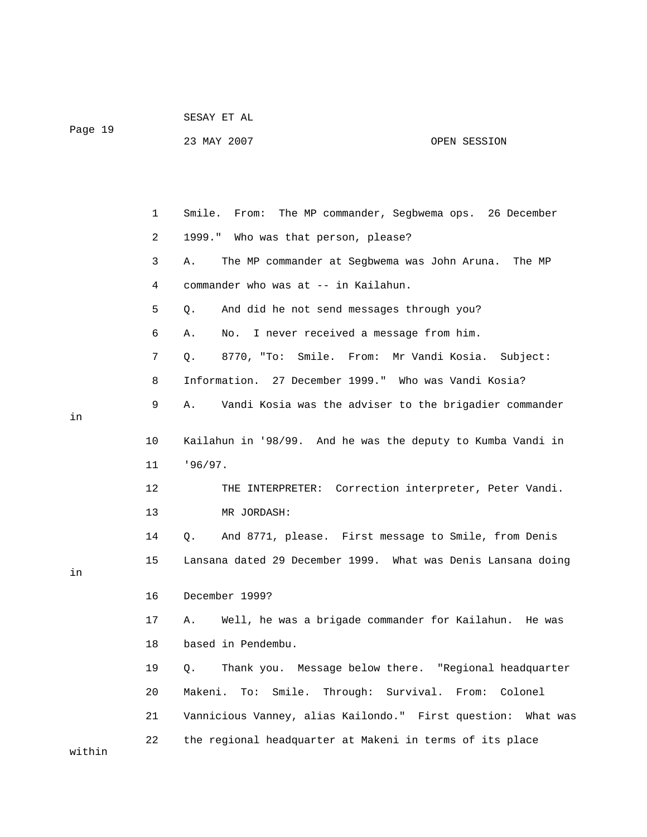|         | SESAY ET AL |  |  |
|---------|-------------|--|--|
| Page 19 |             |  |  |

23 MAY 2007 OPEN SESSION

|        | 1  | Smile.<br>The MP commander, Segbwema ops. 26 December<br>From: |
|--------|----|----------------------------------------------------------------|
|        | 2  | 1999." Who was that person, please?                            |
|        | 3  | The MP commander at Segbwema was John Aruna.<br>Α.<br>The MP   |
|        | 4  | commander who was at -- in Kailahun.                           |
|        | 5  | And did he not send messages through you?<br>Q.                |
|        | 6  | I never received a message from him.<br>Α.<br>No.              |
|        | 7  | Smile. From: Mr Vandi Kosia. Subject:<br>Q.<br>8770, "To:      |
|        | 8  | Information. 27 December 1999." Who was Vandi Kosia?           |
| in     | 9  | Α.<br>Vandi Kosia was the adviser to the brigadier commander   |
|        | 10 | Kailahun in '98/99. And he was the deputy to Kumba Vandi in    |
|        | 11 | 196/97.                                                        |
|        | 12 | THE INTERPRETER: Correction interpreter, Peter Vandi.          |
|        | 13 | MR JORDASH:                                                    |
|        | 14 | And 8771, please. First message to Smile, from Denis<br>Q.     |
| in     | 15 | Lansana dated 29 December 1999. What was Denis Lansana doing   |
|        | 16 | December 1999?                                                 |
|        | 17 | Well, he was a brigade commander for Kailahun. He was<br>Α.    |
|        | 18 | based in Pendembu.                                             |
|        | 19 | Thank you. Message below there. "Regional headquarter<br>О.    |
|        | 20 | Smile. Through: Survival. From: Colonel<br>Makeni.<br>To:      |
|        | 21 | Vannicious Vanney, alias Kailondo." First question: What was   |
| within | 22 | the regional headquarter at Makeni in terms of its place       |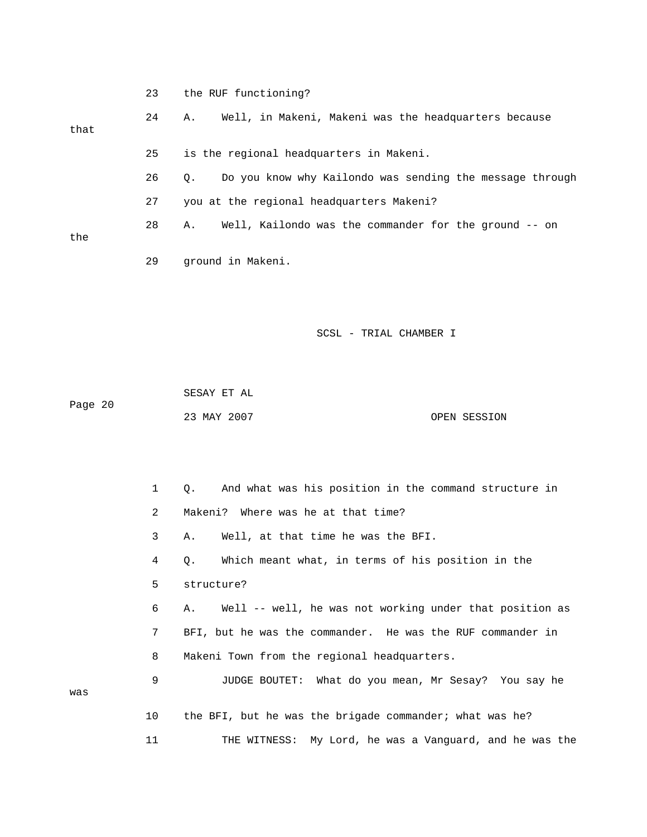|         | 23 | the RUF functioning?                                           |
|---------|----|----------------------------------------------------------------|
| that    | 24 | Well, in Makeni, Makeni was the headquarters because<br>Α.     |
|         | 25 | is the regional headquarters in Makeni.                        |
|         | 26 | Do you know why Kailondo was sending the message through<br>Q. |
|         | 27 | you at the regional headquarters Makeni?                       |
|         | 28 | Well, Kailondo was the commander for the ground -- on<br>Α.    |
| the     | 29 | ground in Makeni.                                              |
|         |    | SCSL - TRIAL CHAMBER I                                         |
| Page 20 |    | SESAY ET AL<br>23 MAY 2007<br>OPEN SESSION                     |
|         | 1  | And what was his position in the command structure in<br>Q.    |
|         | 2  | Where was he at that time?<br>Makeni?                          |
|         | 3  | Well, at that time he was the BFI.<br>Α.                       |
|         |    | Which meant what, in terms of his position in the<br>Q.        |
|         | 5  | structure?                                                     |
|         | 6  | Well -- well, he was not working under that position as<br>Α.  |
|         | 7  | BFI, but he was the commander. He was the RUF commander in     |
|         | 8  | Makeni Town from the regional headquarters.                    |
| was     | 9  | What do you mean, Mr Sesay? You say he<br>JUDGE BOUTET:        |
|         | 10 | the BFI, but he was the brigade commander; what was he?        |
|         | 11 | My Lord, he was a Vanguard, and he was the<br>THE WITNESS:     |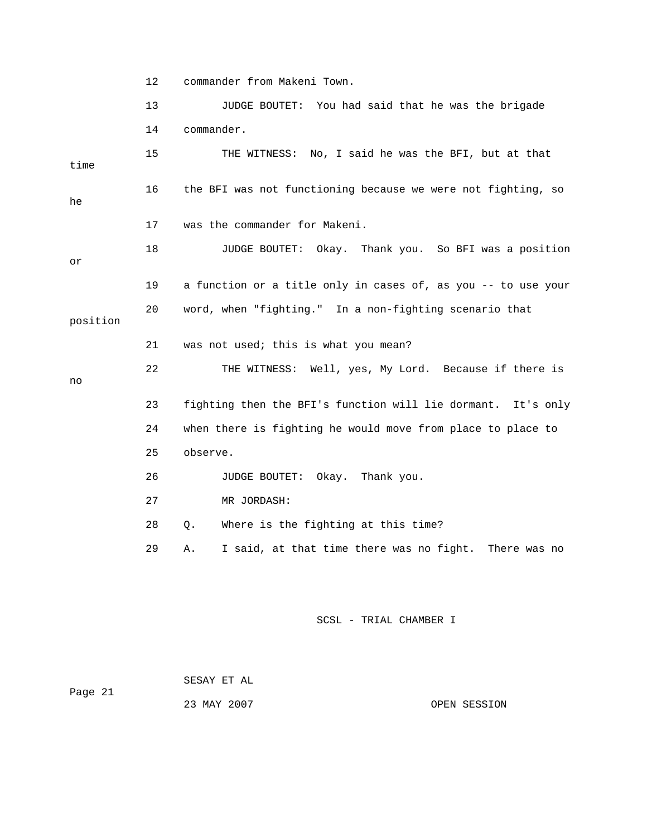12 commander from Makeni Town.

 13 JUDGE BOUTET: You had said that he was the brigade 14 commander. 15 THE WITNESS: No, I said he was the BFI, but at that time 16 the BFI was not functioning because we were not fighting, so he 17 was the commander for Makeni. 18 JUDGE BOUTET: Okay. Thank you. So BFI was a position or 19 a function or a title only in cases of, as you -- to use your 20 word, when "fighting." In a non-fighting scenario that position 21 was not used; this is what you mean? 22 THE WITNESS: Well, yes, My Lord. Because if there is no 23 fighting then the BFI's function will lie dormant. It's only 24 when there is fighting he would move from place to place to 25 observe. 26 JUDGE BOUTET: Okay. Thank you. 27 MR JORDASH: 28 Q. Where is the fighting at this time? 29 A. I said, at that time there was no fight. There was no SCSL - TRIAL CHAMBER I

 SESAY ET AL Page 21 23 MAY 2007 OPEN SESSION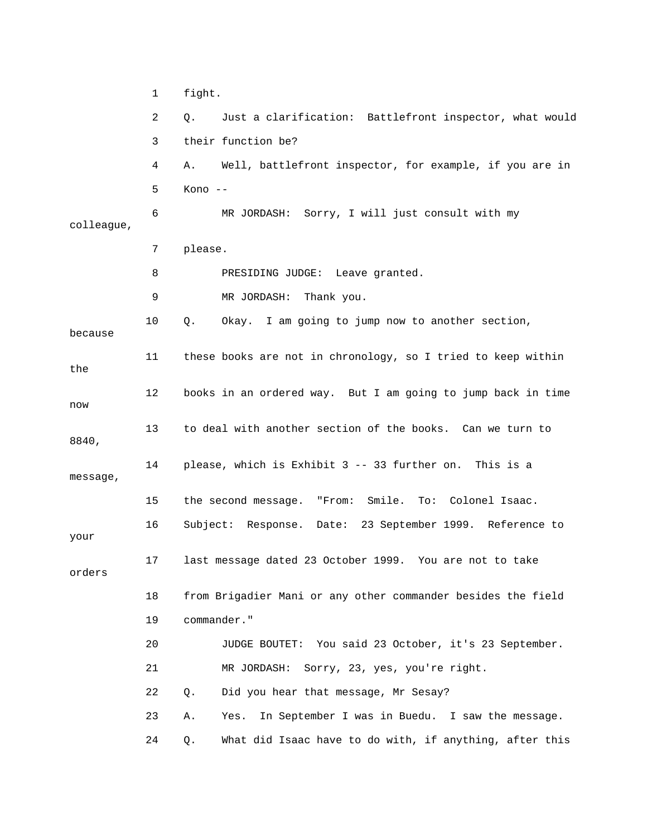|            | 1  | fight.                                                        |
|------------|----|---------------------------------------------------------------|
|            | 2  | Just a clarification: Battlefront inspector, what would<br>Q. |
|            | 3  | their function be?                                            |
|            | 4  | Well, battlefront inspector, for example, if you are in<br>Α. |
|            | 5  | Kono --                                                       |
| colleague, | 6  | MR JORDASH: Sorry, I will just consult with my                |
|            | 7  | please.                                                       |
|            | 8  | PRESIDING JUDGE: Leave granted.                               |
|            | 9  | MR JORDASH: Thank you.                                        |
| because    | 10 | Okay. I am going to jump now to another section,<br>Q.        |
| the        | 11 | these books are not in chronology, so I tried to keep within  |
| now        | 12 | books in an ordered way. But I am going to jump back in time  |
| 8840,      | 13 | to deal with another section of the books. Can we turn to     |
| message,   | 14 | please, which is Exhibit 3 -- 33 further on. This is a        |
|            | 15 | "From:<br>Smile.<br>the second message.<br>To: Colonel Isaac. |
| your       | 16 | Date: 23 September 1999. Reference to<br>Subject: Response.   |
| orders     | 17 | last message dated 23 October 1999.<br>You are not to take    |
|            | 18 | from Brigadier Mani or any other commander besides the field  |
|            | 19 | commander."                                                   |
|            | 20 | JUDGE BOUTET: You said 23 October, it's 23 September.         |
|            | 21 | Sorry, 23, yes, you're right.<br>MR JORDASH:                  |
|            | 22 | Did you hear that message, Mr Sesay?<br>Q.                    |
|            | 23 | In September I was in Buedu. I saw the message.<br>Yes.<br>Α. |
|            | 24 | What did Isaac have to do with, if anything, after this<br>Q. |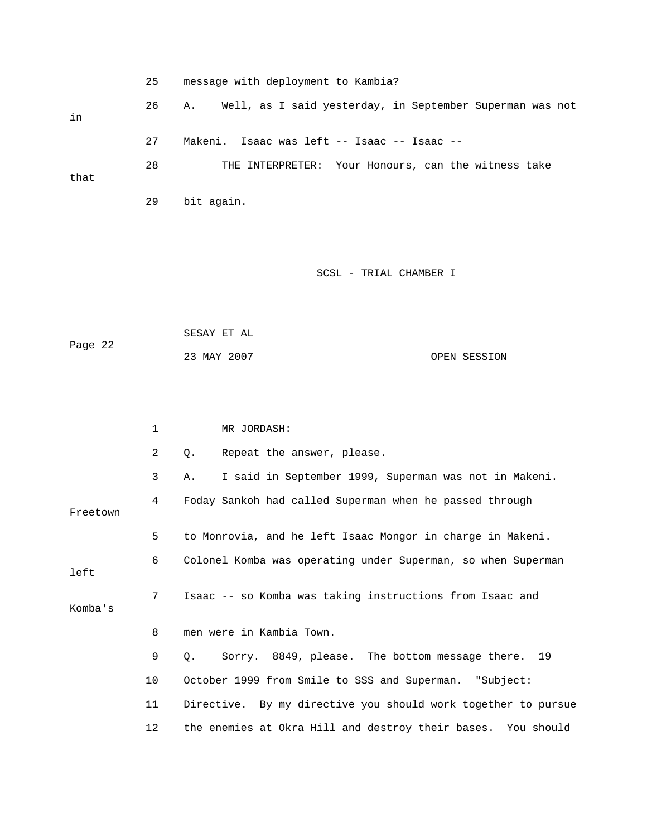25 message with deployment to Kambia? 26 A. Well, as I said yesterday, in September Superman was not in 27 Makeni. Isaac was left -- Isaac -- Isaac -- 28 THE INTERPRETER: Your Honours, can the witness take that 29 bit again. SCSL - TRIAL CHAMBER I SESAY ET AL Page 22 23 MAY 2007 OPEN SESSION 1 MR JORDASH: 2 Q. Repeat the answer, please. 3 A. I said in September 1999, Superman was not in Makeni. 4 Foday Sankoh had called Superman when he passed through Freetown 5 to Monrovia, and he left Isaac Mongor in charge in Makeni. 6 Colonel Komba was operating under Superman, so when Superman left 7 Isaac -- so Komba was taking instructions from Isaac and Komba's 8 men were in Kambia Town. 9 Q. Sorry. 8849, please. The bottom message there. 19 10 October 1999 from Smile to SSS and Superman. "Subject: 11 Directive. By my directive you should work together to pursue

12 the enemies at Okra Hill and destroy their bases. You should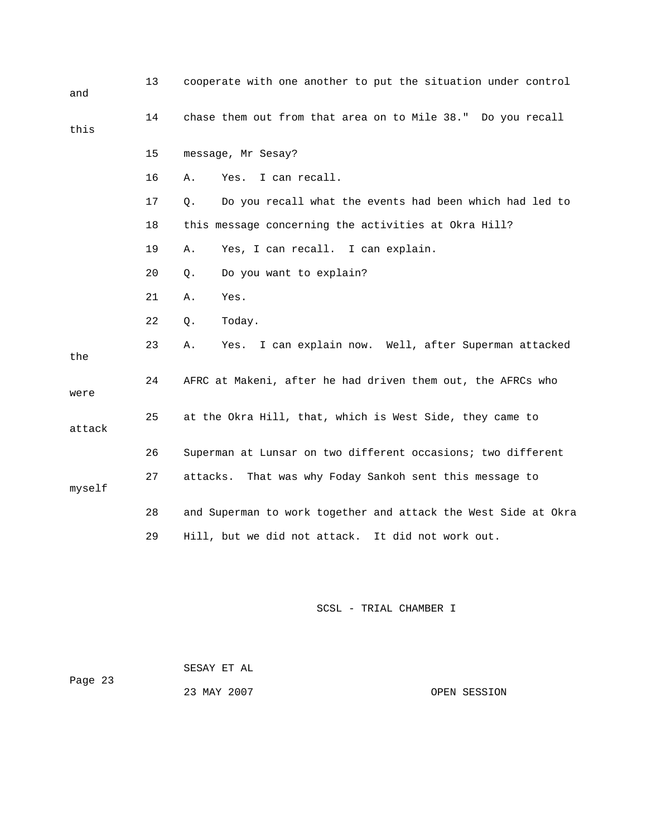| and    | 13 | cooperate with one another to put the situation under control  |
|--------|----|----------------------------------------------------------------|
| this   | 14 | chase them out from that area on to Mile 38." Do you recall    |
|        | 15 | message, Mr Sesay?                                             |
|        | 16 | I can recall.<br>Yes.<br>Α.                                    |
|        | 17 | Do you recall what the events had been which had led to<br>Q.  |
|        | 18 | this message concerning the activities at Okra Hill?           |
|        | 19 | Yes, I can recall. I can explain.<br>Α.                        |
|        | 20 | Do you want to explain?<br>Q.                                  |
|        | 21 | Yes.<br>Α.                                                     |
|        | 22 | Today.<br>Q.                                                   |
| the    | 23 | I can explain now. Well, after Superman attacked<br>Α.<br>Yes. |
| were   | 24 | AFRC at Makeni, after he had driven them out, the AFRCs who    |
| attack | 25 | at the Okra Hill, that, which is West Side, they came to       |
|        | 26 | Superman at Lunsar on two different occasions; two different   |
| myself | 27 | attacks.<br>That was why Foday Sankoh sent this message to     |
|        | 28 | and Superman to work together and attack the West Side at Okra |
|        | 29 | Hill, but we did not attack. It did not work out.              |
|        |    |                                                                |

| Page 23 | SESAY ET AL |              |
|---------|-------------|--------------|
|         | 23 MAY 2007 | OPEN SESSION |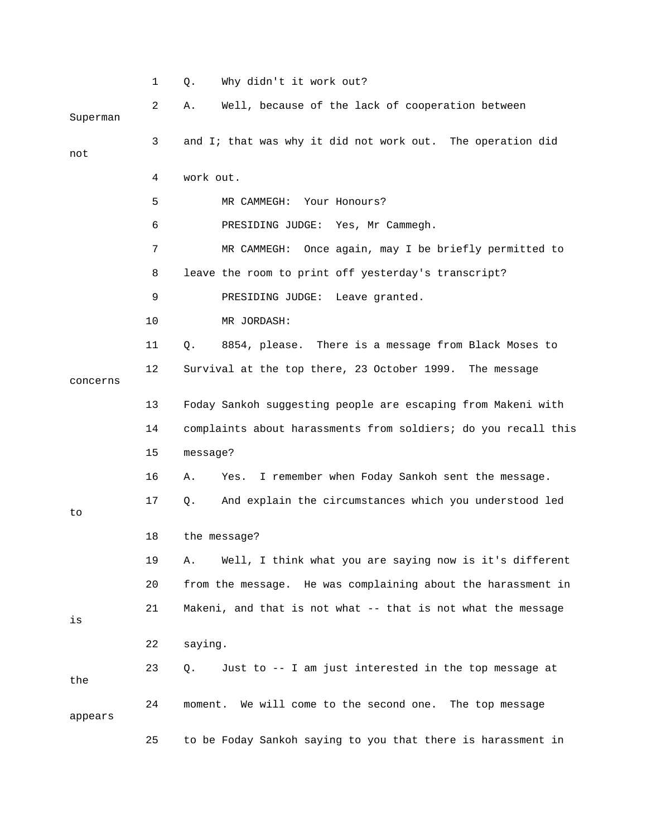|          | 1  | Why didn't it work out?<br>Q.                                  |
|----------|----|----------------------------------------------------------------|
| Superman | 2  | Well, because of the lack of cooperation between<br>Α.         |
| not      | 3  | and I; that was why it did not work out. The operation did     |
|          | 4  | work out.                                                      |
|          | 5  | Your Honours?<br>MR CAMMEGH:                                   |
|          | 6  | PRESIDING JUDGE: Yes, Mr Cammegh.                              |
|          | 7  | Once again, may I be briefly permitted to<br>MR CAMMEGH:       |
|          | 8  | leave the room to print off yesterday's transcript?            |
|          | 9  | PRESIDING JUDGE: Leave granted.                                |
|          | 10 | MR JORDASH:                                                    |
|          | 11 | 8854, please. There is a message from Black Moses to<br>Q.     |
| concerns | 12 | Survival at the top there, 23 October 1999. The message        |
|          | 13 | Foday Sankoh suggesting people are escaping from Makeni with   |
|          | 14 | complaints about harassments from soldiers; do you recall this |
|          | 15 | message?                                                       |
|          | 16 | I remember when Foday Sankoh sent the message.<br>Α.<br>Yes.   |
| to       | 17 | And explain the circumstances which you understood led<br>Q.   |
|          | 18 | the message?                                                   |
|          | 19 | Well, I think what you are saying now is it's different<br>Α.  |
|          | 20 | from the message. He was complaining about the harassment in   |
| is       | 21 | Makeni, and that is not what -- that is not what the message   |
|          | 22 | saying.                                                        |
| the      | 23 | Just to -- I am just interested in the top message at<br>Q.    |
| appears  | 24 | moment. We will come to the second one. The top message        |
|          | 25 | to be Foday Sankoh saying to you that there is harassment in   |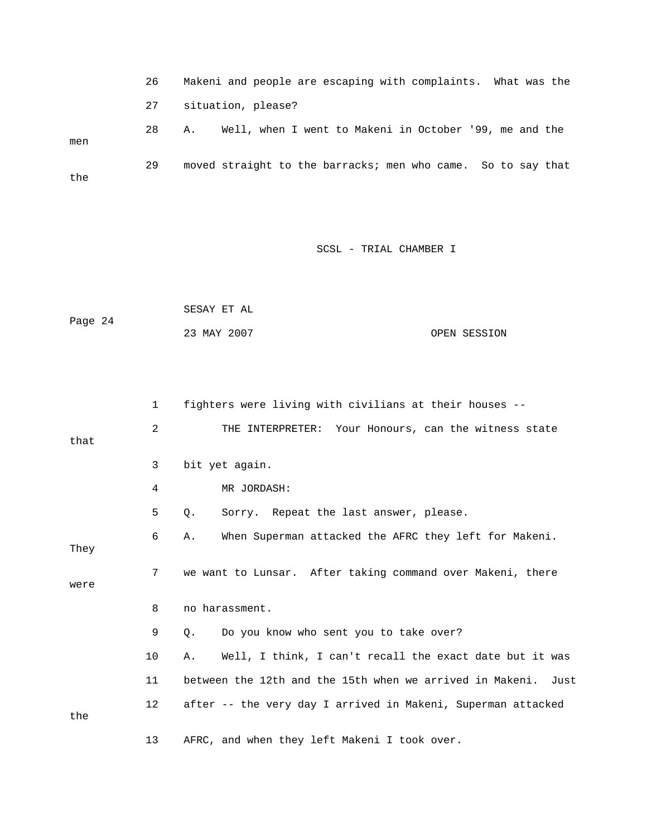26 Makeni and people are escaping with complaints. What was the 27 situation, please? 28 A. Well, when I went to Makeni in October '99, me and the men 29 moved straight to the barracks; men who came. So to say that the

|         | SESAY ET AL |              |
|---------|-------------|--------------|
| Page 24 |             |              |
|         | 23 MAY 2007 | OPEN SESSION |

|      | $\mathbf{1}$ | fighters were living with civilians at their houses --        |
|------|--------------|---------------------------------------------------------------|
| that | 2            | THE INTERPRETER: Your Honours, can the witness state          |
|      | 3            | bit yet again.                                                |
|      | 4            | MR JORDASH:                                                   |
|      | 5            | О.<br>Sorry. Repeat the last answer, please.                  |
| They | 6            | When Superman attacked the AFRC they left for Makeni.<br>Α.   |
| were | 7            | we want to Lunsar. After taking command over Makeni, there    |
|      | 8            | no harassment.                                                |
|      | 9            | Do you know who sent you to take over?<br>О.                  |
|      | 10           | Well, I think, I can't recall the exact date but it was<br>Α. |
|      | 11           | between the 12th and the 15th when we arrived in Makeni. Just |
| the  | $12 \,$      | after -- the very day I arrived in Makeni, Superman attacked  |
|      | 13           | AFRC, and when they left Makeni I took over.                  |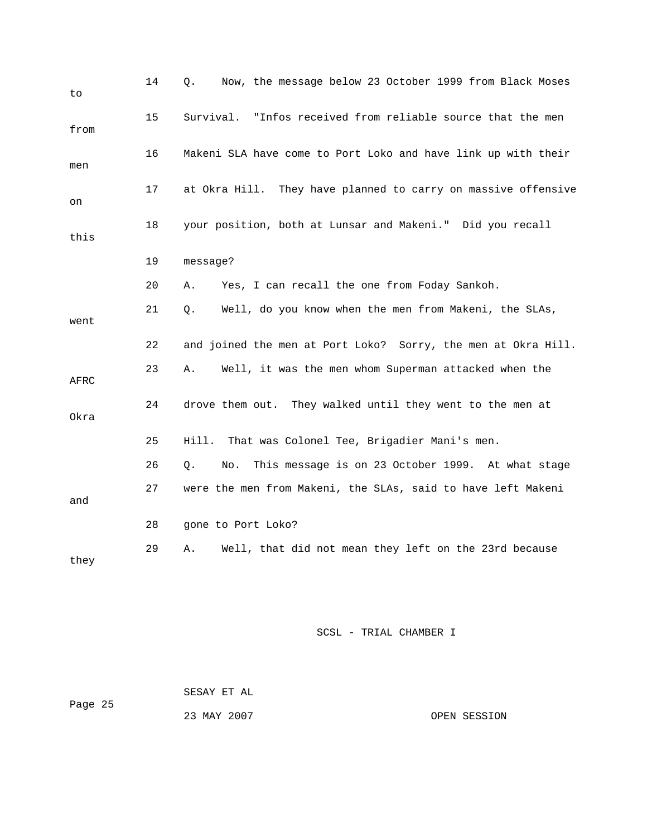| to   | 14 | Now, the message below 23 October 1999 from Black Moses<br>Q.  |
|------|----|----------------------------------------------------------------|
| from | 15 | Survival. "Infos received from reliable source that the men    |
| men  | 16 | Makeni SLA have come to Port Loko and have link up with their  |
| on   | 17 | at Okra Hill. They have planned to carry on massive offensive  |
| this | 18 | your position, both at Lunsar and Makeni." Did you recall      |
|      | 19 | message?                                                       |
|      | 20 | Yes, I can recall the one from Foday Sankoh.<br>Α.             |
| went | 21 | Well, do you know when the men from Makeni, the SLAs,<br>Q.    |
|      | 22 | and joined the men at Port Loko? Sorry, the men at Okra Hill.  |
| AFRC | 23 | Well, it was the men whom Superman attacked when the<br>Α.     |
| Okra | 24 | drove them out. They walked until they went to the men at      |
|      | 25 | That was Colonel Tee, Brigadier Mani's men.<br>Hill.           |
|      | 26 | This message is on 23 October 1999. At what stage<br>О.<br>No. |
| and  | 27 | were the men from Makeni, the SLAs, said to have left Makeni   |
|      | 28 | gone to Port Loko?                                             |
| they | 29 | Well, that did not mean they left on the 23rd because<br>Α.    |

 SESAY ET AL Page 25 23 MAY 2007 OPEN SESSION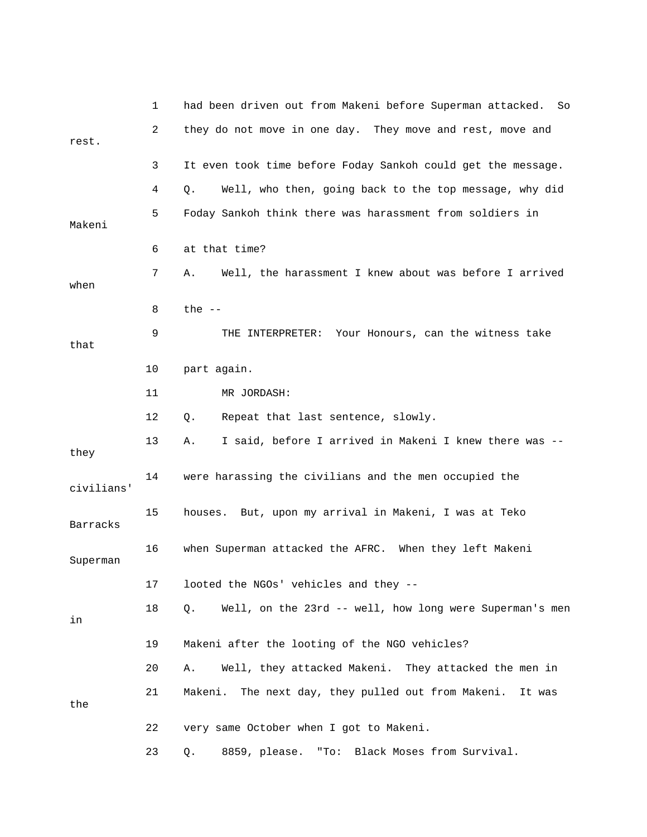|            | 1  | had been driven out from Makeni before Superman attacked.<br>So |
|------------|----|-----------------------------------------------------------------|
| rest.      | 2  | they do not move in one day. They move and rest, move and       |
|            | 3  | It even took time before Foday Sankoh could get the message.    |
|            | 4  | Well, who then, going back to the top message, why did<br>Q.    |
| Makeni     | 5. | Foday Sankoh think there was harassment from soldiers in        |
|            | 6  | at that time?                                                   |
| when       | 7  | Well, the harassment I knew about was before I arrived<br>Α.    |
|            | 8  | the $--$                                                        |
| that       | 9  | Your Honours, can the witness take<br>THE INTERPRETER:          |
|            | 10 | part again.                                                     |
|            | 11 | MR JORDASH:                                                     |
|            | 12 | Repeat that last sentence, slowly.<br>Q.                        |
| they       | 13 | I said, before I arrived in Makeni I knew there was --<br>Α.    |
| civilians' | 14 | were harassing the civilians and the men occupied the           |
| Barracks   | 15 | houses. But, upon my arrival in Makeni, I was at Teko           |
| Superman   | 16 | when Superman attacked the AFRC. When they left Makeni          |
|            | 17 | looted the NGOs' vehicles and they --                           |
| in         | 18 | Well, on the 23rd -- well, how long were Superman's men<br>Q.   |
|            | 19 | Makeni after the looting of the NGO vehicles?                   |
|            | 20 | Well, they attacked Makeni. They attacked the men in<br>Α.      |
| the        | 21 | Makeni.<br>The next day, they pulled out from Makeni. It was    |
|            | 22 | very same October when I got to Makeni.                         |
|            | 23 | 8859, please. "To: Black Moses from Survival.<br>Q.             |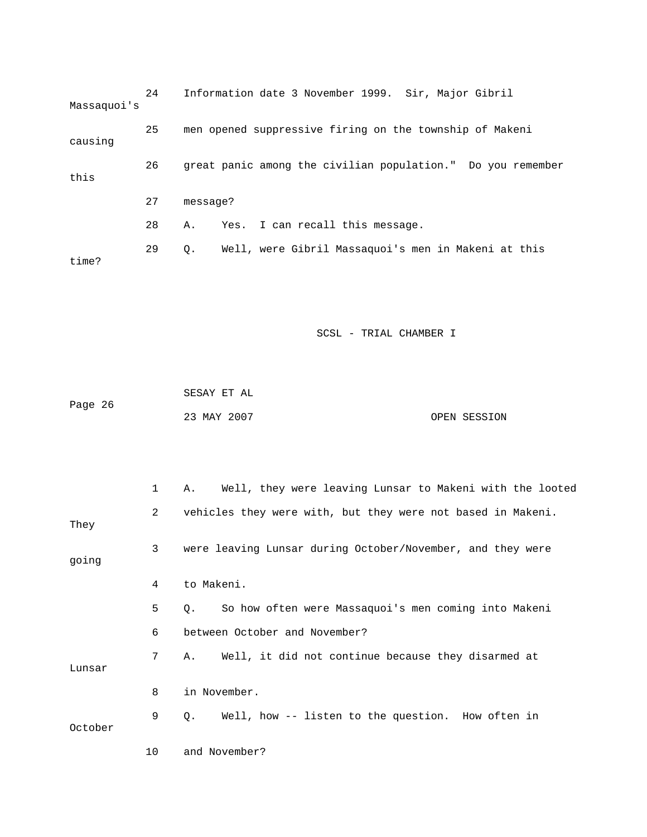| Massaquoi's | 24 |          | Information date 3 November 1999. Sir, Major Gibril         |
|-------------|----|----------|-------------------------------------------------------------|
| causing     | 25 |          | men opened suppressive firing on the township of Makeni     |
| this        | 26 |          | great panic among the civilian population." Do you remember |
|             | 27 | message? |                                                             |
|             | 28 | Α.       | Yes. I can recall this message.                             |
| time?       | 29 | 0.       | Well, were Gibril Massaquoi's men in Makeni at this         |

| Page 26 | SESAY ET AL |              |
|---------|-------------|--------------|
|         | 23 MAY 2007 | OPEN SESSION |

|         | $\mathbf{1}$   | Well, they were leaving Lunsar to Makeni with the looted<br>Α.      |
|---------|----------------|---------------------------------------------------------------------|
| They    | $\overline{2}$ | vehicles they were with, but they were not based in Makeni.         |
| going   | 3              | were leaving Lunsar during October/November, and they were          |
|         | 4              | to Makeni.                                                          |
|         | 5              | So how often were Massaquoi's men coming into Makeni<br>$\circ$ .   |
|         | 6              | between October and November?                                       |
| Lunsar  | 7              | Well, it did not continue because they disarmed at<br>A.            |
|         | 8              | in November.                                                        |
| October | 9              | Well, how -- listen to the question. How often in<br>Q <sub>z</sub> |
|         | 10             | and November?                                                       |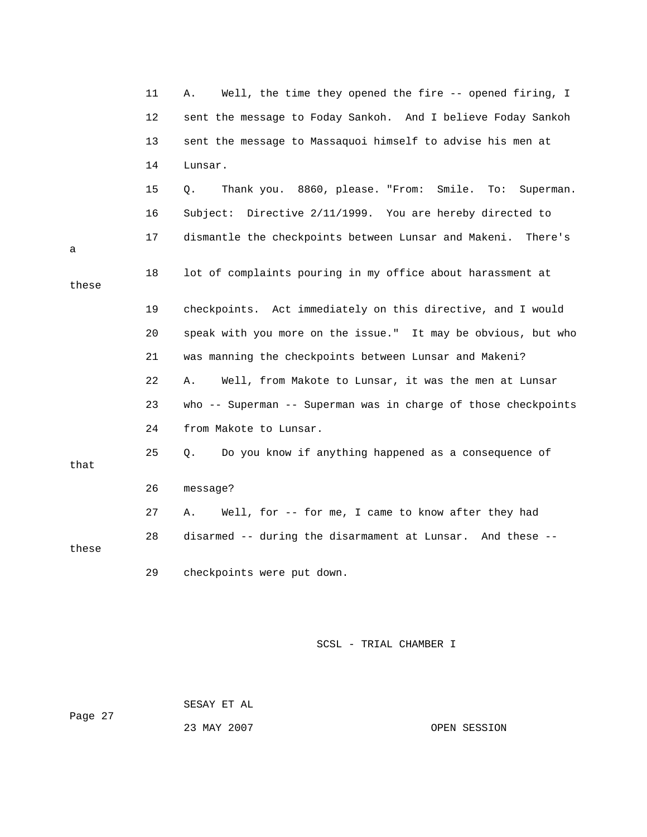|       | 11 | Well, the time they opened the fire -- opened firing, I<br>Α.   |
|-------|----|-----------------------------------------------------------------|
|       | 12 | sent the message to Foday Sankoh. And I believe Foday Sankoh    |
|       | 13 | sent the message to Massaquoi himself to advise his men at      |
|       | 14 | Lunsar.                                                         |
|       | 15 | Thank you. 8860, please. "From: Smile. To:<br>Q.<br>Superman.   |
|       | 16 | Directive 2/11/1999. You are hereby directed to<br>Subject:     |
| a     | 17 | dismantle the checkpoints between Lunsar and Makeni.<br>There's |
| these | 18 | lot of complaints pouring in my office about harassment at      |
|       | 19 | checkpoints. Act immediately on this directive, and I would     |
|       | 20 | speak with you more on the issue." It may be obvious, but who   |
|       | 21 | was manning the checkpoints between Lunsar and Makeni?          |
|       | 22 | Well, from Makote to Lunsar, it was the men at Lunsar<br>Α.     |
|       | 23 | who -- Superman -- Superman was in charge of those checkpoints  |
|       | 24 | from Makote to Lunsar.                                          |
| that  | 25 | Do you know if anything happened as a consequence of<br>Q.      |
|       | 26 | message?                                                        |
|       | 27 | Well, for -- for me, I came to know after they had<br>Α.        |
| these | 28 | disarmed -- during the disarmament at Lunsar. And these --      |
|       | 29 | checkpoints were put down.                                      |

 SESAY ET AL Page 27 23 MAY 2007 OPEN SESSION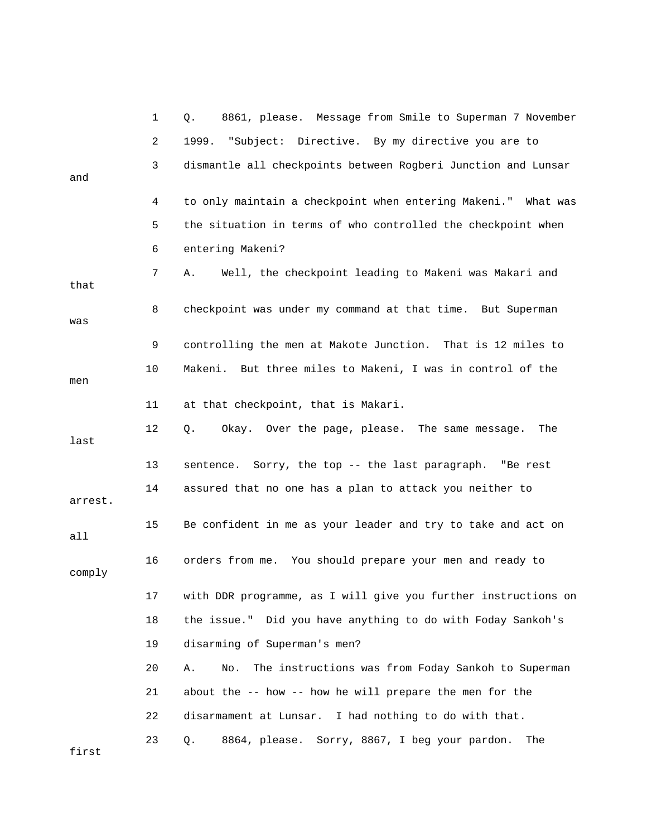|         | 1  | 8861, please. Message from Smile to Superman 7 November<br>Q.   |
|---------|----|-----------------------------------------------------------------|
|         | 2  | 1999.<br>"Subject: Directive. By my directive you are to        |
| and     | 3  | dismantle all checkpoints between Rogberi Junction and Lunsar   |
|         | 4  | to only maintain a checkpoint when entering Makeni." What was   |
|         | 5  | the situation in terms of who controlled the checkpoint when    |
|         | 6  | entering Makeni?                                                |
| that    | 7  | Well, the checkpoint leading to Makeni was Makari and<br>А.     |
| was     | 8  | checkpoint was under my command at that time. But Superman      |
|         | 9  | controlling the men at Makote Junction. That is 12 miles to     |
| men     | 10 | Makeni. But three miles to Makeni, I was in control of the      |
|         | 11 | at that checkpoint, that is Makari.                             |
| last    | 12 | Okay. Over the page, please. The same message.<br>The<br>Q.     |
|         | 13 | sentence. Sorry, the top -- the last paragraph. "Be rest        |
| arrest. | 14 | assured that no one has a plan to attack you neither to         |
| all     | 15 | Be confident in me as your leader and try to take and act on    |
| comply  | 16 | orders from me. You should prepare your men and ready to        |
|         | 17 | with DDR programme, as I will give you further instructions on  |
|         | 18 | the issue." Did you have anything to do with Foday Sankoh's     |
|         | 19 | disarming of Superman's men?                                    |
|         | 20 | The instructions was from Foday Sankoh to Superman<br>Α.<br>No. |
|         | 21 | about the -- how -- how he will prepare the men for the         |
|         | 22 | disarmament at Lunsar. I had nothing to do with that.           |
| first   | 23 | 8864, please. Sorry, 8867, I beg your pardon.<br>The<br>Q.      |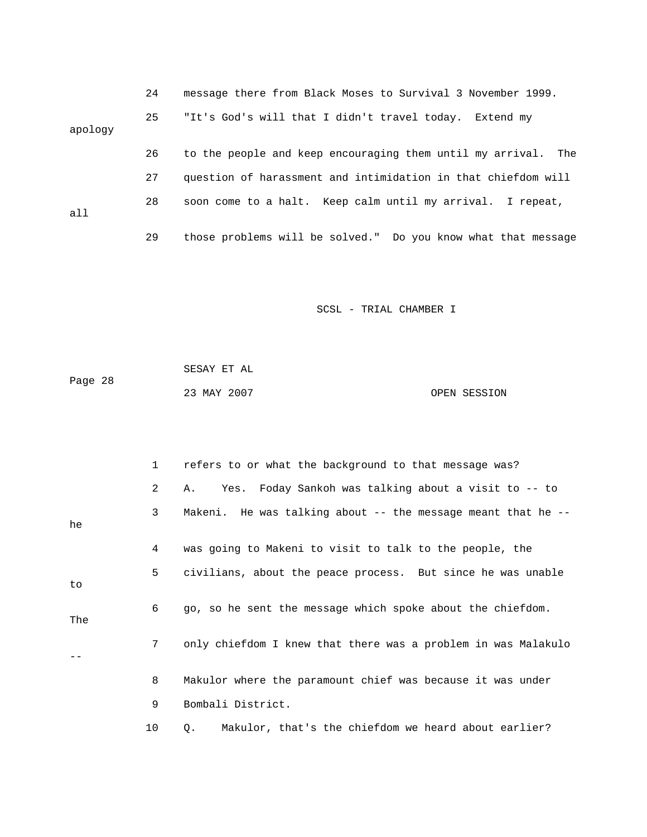|         | 24 | message there from Black Moses to Survival 3 November 1999.   |
|---------|----|---------------------------------------------------------------|
| apology | 25 | "It's God's will that I didn't travel today. Extend my        |
|         | 26 | to the people and keep encouraging them until my arrival. The |
|         | 27 | question of harassment and intimidation in that chiefdom will |
| a11     | 28 | soon come to a halt. Keep calm until my arrival. I repeat,    |
|         | 29 | those problems will be solved." Do you know what that message |

|         | SESAY ET AL |  |              |
|---------|-------------|--|--------------|
| Page 28 |             |  |              |
|         | 23 MAY 2007 |  | OPEN SESSION |

|     | $\mathbf{1}$   | refers to or what the background to that message was?              |
|-----|----------------|--------------------------------------------------------------------|
|     | $\mathbf{2}$   | Yes. Foday Sankoh was talking about a visit to -- to<br>Α.         |
| he  | $\mathbf{3}$   | Makeni. He was talking about $-$ - the message meant that he $-$ - |
|     | 4              | was going to Makeni to visit to talk to the people, the            |
| to  | 5              | civilians, about the peace process. But since he was unable        |
| The | 6              | go, so he sent the message which spoke about the chiefdom.         |
|     | 7 <sup>7</sup> | only chiefdom I knew that there was a problem in was Malakulo      |
|     | 8              | Makulor where the paramount chief was because it was under         |
|     | 9              | Bombali District.                                                  |
|     | 10             | Makulor, that's the chiefdom we heard about earlier?<br>Q.         |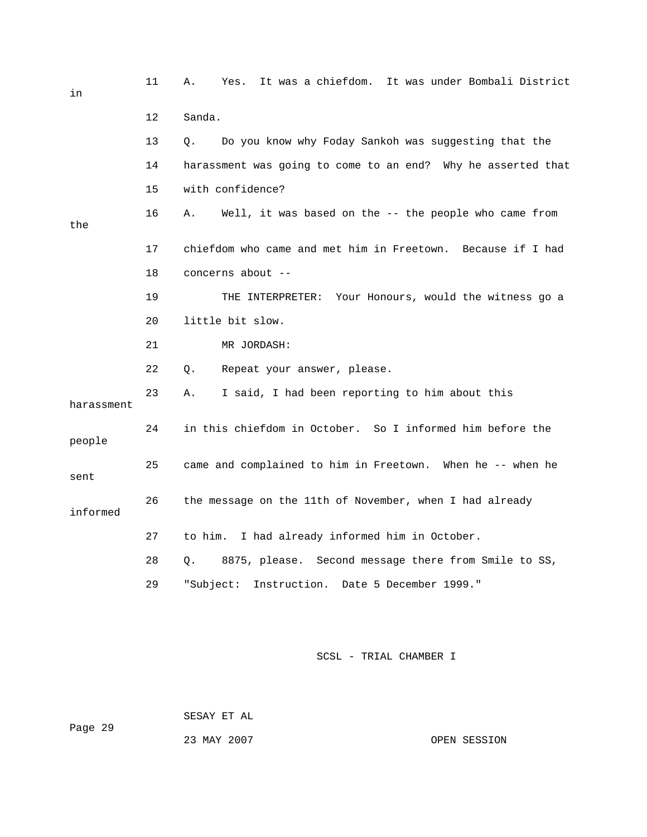| in         | 11      | It was a chiefdom. It was under Bombali District<br>Α.<br>Yes.      |
|------------|---------|---------------------------------------------------------------------|
|            | $12 \,$ | Sanda.                                                              |
|            | 13      | Do you know why Foday Sankoh was suggesting that the<br>О.          |
|            | 14      | harassment was going to come to an end? Why he asserted that        |
|            | 15      | with confidence?                                                    |
| the        | 16      | Well, it was based on the -- the people who came from<br>Α.         |
|            | 17      | chiefdom who came and met him in Freetown. Because if I had         |
|            | 18      | concerns about --                                                   |
|            | 19      | THE INTERPRETER: Your Honours, would the witness go a               |
|            | 20      | little bit slow.                                                    |
|            | 21      | MR JORDASH:                                                         |
|            | 22      | Repeat your answer, please.<br>Q.                                   |
| harassment | 23      | I said, I had been reporting to him about this<br>Α.                |
| people     | 24      | in this chiefdom in October. So I informed him before the           |
| sent       | 25      | came and complained to him in Freetown. When he -- when he          |
| informed   | 26      | the message on the 11th of November, when I had already             |
|            | 27      | to him. I had already informed him in October.                      |
|            | 28      | $Q_{\star}$<br>8875, please. Second message there from Smile to SS, |
|            | 29      | Instruction. Date 5 December 1999."<br>"Subject:                    |

 SESAY ET AL Page 29 23 MAY 2007 OPEN SESSION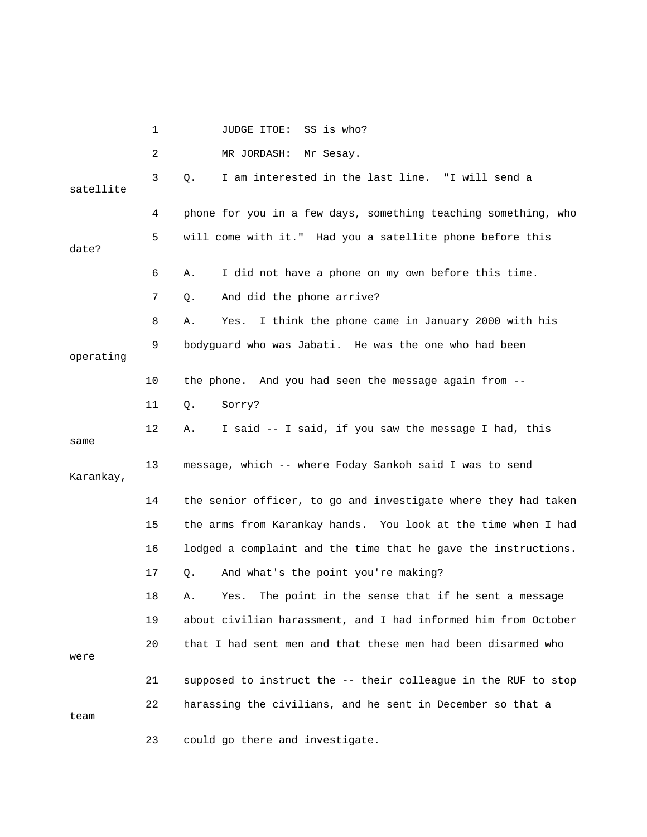|           | 1  | JUDGE ITOE:<br>SS is who?                                      |
|-----------|----|----------------------------------------------------------------|
|           | 2  | MR JORDASH:<br>Mr Sesay.                                       |
| satellite | 3  | I am interested in the last line. "I will send a<br>Q.         |
|           | 4  | phone for you in a few days, something teaching something, who |
| date?     | 5  | will come with it." Had you a satellite phone before this      |
|           | 6  | I did not have a phone on my own before this time.<br>Α.       |
|           | 7  | And did the phone arrive?<br>Q.                                |
|           | 8  | I think the phone came in January 2000 with his<br>Α.<br>Yes.  |
| operating | 9  | bodyguard who was Jabati. He was the one who had been          |
|           | 10 | the phone. And you had seen the message again from --          |
|           | 11 | Sorry?<br>Q.                                                   |
| same      | 12 | I said -- I said, if you saw the message I had, this<br>Α.     |
| Karankay, | 13 | message, which -- where Foday Sankoh said I was to send        |
|           | 14 | the senior officer, to go and investigate where they had taken |
|           | 15 | the arms from Karankay hands. You look at the time when I had  |
|           | 16 | lodged a complaint and the time that he gave the instructions. |
|           | 17 | And what's the point you're making?<br>Q.                      |
|           | 18 | The point in the sense that if he sent a message<br>Yes.<br>А. |
|           | 19 | about civilian harassment, and I had informed him from October |
| were      | 20 | that I had sent men and that these men had been disarmed who   |
|           | 21 | supposed to instruct the -- their colleague in the RUF to stop |
| team      | 22 | harassing the civilians, and he sent in December so that a     |
|           | 23 | could go there and investigate.                                |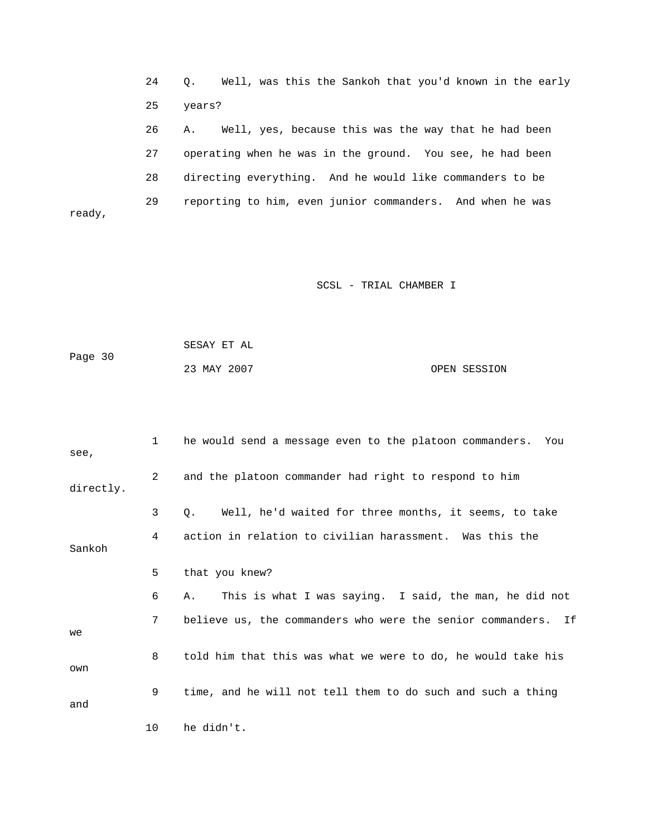24 Q. Well, was this the Sankoh that you'd known in the early 25 years?

 26 A. Well, yes, because this was the way that he had been 27 operating when he was in the ground. You see, he had been 28 directing everything. And he would like commanders to be 29 reporting to him, even junior commanders. And when he was

SCSL - TRIAL CHAMBER I

 SESAY ET AL Page 30 23 MAY 2007 OPEN SESSION

ready,

 1 he would send a message even to the platoon commanders. You see, 2 and the platoon commander had right to respond to him directly. 3 Q. Well, he'd waited for three months, it seems, to take 4 action in relation to civilian harassment. Was this the Sankoh 5 that you knew? 6 A. This is what I was saying. I said, the man, he did not 7 believe us, the commanders who were the senior commanders. If we 8 told him that this was what we were to do, he would take his own 9 time, and he will not tell them to do such and such a thing and 10 he didn't.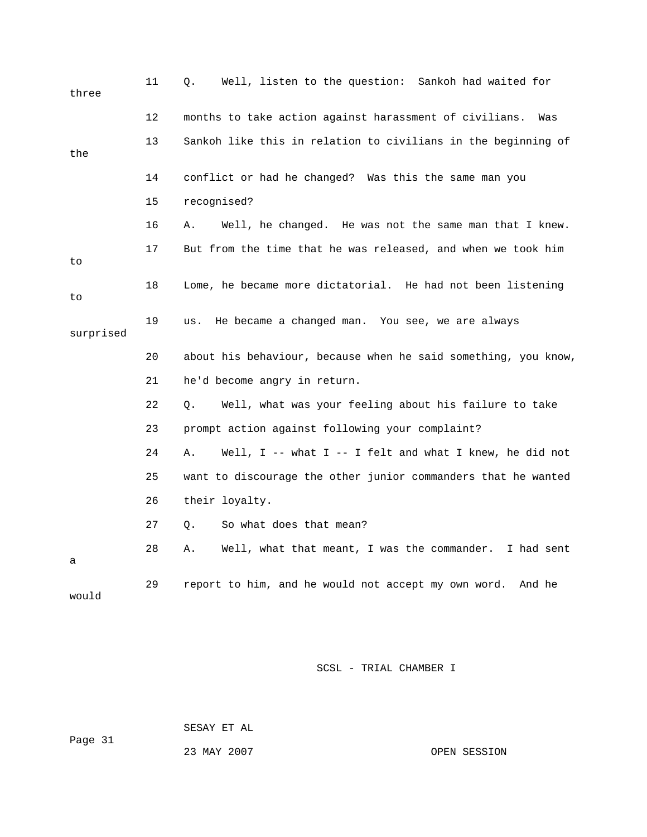| three     | 11 | Well, listen to the question: Sankoh had waited for<br>Q.      |
|-----------|----|----------------------------------------------------------------|
|           | 12 | months to take action against harassment of civilians.<br>Was  |
| the       | 13 | Sankoh like this in relation to civilians in the beginning of  |
|           | 14 | conflict or had he changed? Was this the same man you          |
|           | 15 | recognised?                                                    |
|           | 16 | Well, he changed. He was not the same man that I knew.<br>Α.   |
| to        | 17 | But from the time that he was released, and when we took him   |
| to        | 18 | Lome, he became more dictatorial. He had not been listening    |
| surprised | 19 | He became a changed man. You see, we are always<br>us.         |
|           | 20 | about his behaviour, because when he said something, you know, |
|           | 21 | he'd become angry in return.                                   |
|           | 22 | Well, what was your feeling about his failure to take<br>Q.    |
|           | 23 | prompt action against following your complaint?                |
|           | 24 | Well, I -- what I -- I felt and what I knew, he did not<br>Α.  |
|           |    |                                                                |
|           | 25 | want to discourage the other junior commanders that he wanted  |
|           | 26 | their loyalty.                                                 |
|           | 27 | So what does that mean?<br>Q.                                  |
| а         | 28 | Well, what that meant, I was the commander. I had sent<br>Α.   |

SESAY ET AL

Page 31

23 MAY 2007 OPEN SESSION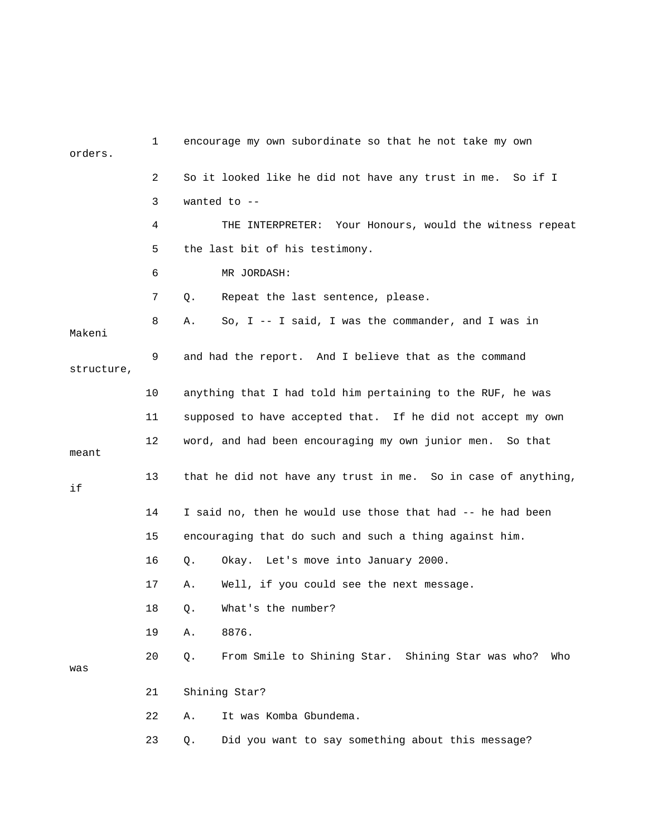| orders.    | 1  | encourage my own subordinate so that he not take my own        |
|------------|----|----------------------------------------------------------------|
|            | 2  | So it looked like he did not have any trust in me. So if I     |
|            | 3  | wanted to $-$                                                  |
|            | 4  | THE INTERPRETER: Your Honours, would the witness repeat        |
|            | 5  | the last bit of his testimony.                                 |
|            | 6  | MR JORDASH:                                                    |
|            | 7  | Repeat the last sentence, please.<br>Q.                        |
| Makeni     | 8  | So, $I - - I$ said, I was the commander, and I was in<br>Α.    |
| structure, | 9  | and had the report. And I believe that as the command          |
|            | 10 | anything that I had told him pertaining to the RUF, he was     |
|            | 11 | supposed to have accepted that. If he did not accept my own    |
| meant      | 12 | word, and had been encouraging my own junior men. So that      |
| if         | 13 | that he did not have any trust in me. So in case of anything,  |
|            | 14 | I said no, then he would use those that had -- he had been     |
|            | 15 | encouraging that do such and such a thing against him.         |
|            | 16 | Okay. Let's move into January 2000.<br>Q.                      |
|            | 17 | Well, if you could see the next message.<br>Α.                 |
|            | 18 | What's the number?<br>Q.                                       |
|            | 19 | 8876.<br>Α.                                                    |
| was        | 20 | From Smile to Shining Star. Shining Star was who?<br>Q.<br>Who |
|            | 21 | Shining Star?                                                  |
|            | 22 | It was Komba Gbundema.<br>Α.                                   |
|            | 23 | Did you want to say something about this message?<br>Q.        |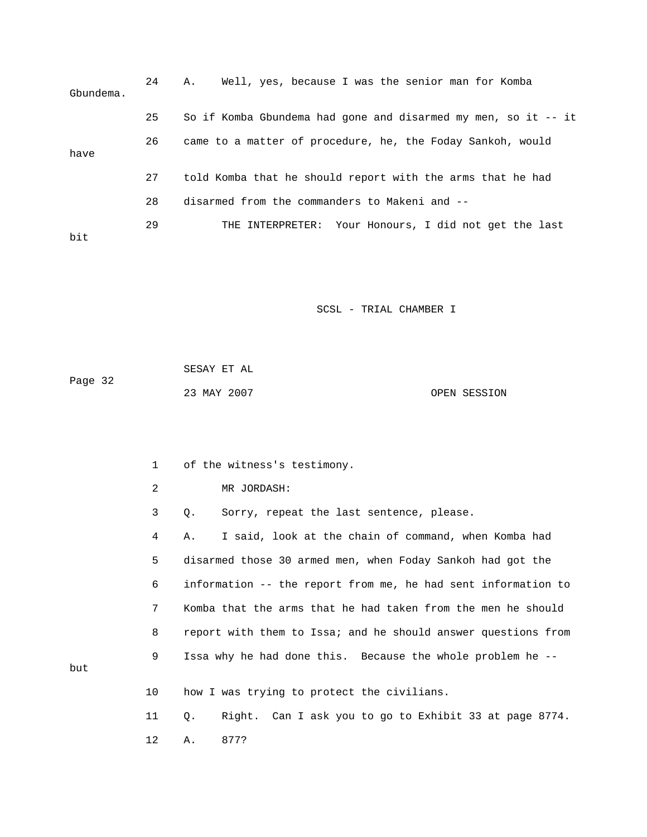| Gbundema. | 24 | Well, yes, because I was the senior man for Komba<br>Α.           |
|-----------|----|-------------------------------------------------------------------|
|           | 25 | So if Komba Gbundema had gone and disarmed my men, so it $-$ - it |
| have      | 26 | came to a matter of procedure, he, the Foday Sankoh, would        |
|           | 27 | told Komba that he should report with the arms that he had        |
|           | 28 | disarmed from the commanders to Makeni and --                     |
| bit       | 29 | THE INTERPRETER: Your Honours, I did not get the last             |

|         | SESAY ET AL |              |
|---------|-------------|--------------|
| Page 32 |             |              |
|         | 23 MAY 2007 | OPEN SESSION |

1 of the witness's testimony.

2 MR JORDASH:

3 Q. Sorry, repeat the last sentence, please.

 4 A. I said, look at the chain of command, when Komba had 5 disarmed those 30 armed men, when Foday Sankoh had got the 6 information -- the report from me, he had sent information to 7 Komba that the arms that he had taken from the men he should 8 report with them to Issa; and he should answer questions from 9 Issa why he had done this. Because the whole problem he --

10 how I was trying to protect the civilians.

but

 11 Q. Right. Can I ask you to go to Exhibit 33 at page 8774. 12 A. 877?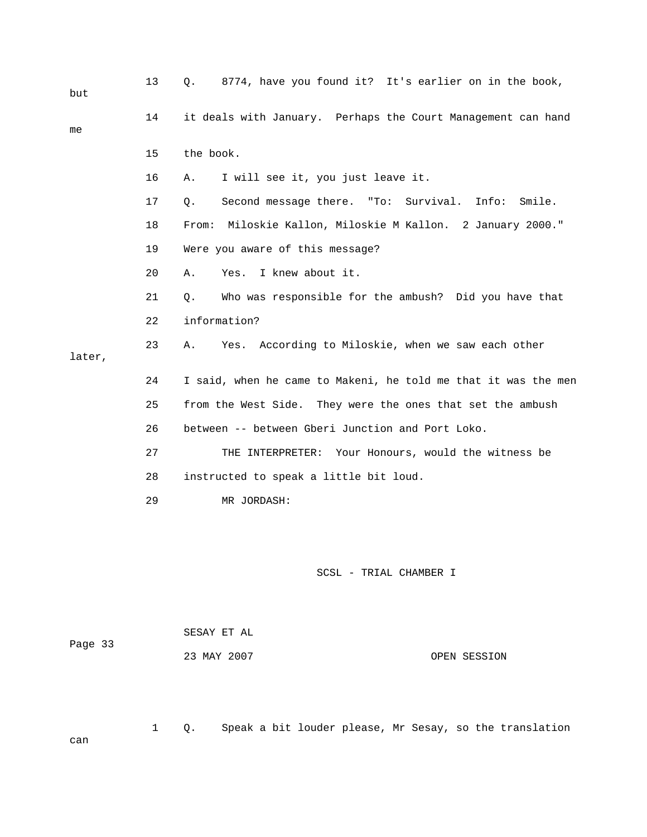| but    | 13 | 8774, have you found it? It's earlier on in the book,<br>Q.    |
|--------|----|----------------------------------------------------------------|
| me     | 14 | it deals with January. Perhaps the Court Management can hand   |
|        | 15 | the book.                                                      |
|        | 16 | I will see it, you just leave it.<br>Α.                        |
|        | 17 | Second message there. "To: Survival.<br>Info:<br>Smile.<br>Q.  |
|        | 18 | From: Miloskie Kallon, Miloskie M Kallon. 2 January 2000."     |
|        | 19 | Were you aware of this message?                                |
|        | 20 | I knew about it.<br>Α.<br>Yes.                                 |
|        | 21 | Who was responsible for the ambush? Did you have that<br>О.    |
|        | 22 | information?                                                   |
| later, | 23 | Yes. According to Miloskie, when we saw each other<br>Α.       |
|        | 24 | I said, when he came to Makeni, he told me that it was the men |
|        | 25 | from the West Side. They were the ones that set the ambush     |
|        | 26 | between -- between Gberi Junction and Port Loko.               |
|        | 27 | THE INTERPRETER: Your Honours, would the witness be            |
|        | 28 | instructed to speak a little bit loud.                         |
|        | 29 | MR JORDASH:                                                    |
|        |    |                                                                |
|        |    |                                                                |
|        |    | SCSL - TRIAL CHAMBER I                                         |

1 Q. Speak a bit louder please, Mr Sesay, so the translation

|         | SESAY ET AL |  |
|---------|-------------|--|
| Page 33 |             |  |
|         | 23 MAY 2007 |  |

OPEN SESSION

can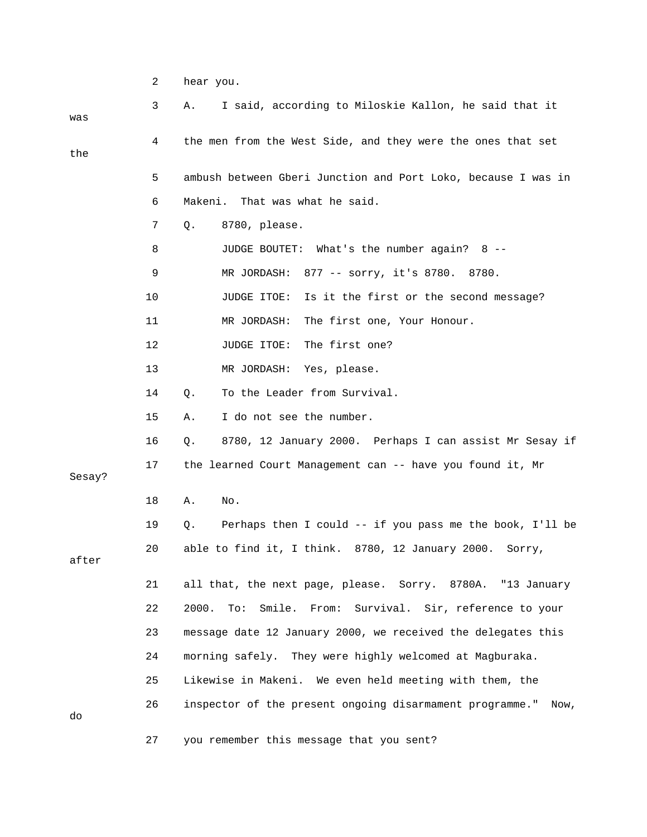|        | 2  | hear you.                                                                    |
|--------|----|------------------------------------------------------------------------------|
| was    | 3  | I said, according to Miloskie Kallon, he said that it<br>Α.                  |
| the    | 4  | the men from the West Side, and they were the ones that set                  |
|        | 5  | ambush between Gberi Junction and Port Loko, because I was in                |
|        | 6  | That was what he said.<br>Makeni.                                            |
|        | 7  | 8780, please.<br>Q.                                                          |
|        | 8  | JUDGE BOUTET: What's the number again? 8 --                                  |
|        | 9  | MR JORDASH: 877 -- sorry, it's 8780. 8780.                                   |
|        | 10 | Is it the first or the second message?<br>JUDGE ITOE:                        |
|        | 11 | The first one, Your Honour.<br>MR JORDASH:                                   |
|        | 12 | The first one?<br>JUDGE ITOE:                                                |
|        | 13 | MR JORDASH: Yes, please.                                                     |
|        | 14 | To the Leader from Survival.<br>Q.                                           |
|        | 15 | I do not see the number.<br>Α.                                               |
|        | 16 | 8780, 12 January 2000. Perhaps I can assist Mr Sesay if<br>Q.                |
| Sesay? | 17 | the learned Court Management can -- have you found it, Mr                    |
|        | 18 | No.<br>Α.                                                                    |
|        | 19 | Perhaps then I could $-$ - if you pass me the book, I'll be<br>Q.            |
| after  | 20 | able to find it, I think. 8780, 12 January 2000.<br>Sorry,                   |
|        | 21 | all that, the next page, please. Sorry. 8780A. "13 January                   |
|        | 22 | 2000.<br>Smile.<br>Survival. Sir, reference to your<br>$\text{To}:$<br>From: |
|        | 23 | message date 12 January 2000, we received the delegates this                 |
|        | 24 | morning safely. They were highly welcomed at Magburaka.                      |
|        | 25 | Likewise in Makeni. We even held meeting with them, the                      |
| do     | 26 | inspector of the present ongoing disarmament programme."<br>Now,             |
|        | 27 | you remember this message that you sent?                                     |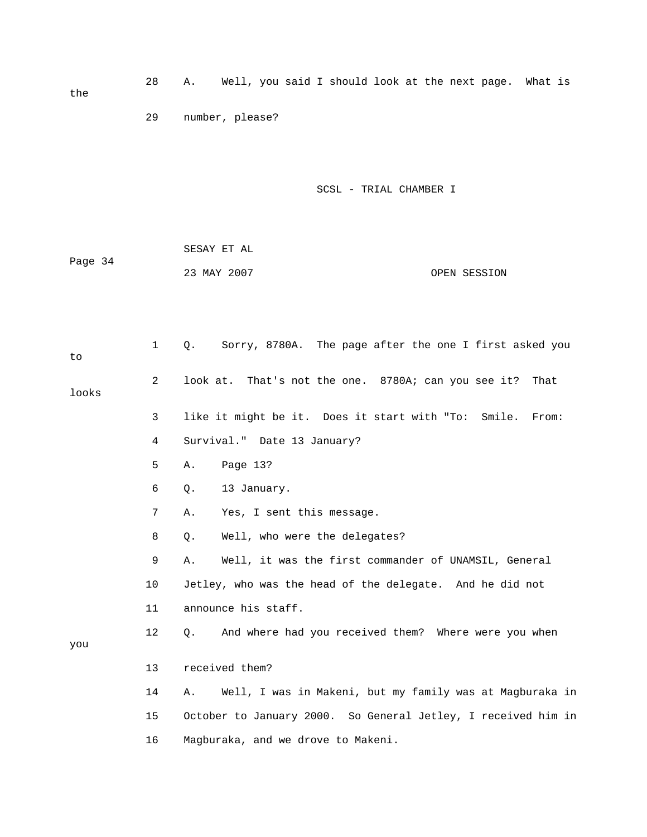|         | 29           | number, please?                                                 |
|---------|--------------|-----------------------------------------------------------------|
|         |              |                                                                 |
|         |              | SCSL - TRIAL CHAMBER I                                          |
|         |              |                                                                 |
|         |              | SESAY ET AL                                                     |
| Page 34 |              | 23 MAY 2007<br>OPEN SESSION                                     |
|         |              |                                                                 |
| to      | $\mathbf{1}$ | Sorry, 8780A. The page after the one I first asked you<br>Q.    |
| looks   | 2            | look at. That's not the one. 8780A; can you see it?<br>That     |
|         | 3            | like it might be it. Does it start with "To:<br>Smile.<br>From: |
|         | 4            | Survival." Date 13 January?                                     |
|         | 5            | Page 13?<br>Α.                                                  |
|         | 6            | 13 January.<br>Q.                                               |
|         | 7            | Yes, I sent this message.<br>Α.                                 |
|         | 8            | Well, who were the delegates?<br>Q.                             |
|         | 9            | Well, it was the first commander of UNAMSIL, General<br>Α.      |
|         | 10           | Jetley, who was the head of the delegate. And he did not        |
|         | 11           | announce his staff.                                             |
| you     | 12           | And where had you received them? Where were you when<br>Q.      |
|         | 13           | received them?                                                  |
|         | 14           | Well, I was in Makeni, but my family was at Magburaka in<br>Α.  |
|         | 15           | October to January 2000. So General Jetley, I received him in   |
|         | 16           | Magburaka, and we drove to Makeni.                              |

28 A. Well, you said I should look at the next page. What is

the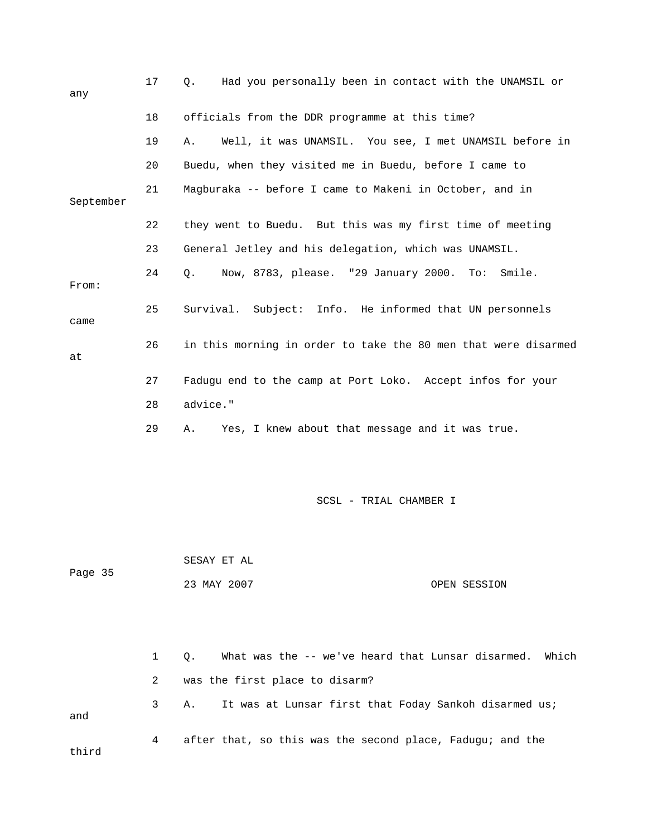| any       | 17 | Had you personally been in contact with the UNAMSIL or<br>Q.   |
|-----------|----|----------------------------------------------------------------|
|           | 18 | officials from the DDR programme at this time?                 |
|           | 19 | Well, it was UNAMSIL. You see, I met UNAMSIL before in<br>Α.   |
|           | 20 | Buedu, when they visited me in Buedu, before I came to         |
| September | 21 | Magburaka -- before I came to Makeni in October, and in        |
|           | 22 | they went to Buedu. But this was my first time of meeting      |
|           | 23 | General Jetley and his delegation, which was UNAMSIL.          |
| From:     | 24 | Now, 8783, please. "29 January 2000. To:<br>Q.<br>Smile.       |
| came      | 25 | Survival. Subject: Info. He informed that UN personnels        |
| at        | 26 | in this morning in order to take the 80 men that were disarmed |
|           | 27 | Fadugu end to the camp at Port Loko. Accept infos for your     |
|           | 28 | advice."                                                       |
|           | 29 | Yes, I knew about that message and it was true.<br>Α.          |
|           |    | SCSL - TRIAL CHAMBER I                                         |
| Page 35   |    | SESAY ET AL                                                    |
|           |    | 23 MAY 2007<br>OPEN SESSION                                    |
|           | 1  | What was the -- we've heard that Lunsar disarmed. Which        |
|           | 2  | Q.<br>was the first place to disarm?                           |
|           | 3  | It was at Lunsar first that Foday Sankoh disarmed us;<br>Α.    |
| and       |    |                                                                |
| third     | 4  | after that, so this was the second place, Fadugu; and the      |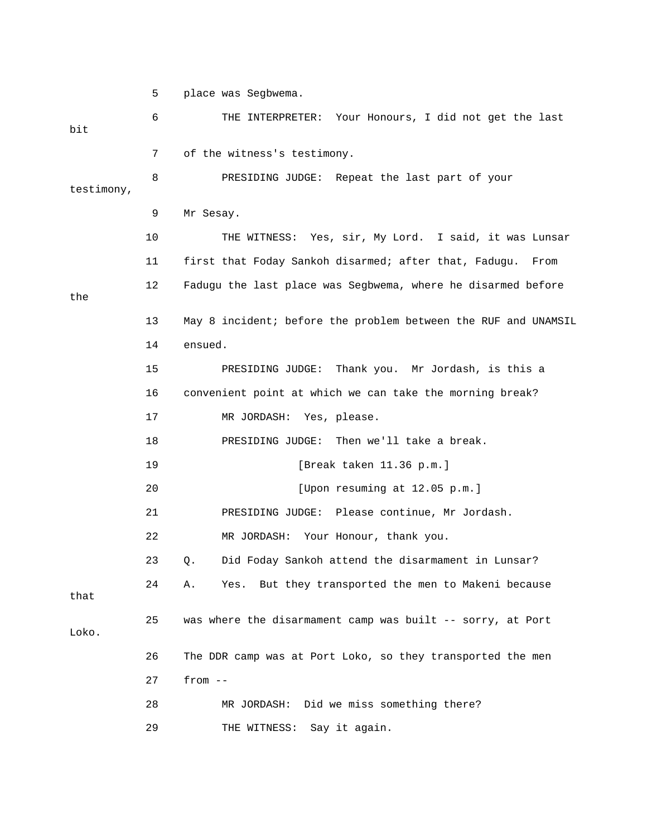5 place was Segbwema.

 6 THE INTERPRETER: Your Honours, I did not get the last bit 7 of the witness's testimony. 8 PRESIDING JUDGE: Repeat the last part of your testimony, 9 Mr Sesay. 10 THE WITNESS: Yes, sir, My Lord. I said, it was Lunsar 11 first that Foday Sankoh disarmed; after that, Fadugu. From 12 Fadugu the last place was Segbwema, where he disarmed before the 13 May 8 incident; before the problem between the RUF and UNAMSIL 14 ensued. 15 PRESIDING JUDGE: Thank you. Mr Jordash, is this a 16 convenient point at which we can take the morning break? 17 MR JORDASH: Yes, please. 18 PRESIDING JUDGE: Then we'll take a break. 19 [Break taken 11.36 p.m.] 20 [Upon resuming at 12.05 p.m.] 21 PRESIDING JUDGE: Please continue, Mr Jordash. 22 MR JORDASH: Your Honour, thank you. 23 Q. Did Foday Sankoh attend the disarmament in Lunsar? 24 A. Yes. But they transported the men to Makeni because that 25 was where the disarmament camp was built -- sorry, at Port Loko. 26 The DDR camp was at Port Loko, so they transported the men 27 from -- 28 MR JORDASH: Did we miss something there? 29 THE WITNESS: Say it again.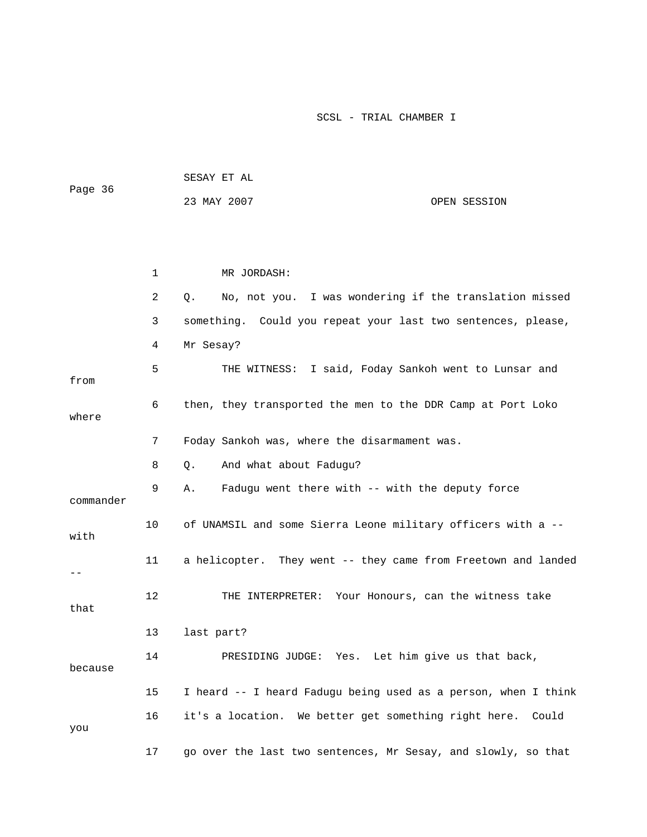| Page 36   |    | SESAY ET AL                                                    |              |
|-----------|----|----------------------------------------------------------------|--------------|
|           |    | 23 MAY 2007                                                    | OPEN SESSION |
|           |    |                                                                |              |
|           |    |                                                                |              |
|           | 1  | MR JORDASH:                                                    |              |
|           | 2  | No, not you. I was wondering if the translation missed<br>Q.   |              |
|           | 3  | something. Could you repeat your last two sentences, please,   |              |
|           | 4  | Mr Sesay?                                                      |              |
| from      | 5  | THE WITNESS: I said, Foday Sankoh went to Lunsar and           |              |
| where     | 6  | then, they transported the men to the DDR Camp at Port Loko    |              |
|           | 7  | Foday Sankoh was, where the disarmament was.                   |              |
|           | 8  | And what about Fadugu?<br>Q.                                   |              |
| commander | 9  | Fadugu went there with -- with the deputy force<br>Α.          |              |
| with      | 10 | of UNAMSIL and some Sierra Leone military officers with a --   |              |
|           | 11 | a helicopter. They went -- they came from Freetown and landed  |              |
| that      | 12 | THE INTERPRETER: Your Honours, can the witness take            |              |
|           | 13 | last part?                                                     |              |
| because   | 14 | PRESIDING JUDGE: Yes. Let him give us that back,               |              |
|           | 15 | I heard -- I heard Fadugu being used as a person, when I think |              |
| you       | 16 | it's a location. We better get something right here. Could     |              |
|           | 17 | go over the last two sentences, Mr Sesay, and slowly, so that  |              |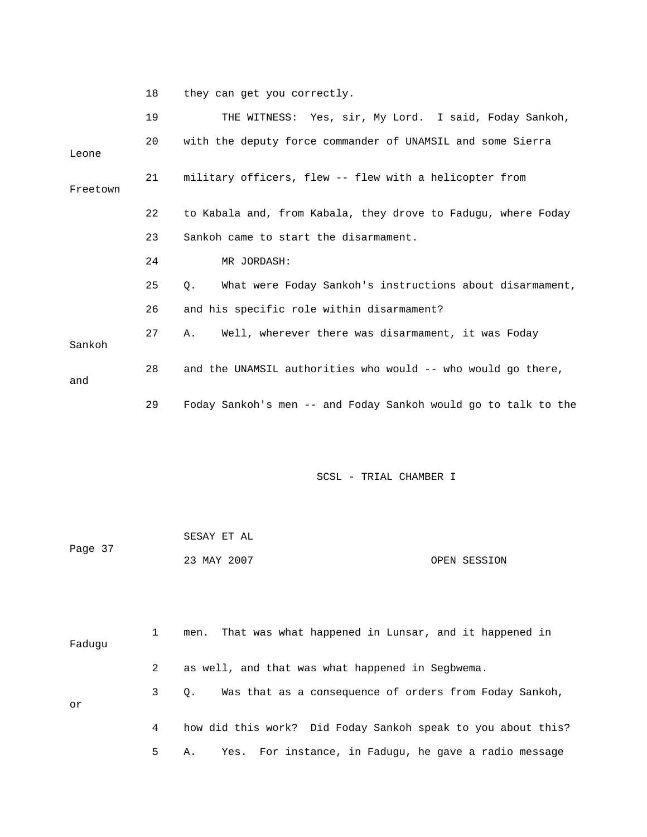18 they can get you correctly.

|          | 19 | THE WITNESS: Yes, sir, My Lord. I said, Foday Sankoh,          |
|----------|----|----------------------------------------------------------------|
| Leone    | 20 | with the deputy force commander of UNAMSIL and some Sierra     |
| Freetown | 21 | military officers, flew -- flew with a helicopter from         |
|          | 22 | to Kabala and, from Kabala, they drove to Fadugu, where Foday  |
|          | 23 | Sankoh came to start the disarmament.                          |
|          | 24 | MR JORDASH:                                                    |
|          | 25 | What were Foday Sankoh's instructions about disarmament,<br>О. |
|          | 26 | and his specific role within disarmament?                      |
| Sankoh   | 27 | Well, wherever there was disarmament, it was Foday<br>Α.       |
| and      | 28 | and the UNAMSIL authorities who would -- who would go there,   |
|          | 29 | Foday Sankoh's men -- and Foday Sankoh would go to talk to the |

| Page 37 | SESAY ET AL |              |
|---------|-------------|--------------|
|         | 23 MAY 2007 | OPEN SESSION |

| Faduqu |     | That was what happened in Lunsar, and it happened in<br>men.        |
|--------|-----|---------------------------------------------------------------------|
|        | 2   | as well, and that was what happened in Segbwema.                    |
| or     | 3 — | Was that as a consequence of orders from Foday Sankoh,<br>$\circ$ . |
|        | 4   | how did this work? Did Foday Sankoh speak to you about this?        |
|        | 5   | Yes. For instance, in Faduqu, he gave a radio message<br>Α.         |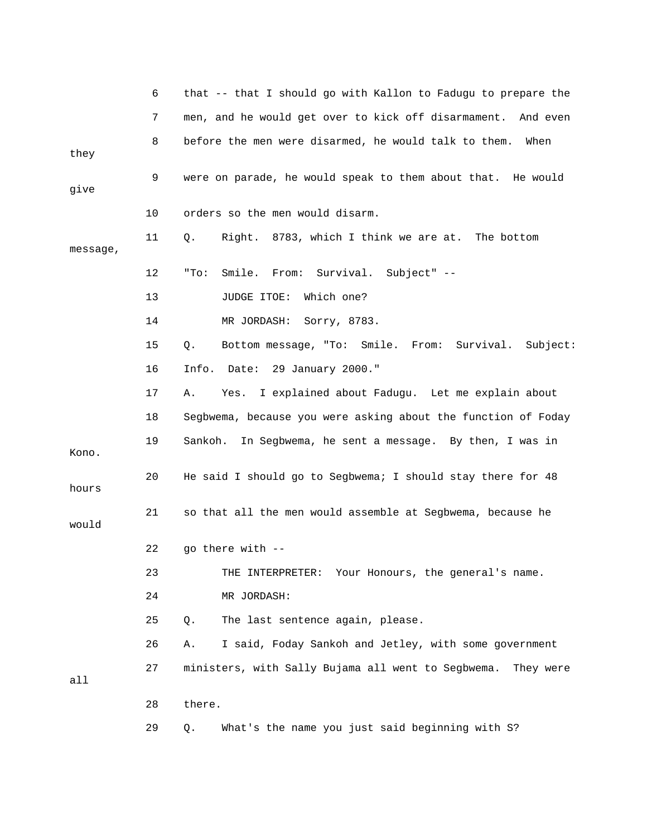|          | 6  | that -- that I should go with Kallon to Fadugu to prepare the   |
|----------|----|-----------------------------------------------------------------|
|          | 7  | men, and he would get over to kick off disarmament.<br>And even |
| they     | 8  | before the men were disarmed, he would talk to them. When       |
| give     | 9  | were on parade, he would speak to them about that. He would     |
|          | 10 | orders so the men would disarm.                                 |
| message, | 11 | Right. 8783, which I think we are at. The bottom<br>Q.          |
|          | 12 | Smile. From: Survival. Subject" --<br>"To:                      |
|          | 13 | JUDGE ITOE:<br>Which one?                                       |
|          | 14 | MR JORDASH:<br>Sorry, 8783.                                     |
|          | 15 | Bottom message, "To: Smile. From: Survival. Subject:<br>$Q$ .   |
|          | 16 | Date: 29 January 2000."<br>Info.                                |
|          | 17 | I explained about Fadugu. Let me explain about<br>Α.<br>Yes.    |
|          | 18 | Segbwema, because you were asking about the function of Foday   |
| Kono.    | 19 | Sankoh.<br>In Segbwema, he sent a message. By then, I was in    |
| hours    | 20 | He said I should go to Segbwema; I should stay there for 48     |
| would    | 21 | so that all the men would assemble at Segbwema, because he      |
|          | 22 | go there with --                                                |
|          | 23 | THE INTERPRETER: Your Honours, the general's name.              |
|          | 24 | MR JORDASH:                                                     |
|          | 25 | The last sentence again, please.<br>Q.                          |
|          | 26 | I said, Foday Sankoh and Jetley, with some government<br>Α.     |
| all      | 27 | ministers, with Sally Bujama all went to Segbwema.<br>They were |
|          | 28 | there.                                                          |
|          | 29 | What's the name you just said beginning with S?<br>Q.           |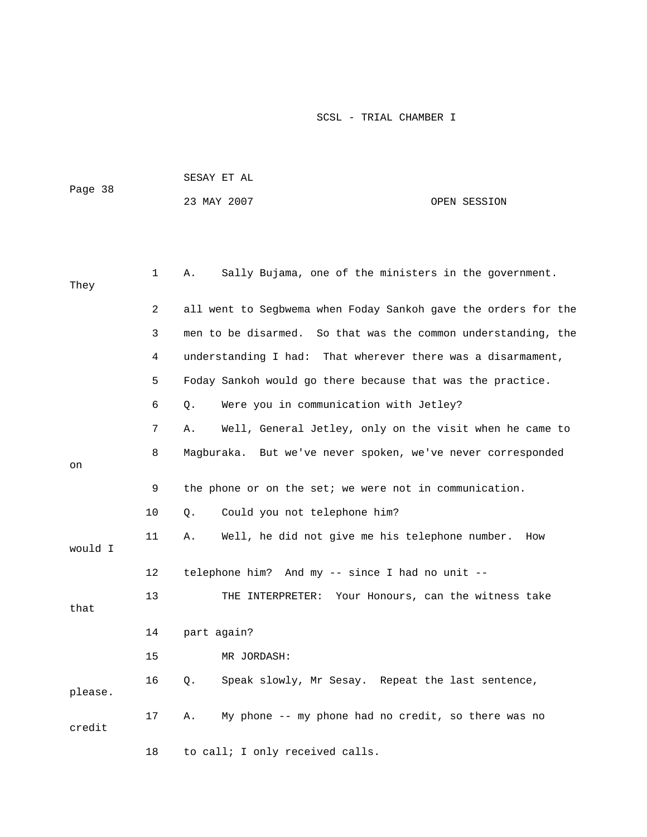|         |              | PROWI TI WT                                                    |
|---------|--------------|----------------------------------------------------------------|
| Page 38 |              | 23 MAY 2007<br>OPEN SESSION                                    |
|         |              |                                                                |
|         |              |                                                                |
|         |              |                                                                |
|         | $\mathbf{1}$ | Sally Bujama, one of the ministers in the government.<br>Α.    |
| They    |              |                                                                |
|         | 2            | all went to Segbwema when Foday Sankoh gave the orders for the |
|         |              |                                                                |
|         | 3            | men to be disarmed. So that was the common understanding, the  |
|         | 4            | understanding I had: That wherever there was a disarmament,    |
|         | 5            | Foday Sankoh would go there because that was the practice.     |
|         | 6            | Were you in communication with Jetley?<br>Q.                   |
|         | 7            | Well, General Jetley, only on the visit when he came to<br>Α.  |
|         | 8            | Magburaka. But we've never spoken, we've never corresponded    |
| on      |              |                                                                |
|         | 9            | the phone or on the set; we were not in communication.         |
|         | 10           | Could you not telephone him?<br>Q.                             |
|         |              |                                                                |
| would I | 11           | Well, he did not give me his telephone number.<br>Α.<br>How    |
|         | 12           | telephone him? And my -- since I had no unit --                |
|         |              |                                                                |
| that    | 13           | THE INTERPRETER: Your Honours, can the witness take            |
|         |              |                                                                |
|         | 14           | part again?                                                    |
|         | 15           | MR JORDASH:                                                    |
|         | 16           | Speak slowly, Mr Sesay. Repeat the last sentence,<br>Q.        |
| please. |              |                                                                |
|         | 17           | My phone -- my phone had no credit, so there was no<br>Α.      |
| credit  |              |                                                                |
|         | 18           | to call; I only received calls.                                |

SESAY ET AL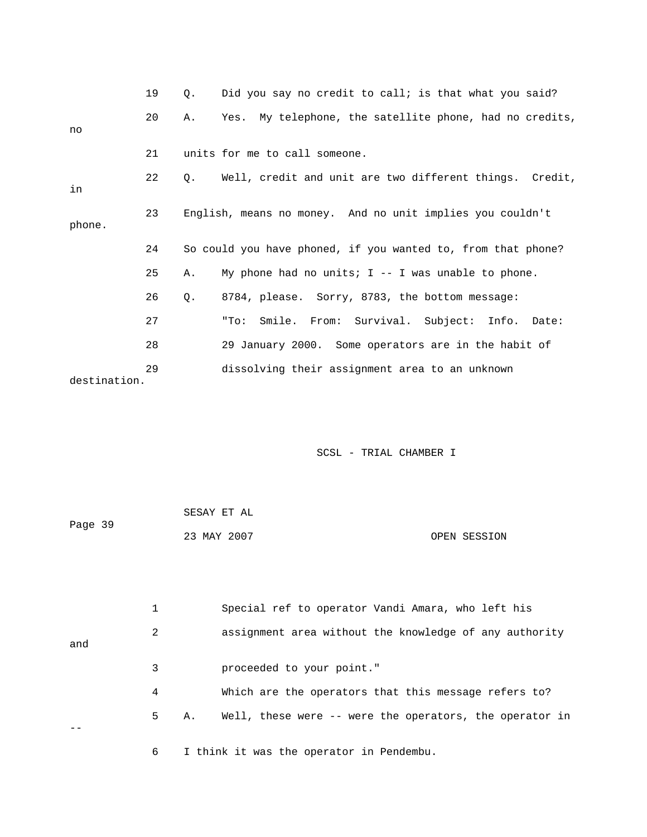|              | 19 | $\circ$ . | Did you say no credit to call; is that what you said?        |
|--------------|----|-----------|--------------------------------------------------------------|
| no           | 20 | Α.        | Yes. My telephone, the satellite phone, had no credits,      |
|              | 21 |           | units for me to call someone.                                |
| in           | 22 | $\circ$ . | Well, credit and unit are two different things. Credit,      |
| phone.       | 23 |           | English, means no money. And no unit implies you couldn't    |
|              | 24 |           | So could you have phoned, if you wanted to, from that phone? |
|              | 25 | Α.        | My phone had no units; $I - - I$ was unable to phone.        |
|              | 26 | $Q$ .     | 8784, please. Sorry, 8783, the bottom message:               |
|              | 27 |           | "To: Smile. From: Survival. Subject: Info. Date:             |
|              | 28 |           | 29 January 2000. Some operators are in the habit of          |
| destination. | 29 |           | dissolving their assignment area to an unknown               |

|         | SESAY ET AL |              |
|---------|-------------|--------------|
| Page 39 |             |              |
|         | 23 MAY 2007 | OPEN SESSION |

 1 Special ref to operator Vandi Amara, who left his 2 assignment area without the knowledge of any authority and 3 proceeded to your point." 4 Which are the operators that this message refers to? 5 A. Well, these were -- were the operators, the operator in -- 6 I think it was the operator in Pendembu.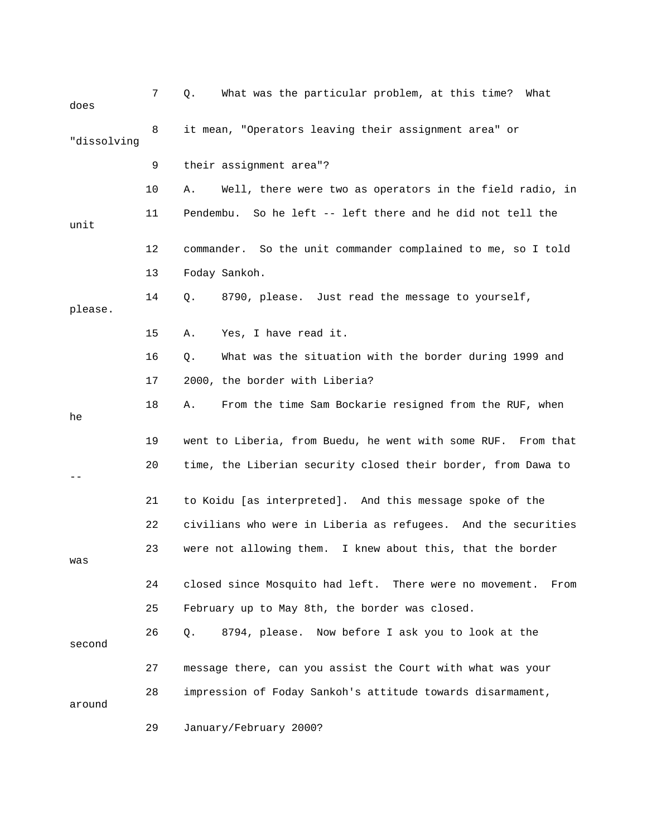| does        | 7  | What was the particular problem, at this time? What<br>Q.       |
|-------------|----|-----------------------------------------------------------------|
| "dissolving | 8  | it mean, "Operators leaving their assignment area" or           |
|             | 9  | their assignment area"?                                         |
|             | 10 | Well, there were two as operators in the field radio, in<br>Α.  |
| unit        | 11 | Pendembu. So he left -- left there and he did not tell the      |
|             | 12 | commander. So the unit commander complained to me, so I told    |
|             | 13 | Foday Sankoh.                                                   |
| please.     | 14 | 8790, please. Just read the message to yourself,<br>Q.          |
|             | 15 | Yes, I have read it.<br>Α.                                      |
|             | 16 | What was the situation with the border during 1999 and<br>Q.    |
|             | 17 | 2000, the border with Liberia?                                  |
| he          | 18 | From the time Sam Bockarie resigned from the RUF, when<br>Α.    |
|             | 19 | went to Liberia, from Buedu, he went with some RUF. From that   |
|             | 20 | time, the Liberian security closed their border, from Dawa to   |
|             | 21 | to Koidu [as interpreted]. And this message spoke of the        |
|             | 22 | civilians who were in Liberia as refugees. And the securities   |
| was         | 23 | were not allowing them. I knew about this, that the border      |
|             | 24 | closed since Mosquito had left. There were no movement.<br>From |
|             | 25 | February up to May 8th, the border was closed.                  |
| second      | 26 | 8794, please. Now before I ask you to look at the<br>Q.         |
|             | 27 | message there, can you assist the Court with what was your      |
| around      | 28 | impression of Foday Sankoh's attitude towards disarmament,      |
|             | 29 | January/February 2000?                                          |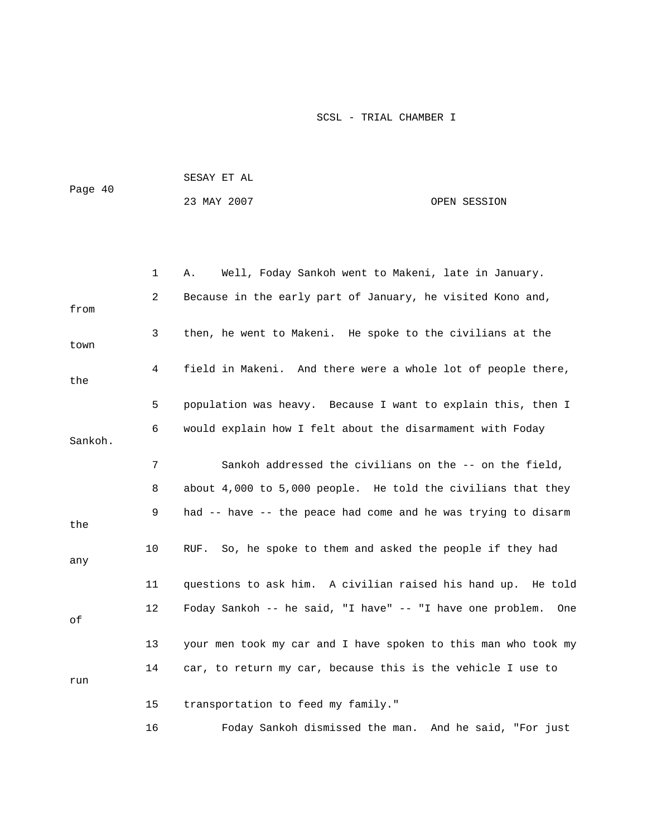|         | SESAY ET AL |              |  |
|---------|-------------|--------------|--|
| Page 40 |             |              |  |
|         | 23 MAY 2007 | OPEN SESSION |  |

|         | $\mathbf{1}$ | Well, Foday Sankoh went to Makeni, late in January.<br>Α.      |
|---------|--------------|----------------------------------------------------------------|
| from    | 2            | Because in the early part of January, he visited Kono and,     |
| town    | $\mathbf{3}$ | then, he went to Makeni. He spoke to the civilians at the      |
| the     | 4            | field in Makeni. And there were a whole lot of people there,   |
|         | 5            | population was heavy. Because I want to explain this, then I   |
| Sankoh. | 6            | would explain how I felt about the disarmament with Foday      |
|         | 7            | Sankoh addressed the civilians on the -- on the field,         |
|         | 8            | about 4,000 to 5,000 people. He told the civilians that they   |
| the     | 9            | had -- have -- the peace had come and he was trying to disarm  |
| any     | 10           | RUF. So, he spoke to them and asked the people if they had     |
|         | 11           | questions to ask him. A civilian raised his hand up. He told   |
| оf      | 12           | Foday Sankoh -- he said, "I have" -- "I have one problem. One  |
|         | 13           | your men took my car and I have spoken to this man who took my |
| run     | 14           | car, to return my car, because this is the vehicle I use to    |
|         | 15           | transportation to feed my family."                             |
|         | 16           | Foday Sankoh dismissed the man. And he said, "For just         |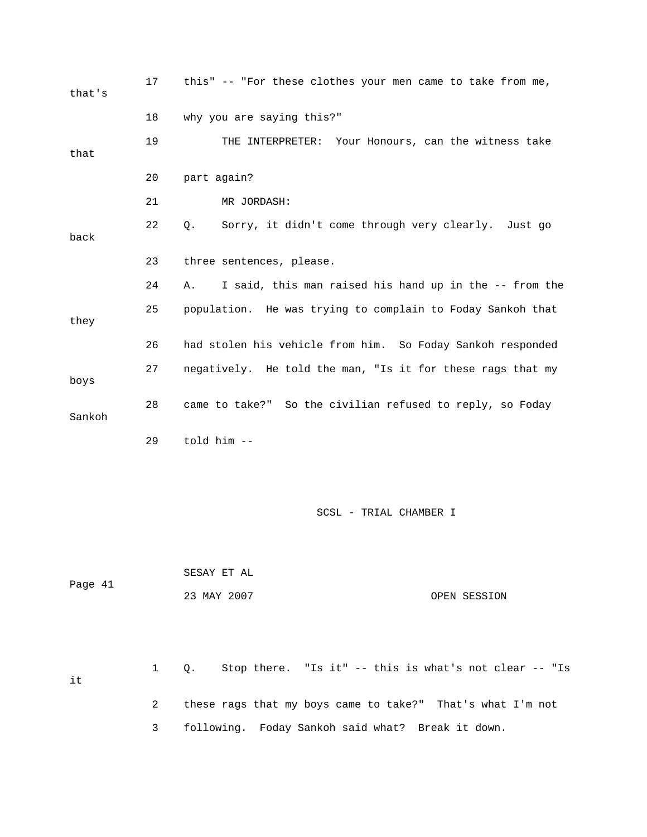| that's  | 17           | this" -- "For these clothes your men came to take from me,   |
|---------|--------------|--------------------------------------------------------------|
|         | 18           | why you are saying this?"                                    |
| that    | 19           | THE INTERPRETER: Your Honours, can the witness take          |
|         | 20           | part again?                                                  |
|         | 21           | MR JORDASH:                                                  |
| back    | 22           | Sorry, it didn't come through very clearly. Just go<br>Q.    |
|         | 23           | three sentences, please.                                     |
|         | 24           | I said, this man raised his hand up in the -- from the<br>Α. |
| they    | 25           | population. He was trying to complain to Foday Sankoh that   |
|         | 26           | had stolen his vehicle from him. So Foday Sankoh responded   |
| boys    | 27           | negatively. He told the man, "Is it for these rags that my   |
| Sankoh  | 28           | came to take?" So the civilian refused to reply, so Foday    |
|         | 29           | told him --                                                  |
|         |              |                                                              |
|         |              | SCSL - TRIAL CHAMBER I                                       |
|         |              | SESAY ET AL                                                  |
| Page 41 |              | 23 MAY 2007<br>OPEN SESSION                                  |
|         |              |                                                              |
| it      | $\mathbf{1}$ | Q. Stop there. "Is it" -- this is what's not clear -- "Is    |
|         | 2            | these rags that my boys came to take?" That's what I'm not   |

3 following. Foday Sankoh said what? Break it down.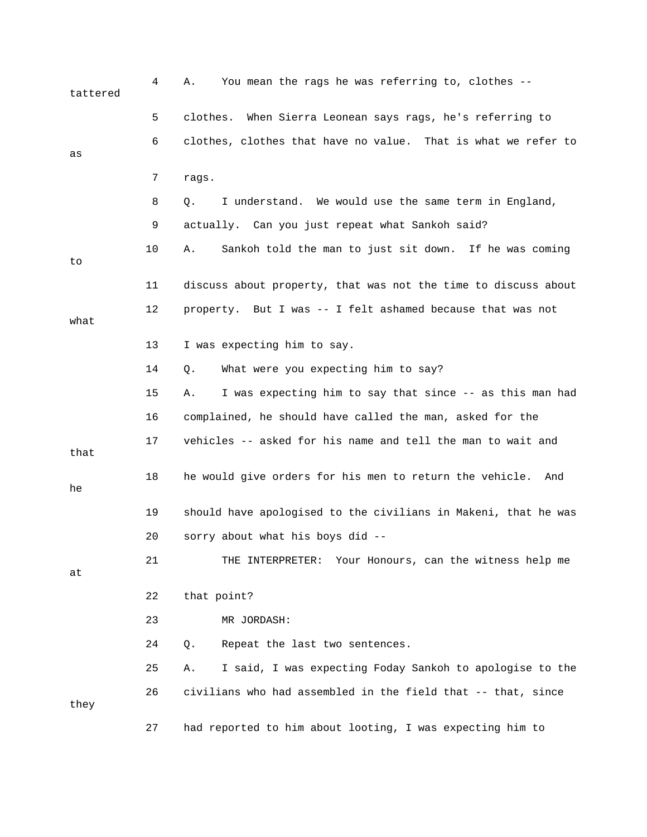| tattered | 4  | You mean the rags he was referring to, clothes --<br>Α.        |
|----------|----|----------------------------------------------------------------|
|          | 5  | When Sierra Leonean says rags, he's referring to<br>clothes.   |
| as       | 6  | clothes, clothes that have no value. That is what we refer to  |
|          | 7  | rags.                                                          |
|          | 8  | I understand. We would use the same term in England,<br>Q.     |
|          | 9  | actually. Can you just repeat what Sankoh said?                |
| to       | 10 | Sankoh told the man to just sit down. If he was coming<br>Α.   |
|          | 11 | discuss about property, that was not the time to discuss about |
| what     | 12 | property. But I was -- I felt ashamed because that was not     |
|          | 13 | I was expecting him to say.                                    |
|          | 14 | What were you expecting him to say?<br>Q.                      |
|          | 15 | I was expecting him to say that since -- as this man had<br>Α. |
|          | 16 | complained, he should have called the man, asked for the       |
| that     | 17 | vehicles -- asked for his name and tell the man to wait and    |
| he       | 18 | he would give orders for his men to return the vehicle. And    |
|          | 19 | should have apologised to the civilians in Makeni, that he was |
|          | 20 | sorry about what his boys did --                               |
| at       | 21 | Your Honours, can the witness help me<br>THE INTERPRETER:      |
|          | 22 | that point?                                                    |
|          | 23 | MR JORDASH:                                                    |
|          | 24 | Repeat the last two sentences.<br>Q.                           |
|          | 25 | I said, I was expecting Foday Sankoh to apologise to the<br>Α. |
| they     | 26 | civilians who had assembled in the field that -- that, since   |
|          | 27 | had reported to him about looting, I was expecting him to      |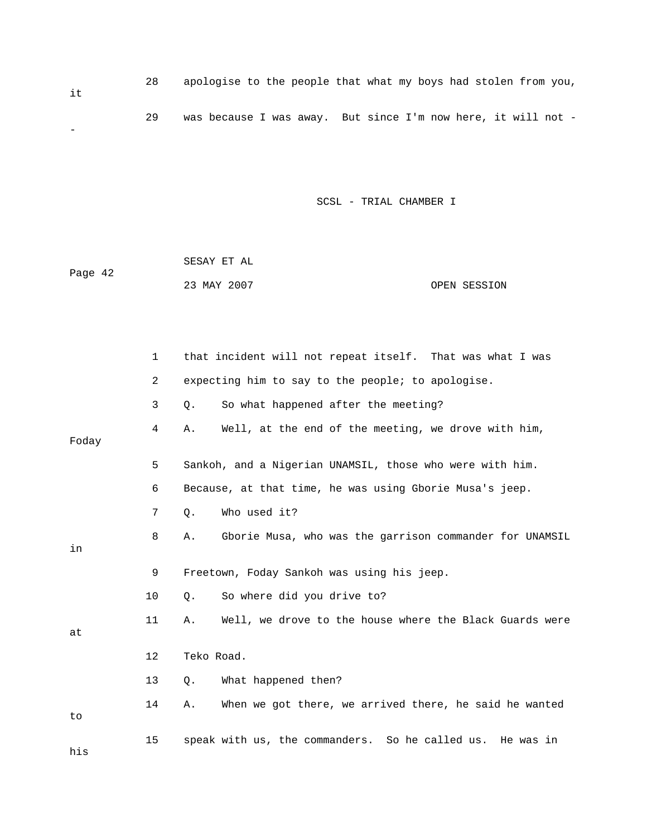| it. | 28 | apologise to the people that what my boys had stolen from you, |
|-----|----|----------------------------------------------------------------|
|     | 29 | was because I was away. But since I'm now here, it will not -  |

| Page 42 | SESAY ET AL |              |
|---------|-------------|--------------|
|         | 23 MAY 2007 | OPEN SESSION |

|       | $\mathbf{1}$ | that incident will not repeat itself. That was what I was     |
|-------|--------------|---------------------------------------------------------------|
|       | 2            | expecting him to say to the people; to apologise.             |
|       | 3            | So what happened after the meeting?<br>Q.                     |
| Foday | 4            | Well, at the end of the meeting, we drove with him,<br>Α.     |
|       | 5            | Sankoh, and a Nigerian UNAMSIL, those who were with him.      |
|       | 6            | Because, at that time, he was using Gborie Musa's jeep.       |
|       | 7            | Who used it?<br>Q.                                            |
| in    | 8            | Gborie Musa, who was the garrison commander for UNAMSIL<br>Α. |
|       | 9            | Freetown, Foday Sankoh was using his jeep.                    |
|       | 10           | So where did you drive to?<br>Q.                              |
| at    | 11           | Well, we drove to the house where the Black Guards were<br>Α. |
|       | 12           | Teko Road.                                                    |
|       | 13           | What happened then?<br>Q.                                     |
| to    | 14           | When we got there, we arrived there, he said he wanted<br>Α.  |
| his   | 15           | speak with us, the commanders. So he called us. He was in     |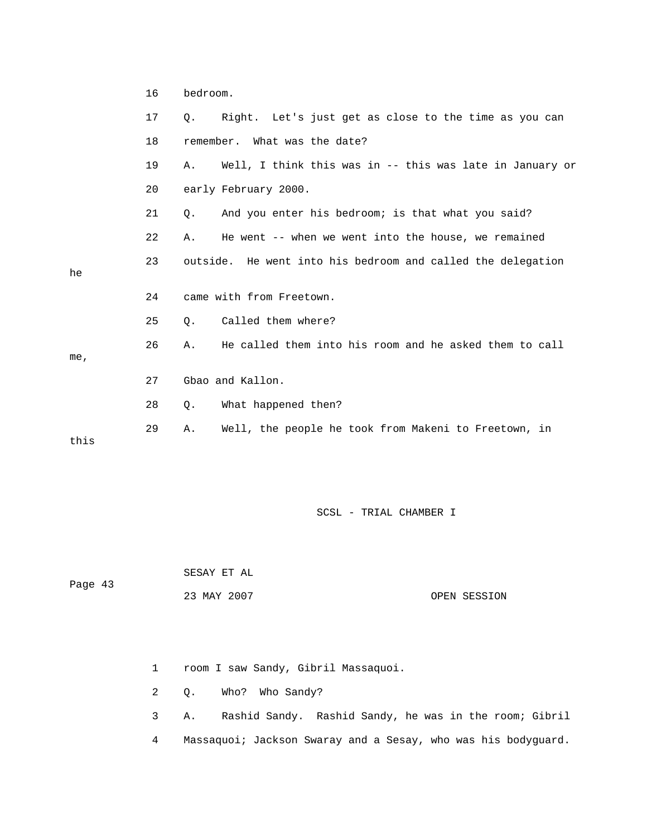|      | 16 | bedroom.                                                       |  |
|------|----|----------------------------------------------------------------|--|
|      | 17 | Right. Let's just get as close to the time as you can<br>0.    |  |
|      | 18 | remember. What was the date?                                   |  |
|      | 19 | Well, I think this was in -- this was late in January or<br>Α. |  |
|      | 20 | early February 2000.                                           |  |
|      | 21 | And you enter his bedroom; is that what you said?<br>Q.        |  |
|      | 22 | He went -- when we went into the house, we remained<br>Α.      |  |
| he   | 23 | outside. He went into his bedroom and called the delegation    |  |
|      | 24 | came with from Freetown.                                       |  |
|      | 25 | Called them where?<br>$Q$ .                                    |  |
| me,  | 26 | He called them into his room and he asked them to call<br>Α.   |  |
|      | 27 | Gbao and Kallon.                                               |  |
|      | 28 | What happened then?<br>$Q$ .                                   |  |
| this | 29 | Well, the people he took from Makeni to Freetown, in<br>Α.     |  |

Page 43

SESAY ET AL

23 MAY 2007 OPEN SESSION

1 room I saw Sandy, Gibril Massaquoi.

2 Q. Who? Who Sandy?

 3 A. Rashid Sandy. Rashid Sandy, he was in the room; Gibril 4 Massaquoi; Jackson Swaray and a Sesay, who was his bodyguard.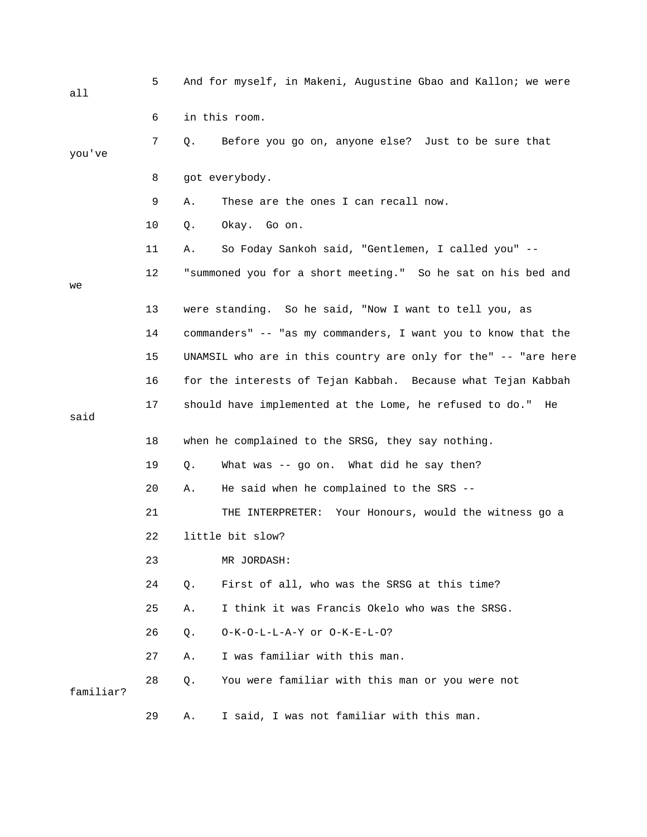| all       | 5  | And for myself, in Makeni, Augustine Gbao and Kallon; we were  |
|-----------|----|----------------------------------------------------------------|
|           | 6  | in this room.                                                  |
| you've    | 7  | Before you go on, anyone else? Just to be sure that<br>Q.      |
|           | 8  | got everybody.                                                 |
|           | 9  | These are the ones I can recall now.<br>Α.                     |
|           | 10 | Okay. Go on.<br>Q.                                             |
|           | 11 | So Foday Sankoh said, "Gentlemen, I called you" --<br>Α.       |
| we        | 12 | "summoned you for a short meeting." So he sat on his bed and   |
|           | 13 | were standing. So he said, "Now I want to tell you, as         |
|           | 14 | commanders" -- "as my commanders, I want you to know that the  |
|           | 15 | UNAMSIL who are in this country are only for the" -- "are here |
|           | 16 | for the interests of Tejan Kabbah. Because what Tejan Kabbah   |
| said      | 17 | should have implemented at the Lome, he refused to do." He     |
|           | 18 | when he complained to the SRSG, they say nothing.              |
|           | 19 | What was -- go on. What did he say then?<br>Q.                 |
|           | 20 | He said when he complained to the SRS --<br>Α.                 |
|           | 21 | THE INTERPRETER: Your Honours, would the witness go a          |
|           | 22 | little bit slow?                                               |
|           | 23 | MR JORDASH:                                                    |
|           | 24 | First of all, who was the SRSG at this time?<br>$Q$ .          |
|           | 25 | I think it was Francis Okelo who was the SRSG.<br>Α.           |
|           | 26 | O-K-O-L-L-A-Y or O-K-E-L-O?<br>О.                              |
|           | 27 | I was familiar with this man.<br>Α.                            |
| familiar? | 28 | $Q$ .<br>You were familiar with this man or you were not       |
|           | 29 | I said, I was not familiar with this man.<br>Α.                |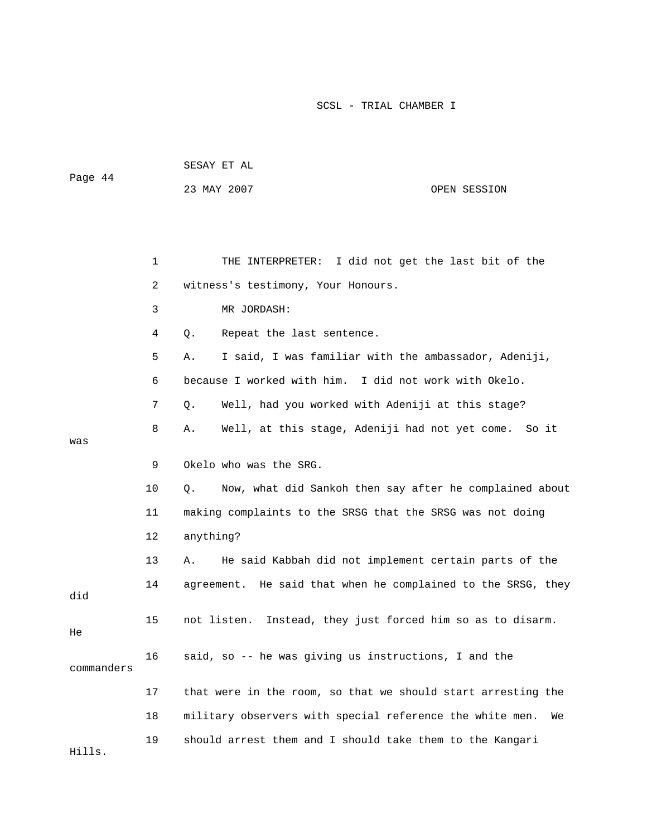| Page 44 | SESAY ET AL |              |
|---------|-------------|--------------|
|         | 23 MAY 2007 | OPEN SESSION |

|            | 1              | I did not get the last bit of the<br>THE INTERPRETER:          |
|------------|----------------|----------------------------------------------------------------|
|            | $\overline{a}$ | witness's testimony, Your Honours.                             |
|            | 3              | MR JORDASH:                                                    |
|            | 4              | Repeat the last sentence.<br>Q.                                |
|            | 5              | I said, I was familiar with the ambassador, Adeniji,<br>Α.     |
|            | 6              | because I worked with him.<br>I did not work with Okelo.       |
|            | 7              | Well, had you worked with Adeniji at this stage?<br>Q.         |
| was        | 8              | Well, at this stage, Adeniji had not yet come.<br>So it<br>Α.  |
|            | 9              | Okelo who was the SRG.                                         |
|            | 10             | Now, what did Sankoh then say after he complained about<br>Q.  |
|            | 11             | making complaints to the SRSG that the SRSG was not doing      |
|            | 12             | anything?                                                      |
|            | 13             | He said Kabbah did not implement certain parts of the<br>Α.    |
| did        | 14             | agreement. He said that when he complained to the SRSG, they   |
| He         | 15             | not listen.<br>Instead, they just forced him so as to disarm.  |
| commanders | 16             | said, so -- he was giving us instructions, I and the           |
|            | 17             | that were in the room, so that we should start arresting the   |
|            | 18             | military observers with special reference the white men.<br>We |
| Hills.     | 19             | should arrest them and I should take them to the Kangari       |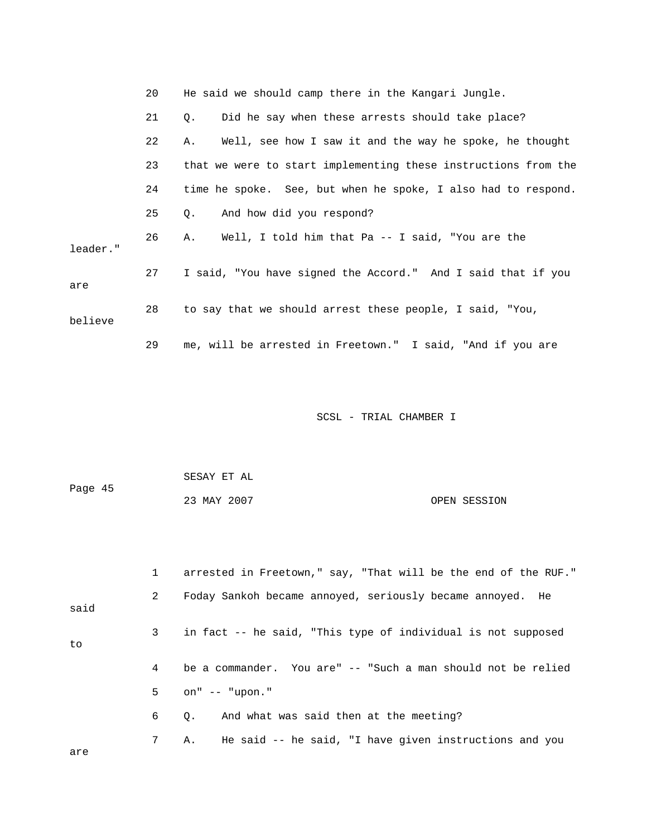|          | 20 | He said we should camp there in the Kangari Jungle.            |
|----------|----|----------------------------------------------------------------|
|          | 21 | Did he say when these arrests should take place?<br>Q.         |
|          | 22 | Well, see how I saw it and the way he spoke, he thought<br>Α.  |
|          | 23 | that we were to start implementing these instructions from the |
|          | 24 | time he spoke. See, but when he spoke, I also had to respond.  |
|          | 25 | And how did you respond?<br>Q.                                 |
| leader." | 26 | Well, I told him that Pa -- I said, "You are the<br>A.         |
| are      | 27 | I said, "You have signed the Accord." And I said that if you   |
| believe  | 28 | to say that we should arrest these people, I said, "You,       |
|          | 29 | me, will be arrested in Freetown." I said, "And if you are     |

|         | SESAY ET AL |              |
|---------|-------------|--------------|
| Page 45 |             |              |
|         | 23 MAY 2007 | OPEN SESSION |

|      |                | arrested in Freetown," say, "That will be the end of the RUF." |
|------|----------------|----------------------------------------------------------------|
| said | $\mathbf{2}$   | Foday Sankoh became annoyed, seriously became annoyed. He      |
| to   | 3 <sup>7</sup> | in fact -- he said, "This type of individual is not supposed   |
|      | 4              | be a commander. You are" -- "Such a man should not be relied   |
|      | 5 <sup>1</sup> | on" -- "upon."                                                 |
|      | 6              | And what was said then at the meeting?<br>$\circ$ .            |
| are  | 7              | He said -- he said, "I have given instructions and you<br>Α.   |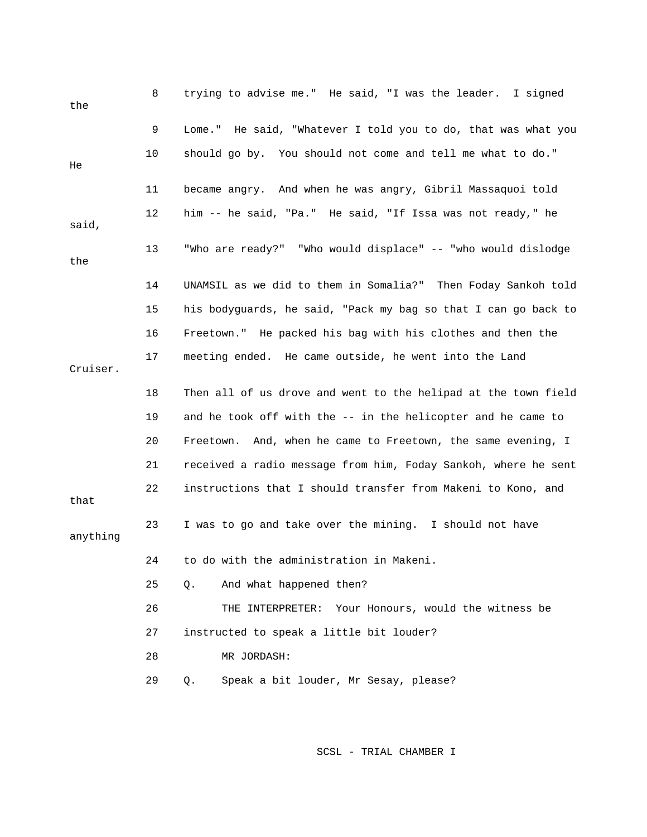| the      | 8  | trying to advise me." He said, "I was the leader. I signed     |
|----------|----|----------------------------------------------------------------|
|          | 9  | Lome." He said, "Whatever I told you to do, that was what you  |
| He       | 10 | should go by. You should not come and tell me what to do."     |
|          | 11 | became angry. And when he was angry, Gibril Massaquoi told     |
| said,    | 12 | him -- he said, "Pa." He said, "If Issa was not ready," he     |
| the      | 13 | "Who are ready?" "Who would displace" -- "who would dislodge   |
|          | 14 | UNAMSIL as we did to them in Somalia?" Then Foday Sankoh told  |
|          | 15 | his bodyguards, he said, "Pack my bag so that I can go back to |
|          | 16 | Freetown." He packed his bag with his clothes and then the     |
| Cruiser. | 17 | meeting ended. He came outside, he went into the Land          |
|          | 18 | Then all of us drove and went to the helipad at the town field |
|          | 19 | and he took off with the -- in the helicopter and he came to   |
|          | 20 | Freetown. And, when he came to Freetown, the same evening, I   |
|          | 21 | received a radio message from him, Foday Sankoh, where he sent |
| that     | 22 | instructions that I should transfer from Makeni to Kono, and   |
| anything | 23 | I was to go and take over the mining. I should not have        |
|          | 24 | to do with the administration in Makeni.                       |
|          | 25 | Q.<br>And what happened then?                                  |
|          | 26 | Your Honours, would the witness be<br>THE INTERPRETER:         |
|          | 27 | instructed to speak a little bit louder?                       |
|          | 28 | MR JORDASH:                                                    |
|          | 29 | Speak a bit louder, Mr Sesay, please?<br>Q.                    |
|          |    |                                                                |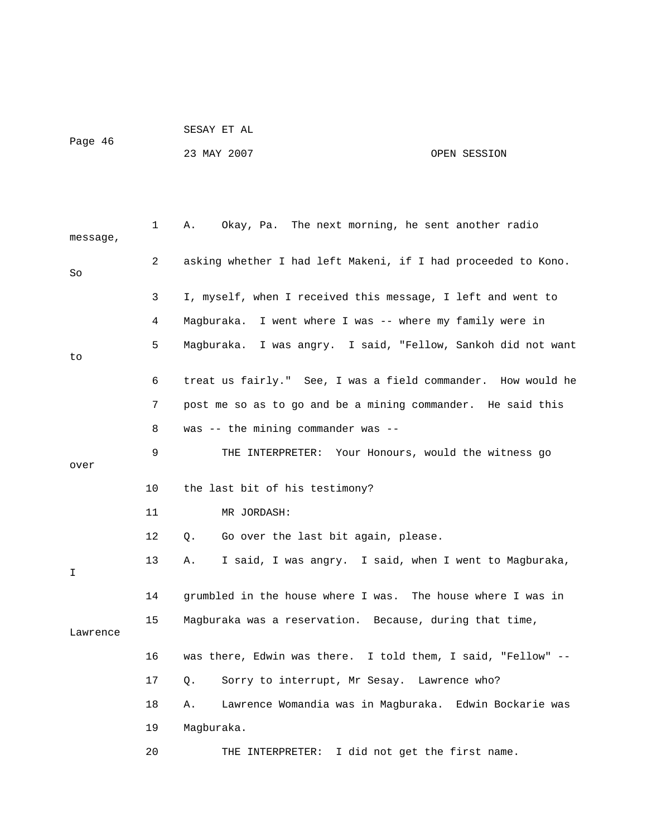# Page 46

SESAY ET AL

## 23 MAY 2007 OPEN SESSION

| message, | $\mathbf 1$ | Okay, Pa. The next morning, he sent another radio<br>Α.         |
|----------|-------------|-----------------------------------------------------------------|
| So       | 2           | asking whether I had left Makeni, if I had proceeded to Kono.   |
|          | 3           | I, myself, when I received this message, I left and went to     |
|          | 4           | Maqburaka.<br>I went where I was -- where my family were in     |
| to       | 5           | I was angry. I said, "Fellow, Sankoh did not want<br>Maqburaka. |
|          | 6           | treat us fairly." See, I was a field commander. How would he    |
|          | 7           | post me so as to go and be a mining commander. He said this     |
|          | 8           | was $--$ the mining commander was $--$                          |
| over     | 9           | THE INTERPRETER: Your Honours, would the witness go             |
|          | 10          | the last bit of his testimony?                                  |
|          | 11          | MR JORDASH:                                                     |
|          | 12          | Go over the last bit again, please.<br>Q.                       |
| I        | 13          | I said, I was angry. I said, when I went to Magburaka,<br>Α.    |
|          | 14          | grumbled in the house where I was. The house where I was in     |
| Lawrence | 15          | Magburaka was a reservation. Because, during that time,         |
|          | 16          | was there, Edwin was there. I told them, I said, "Fellow" --    |
|          | 17          | Sorry to interrupt, Mr Sesay. Lawrence who?<br>Q.               |
|          | 18          | Lawrence Womandia was in Magburaka. Edwin Bockarie was<br>Α.    |
|          | 19          | Magburaka.                                                      |
|          | 20          | I did not get the first name.<br>THE INTERPRETER:               |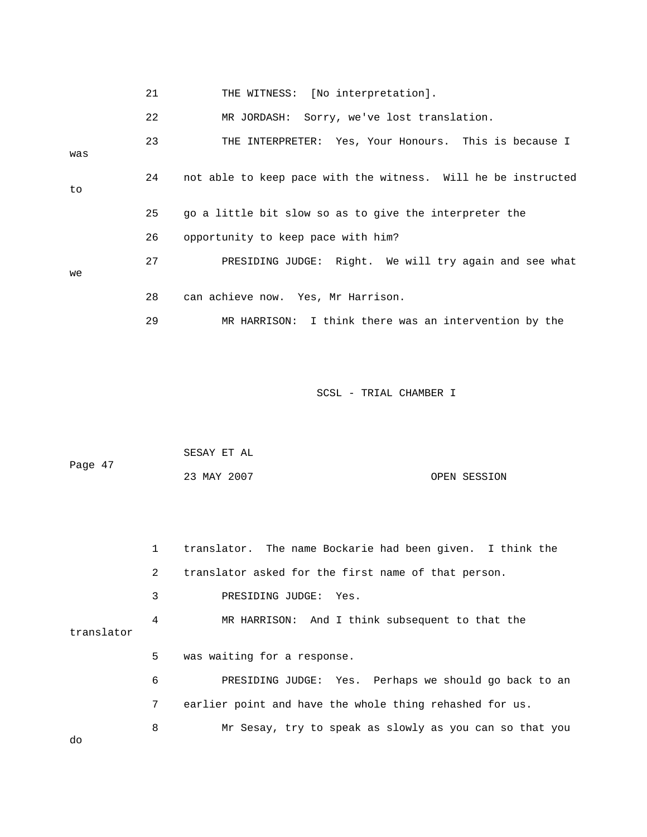|     | 21 | THE WITNESS: [No interpretation].                             |
|-----|----|---------------------------------------------------------------|
|     | 22 | MR JORDASH: Sorry, we've lost translation.                    |
| was | 23 | THE INTERPRETER: Yes, Your Honours. This is because I         |
| to  | 24 | not able to keep pace with the witness. Will he be instructed |
|     | 25 | go a little bit slow so as to give the interpreter the        |
|     | 26 | opportunity to keep pace with him?                            |
| we  | 27 | PRESIDING JUDGE: Right. We will try again and see what        |
|     | 28 | can achieve now. Yes, Mr Harrison.                            |
|     | 29 | MR HARRISON: I think there was an intervention by the         |

| Page 47 | SESAY ET AL |              |
|---------|-------------|--------------|
|         | 23 MAY 2007 | OPEN SESSION |

|            | $\mathbf{1}$   | translator. The name Bockarie had been given. I think the |
|------------|----------------|-----------------------------------------------------------|
|            | $\overline{2}$ | translator asked for the first name of that person.       |
|            | 3              | PRESIDING JUDGE: Yes.                                     |
| translator | 4              | MR HARRISON: And I think subsequent to that the           |
|            | 5              | was waiting for a response.                               |
|            | 6              | PRESIDING JUDGE: Yes. Perhaps we should go back to an     |
|            | 7              | earlier point and have the whole thing rehashed for us.   |
| do         | 8              | Mr Sesay, try to speak as slowly as you can so that you   |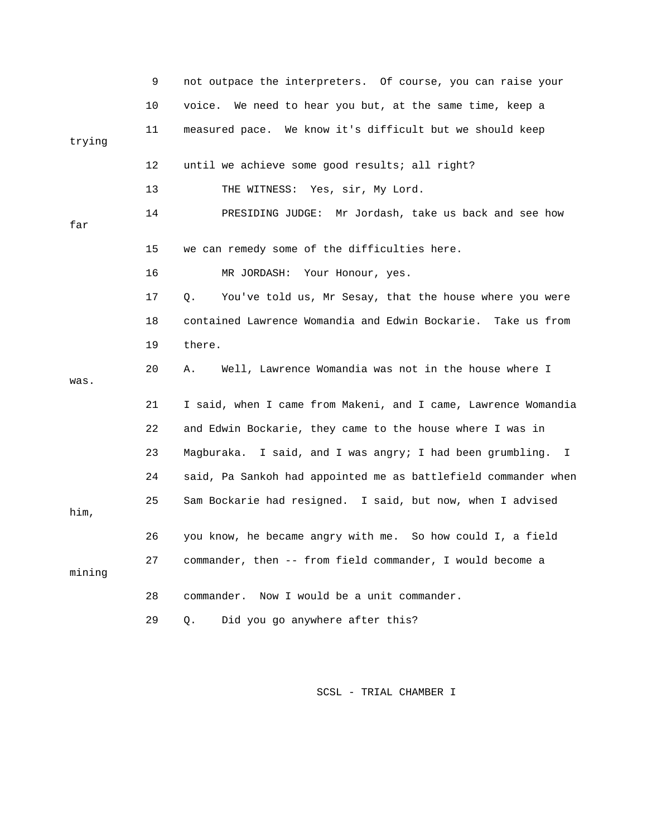|        | 9  | not outpace the interpreters. Of course, you can raise your     |
|--------|----|-----------------------------------------------------------------|
|        | 10 | voice. We need to hear you but, at the same time, keep a        |
| trying | 11 | measured pace. We know it's difficult but we should keep        |
|        | 12 | until we achieve some good results; all right?                  |
|        | 13 | THE WITNESS: Yes, sir, My Lord.                                 |
| far    | 14 | PRESIDING JUDGE: Mr Jordash, take us back and see how           |
|        | 15 | we can remedy some of the difficulties here.                    |
|        | 16 | MR JORDASH: Your Honour, yes.                                   |
|        | 17 | You've told us, Mr Sesay, that the house where you were<br>Q.   |
|        | 18 | contained Lawrence Womandia and Edwin Bockarie.<br>Take us from |
|        | 19 | there.                                                          |
| was.   | 20 | Well, Lawrence Womandia was not in the house where I<br>Α.      |
|        | 21 | I said, when I came from Makeni, and I came, Lawrence Womandia  |
|        | 22 | and Edwin Bockarie, they came to the house where I was in       |
|        | 23 | Magburaka. I said, and I was angry; I had been grumbling. I     |
|        | 24 | said, Pa Sankoh had appointed me as battlefield commander when  |
| him,   | 25 | Sam Bockarie had resigned. I said, but now, when I advised      |
|        | 26 | you know, he became angry with me. So how could I, a field      |
| mining | 27 | commander, then -- from field commander, I would become a       |
|        | 28 | Now I would be a unit commander.<br>commander.                  |
|        | 29 | Did you go anywhere after this?<br>Q.                           |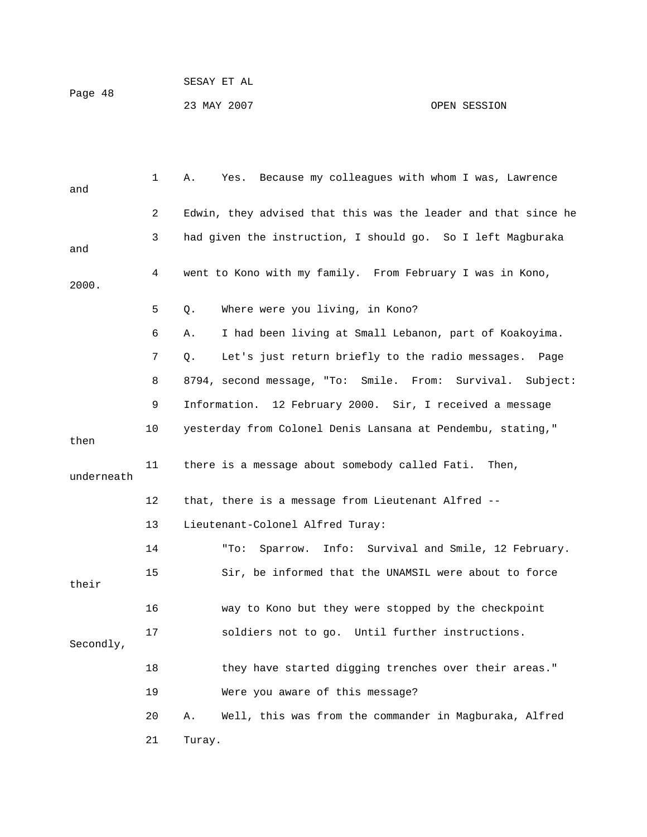1 A. Yes. Because my colleagues with whom I was, Lawrence and 2 Edwin, they advised that this was the leader and that since he 3 had given the instruction, I should go. So I left Magburaka and 4 went to Kono with my family. From February I was in Kono, 2000. 5 Q. Where were you living, in Kono? 6 A. I had been living at Small Lebanon, part of Koakoyima. 7 Q. Let's just return briefly to the radio messages. Page 8 8794, second message, "To: Smile. From: Survival. Subject: 9 Information. 12 February 2000. Sir, I received a message 10 yesterday from Colonel Denis Lansana at Pendembu, stating," then 11 there is a message about somebody called Fati. Then, underneath 12 that, there is a message from Lieutenant Alfred -- 13 Lieutenant-Colonel Alfred Turay: 14 "To: Sparrow. Info: Survival and Smile, 12 February. 15 Sir, be informed that the UNAMSIL were about to force their 16 way to Kono but they were stopped by the checkpoint 17 soldiers not to go. Until further instructions. Secondly, 18 they have started digging trenches over their areas." 19 Were you aware of this message? 20 A. Well, this was from the commander in Magburaka, Alfred 21 Turay.

23 MAY 2007 OPEN SESSION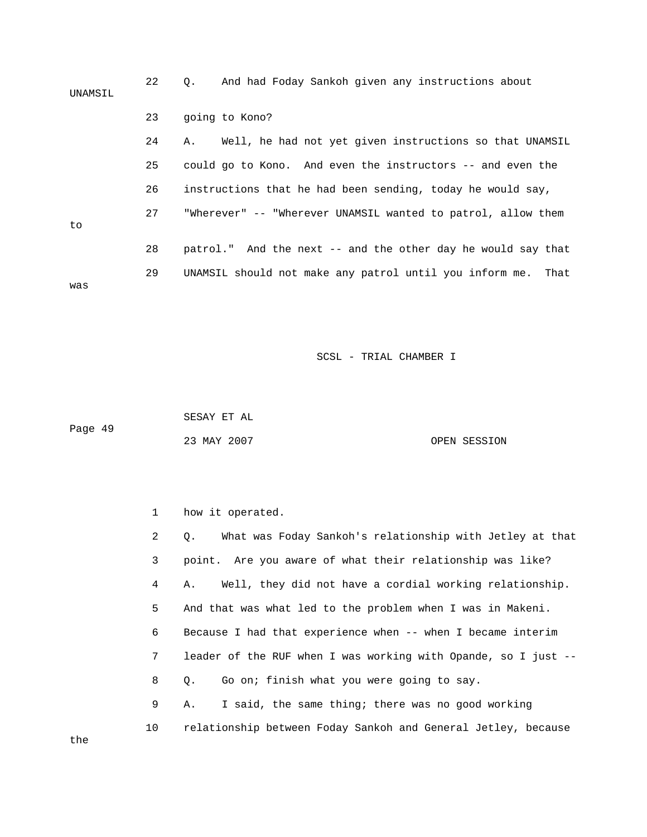| UNAMSIL | 22 | And had Foday Sankoh given any instructions about<br>Q.       |
|---------|----|---------------------------------------------------------------|
|         | 23 | going to Kono?                                                |
|         | 24 | Well, he had not yet given instructions so that UNAMSIL<br>Α. |
|         | 25 | could go to Kono. And even the instructors -- and even the    |
|         | 26 | instructions that he had been sending, today he would say,    |
| to      | 27 | "Wherever" -- "Wherever UNAMSIL wanted to patrol, allow them  |
|         | 28 | patrol." And the next -- and the other day he would say that  |
| was     | 29 | UNAMSIL should not make any patrol until you inform me. That  |

 SESAY ET AL Page 49 23 MAY 2007 OPEN SESSION

| $\mathbf 1$    | how it operated.                                               |
|----------------|----------------------------------------------------------------|
| $\overline{2}$ | Q. What was Foday Sankoh's relationship with Jetley at that    |
| 3              | point. Are you aware of what their relationship was like?      |
| 4              | A. Well, they did not have a cordial working relationship.     |
| 5              | And that was what led to the problem when I was in Makeni.     |
| 6              | Because I had that experience when -- when I became interim    |
| $7\phantom{.}$ | leader of the RUF when I was working with Opande, so I just -- |
| 8              | Go on; finish what you were going to say.<br>Q.                |
| 9              | I said, the same thing; there was no good working<br>Α.        |
| 10             | relationship between Foday Sankoh and General Jetley, because  |

the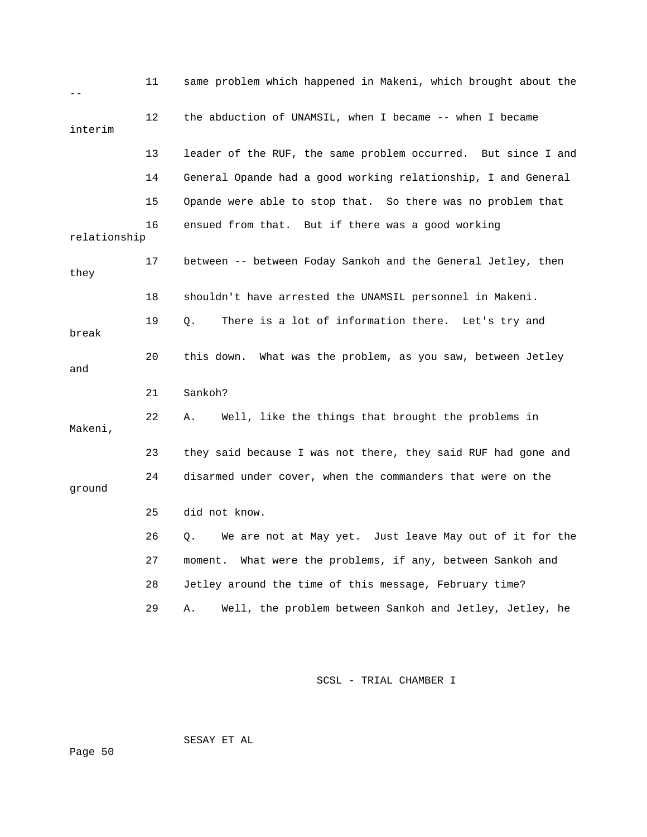|              | 11 | same problem which happened in Makeni, which brought about the |
|--------------|----|----------------------------------------------------------------|
| interim      | 12 | the abduction of UNAMSIL, when I became -- when I became       |
|              | 13 | leader of the RUF, the same problem occurred. But since I and  |
|              | 14 | General Opande had a good working relationship, I and General  |
|              | 15 | Opande were able to stop that. So there was no problem that    |
| relationship | 16 | ensued from that. But if there was a good working              |
| they         | 17 | between -- between Foday Sankoh and the General Jetley, then   |
|              | 18 | shouldn't have arrested the UNAMSIL personnel in Makeni.       |
| break        | 19 | There is a lot of information there. Let's try and<br>О.       |
| and          | 20 | What was the problem, as you saw, between Jetley<br>this down. |
|              | 21 | Sankoh?                                                        |
| Makeni,      | 22 | Well, like the things that brought the problems in<br>Α.       |
|              | 23 | they said because I was not there, they said RUF had gone and  |
| ground       | 24 | disarmed under cover, when the commanders that were on the     |
|              | 25 | did not know.                                                  |
|              | 26 | We are not at May yet. Just leave May out of it for the<br>Q.  |
|              | 27 | What were the problems, if any, between Sankoh and<br>moment.  |
|              | 28 | Jetley around the time of this message, February time?         |
|              | 29 | Well, the problem between Sankoh and Jetley, Jetley, he<br>Α.  |

SESAY ET AL

Page 50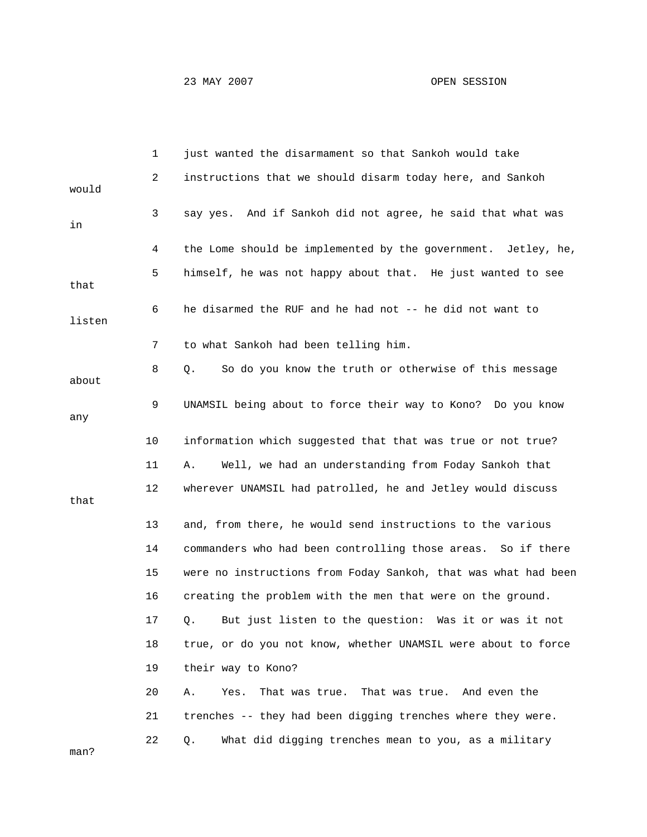23 MAY 2007 OPEN SESSION

|        | 1  | just wanted the disarmament so that Sankoh would take          |
|--------|----|----------------------------------------------------------------|
| would  | 2  | instructions that we should disarm today here, and Sankoh      |
| in     | 3  | say yes. And if Sankoh did not agree, he said that what was    |
|        | 4  | the Lome should be implemented by the government. Jetley, he,  |
| that   | 5  | himself, he was not happy about that. He just wanted to see    |
| listen | 6  | he disarmed the RUF and he had not -- he did not want to       |
|        | 7  | to what Sankoh had been telling him.                           |
| about  | 8  | So do you know the truth or otherwise of this message<br>Q.    |
| any    | 9  | UNAMSIL being about to force their way to Kono? Do you know    |
|        | 10 | information which suggested that that was true or not true?    |
|        | 11 | Well, we had an understanding from Foday Sankoh that<br>Α.     |
| that   | 12 | wherever UNAMSIL had patrolled, he and Jetley would discuss    |
|        | 13 | and, from there, he would send instructions to the various     |
|        | 14 | commanders who had been controlling those areas. So if there   |
|        | 15 | were no instructions from Foday Sankoh, that was what had been |
|        | 16 | creating the problem with the men that were on the ground.     |
|        | 17 | But just listen to the question: Was it or was it not<br>Q.    |
|        | 18 | true, or do you not know, whether UNAMSIL were about to force  |
|        | 19 | their way to Kono?                                             |
|        | 20 | That was true. And even the<br>Yes.<br>That was true.<br>Α.    |
|        | 21 | trenches -- they had been digging trenches where they were.    |
| man?   | 22 | What did digging trenches mean to you, as a military<br>Q.     |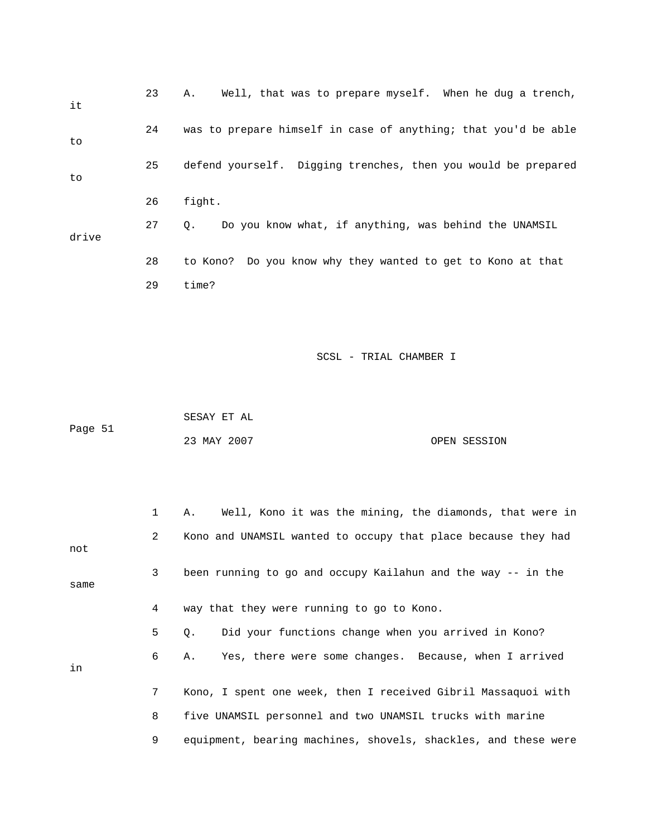| it    | 23 | Well, that was to prepare myself. When he dug a trench,<br>Α.  |
|-------|----|----------------------------------------------------------------|
| to    | 24 | was to prepare himself in case of anything; that you'd be able |
| to    | 25 | defend yourself. Digging trenches, then you would be prepared  |
|       | 26 | fight.                                                         |
| drive | 27 | Do you know what, if anything, was behind the UNAMSIL<br>Q.    |
|       | 28 | to Kono? Do you know why they wanted to get to Kono at that    |
|       | 29 | time?                                                          |
|       |    |                                                                |
|       |    |                                                                |
|       |    | SCSL - TRIAL CHAMBER I                                         |

 SESAY ET AL Page 51 23 MAY 2007 OPEN SESSION

|      | $\mathbf{1}$ | Well, Kono it was the mining, the diamonds, that were in<br>Α. |
|------|--------------|----------------------------------------------------------------|
| not  | $\mathbf{2}$ | Kono and UNAMSIL wanted to occupy that place because they had  |
| same | 3            | been running to go and occupy Kailahun and the way -- in the   |
|      | 4            | way that they were running to go to Kono.                      |
|      | 5            | Did your functions change when you arrived in Kono?<br>О.      |
| in   | 6            | Yes, there were some changes. Because, when I arrived<br>Α.    |
|      | $7^{\circ}$  | Kono, I spent one week, then I received Gibril Massaquoi with  |
|      | 8            | five UNAMSIL personnel and two UNAMSIL trucks with marine      |
|      | 9            | equipment, bearing machines, shovels, shackles, and these were |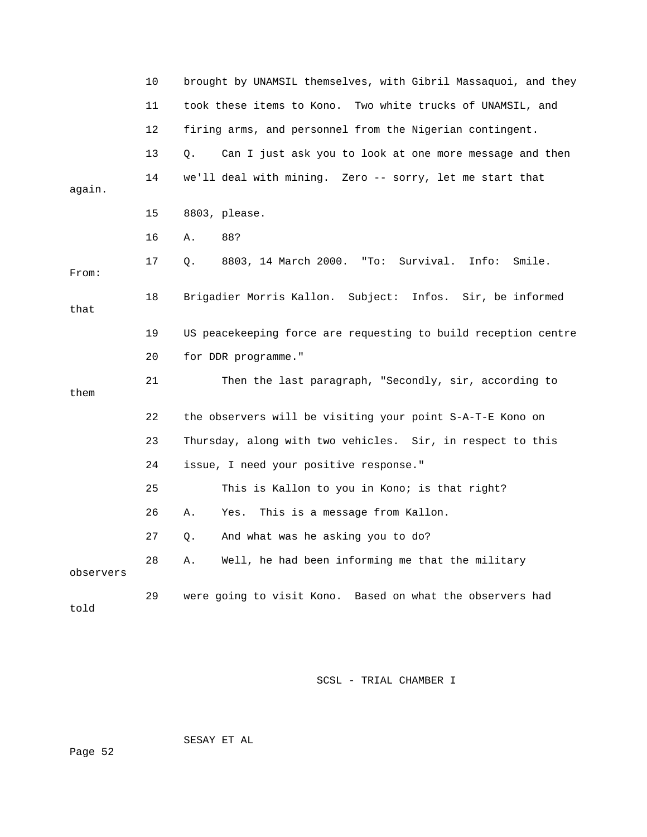|           | 10 | brought by UNAMSIL themselves, with Gibril Massaquoi, and they |
|-----------|----|----------------------------------------------------------------|
|           | 11 | took these items to Kono. Two white trucks of UNAMSIL, and     |
|           | 12 | firing arms, and personnel from the Nigerian contingent.       |
|           | 13 | Q.<br>Can I just ask you to look at one more message and then  |
| again.    | 14 | we'll deal with mining. Zero -- sorry, let me start that       |
|           | 15 | 8803, please.                                                  |
|           | 16 | 88?<br>Α.                                                      |
| From:     | 17 | 8803, 14 March 2000. "To: Survival. Info:<br>Smile.<br>Q.      |
| that      | 18 | Brigadier Morris Kallon. Subject: Infos. Sir, be informed      |
|           | 19 | US peacekeeping force are requesting to build reception centre |
|           | 20 | for DDR programme."                                            |
| them      | 21 | Then the last paragraph, "Secondly, sir, according to          |
|           | 22 | the observers will be visiting your point S-A-T-E Kono on      |
|           | 23 | Thursday, along with two vehicles. Sir, in respect to this     |
|           | 24 | issue, I need your positive response."                         |
|           | 25 | This is Kallon to you in Kono; is that right?                  |
|           | 26 | This is a message from Kallon.<br>Α.<br>Yes.                   |
|           | 27 | And what was he asking you to do?<br>Q.                        |
| observers | 28 | Well, he had been informing me that the military<br>Α.         |
|           |    |                                                                |

SESAY ET AL

Page 52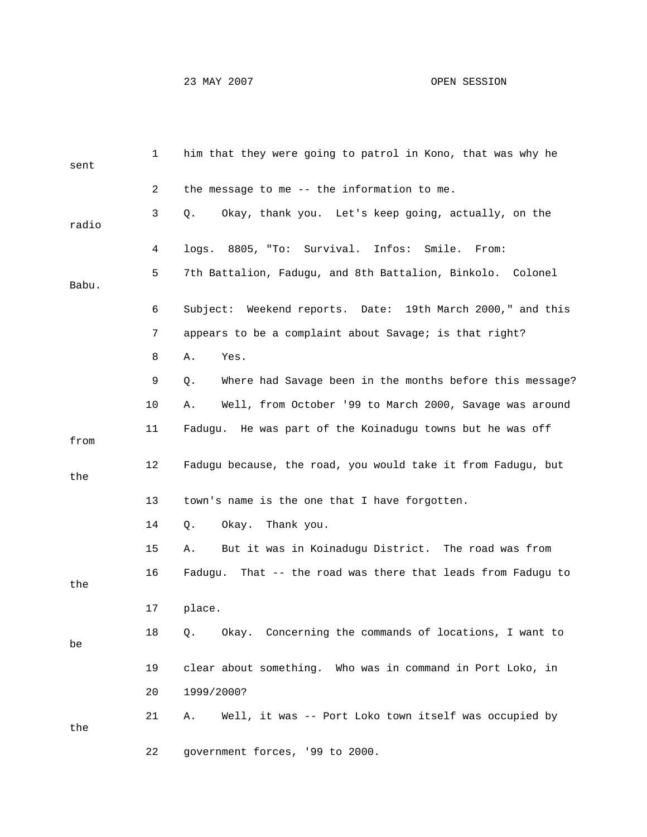## 23 MAY 2007 OPEN SESSION

| sent  | $\mathbf{1}$ | him that they were going to patrol in Kono, that was why he     |
|-------|--------------|-----------------------------------------------------------------|
|       | 2            | the message to me -- the information to me.                     |
| radio | 3            | Okay, thank you. Let's keep going, actually, on the<br>Q.       |
|       | 4            | logs. 8805, "To: Survival. Infos:<br>Smile. From:               |
| Babu. | 5            | 7th Battalion, Fadugu, and 8th Battalion, Binkolo. Colonel      |
|       | 6            | Subject: Weekend reports. Date: 19th March 2000," and this      |
|       | 7            | appears to be a complaint about Savage; is that right?          |
|       | 8            | Yes.<br>Α.                                                      |
|       | 9            | Where had Savage been in the months before this message?<br>Q.  |
|       | 10           | Well, from October '99 to March 2000, Savage was around<br>Α.   |
| from  | 11           | Fadugu. He was part of the Koinadugu towns but he was off       |
| the   | 12           | Fadugu because, the road, you would take it from Fadugu, but    |
|       | 13           | town's name is the one that I have forgotten.                   |
|       | 14           | Okay. Thank you.<br>Q.                                          |
|       | 15           | But it was in Koinadugu District. The road was from<br>Α.       |
| the   | 16           | That -- the road was there that leads from Fadugu to<br>Faduqu. |
|       | 17           | place.                                                          |
| be    | 18           | Okay. Concerning the commands of locations, I want to<br>$Q$ .  |
|       | 19           | clear about something. Who was in command in Port Loko, in      |
|       | 20           | 1999/2000?                                                      |
| the   | 21           | Well, it was -- Port Loko town itself was occupied by<br>Α.     |
|       | 22           | government forces, '99 to 2000.                                 |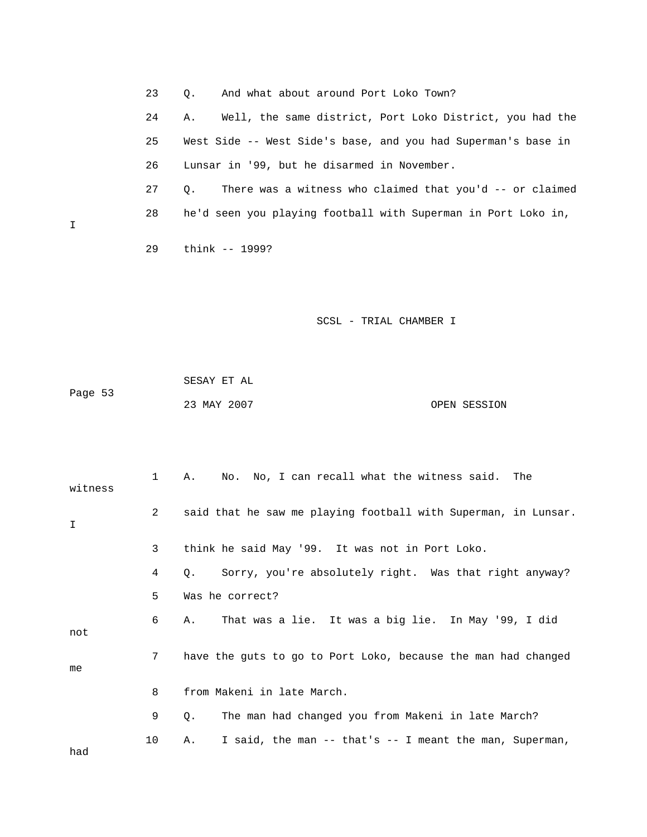23 Q. And what about around Port Loko Town? 24 A. Well, the same district, Port Loko District, you had the 25 West Side -- West Side's base, and you had Superman's base in 26 Lunsar in '99, but he disarmed in November. 27 Q. There was a witness who claimed that you'd -- or claimed 28 he'd seen you playing football with Superman in Port Loko in, 29 think -- 1999?

SCSL - TRIAL CHAMBER I

|         | SESAY ET AL |              |
|---------|-------------|--------------|
| Page 53 |             |              |
|         | 23 MAY 2007 | OPEN SESSION |

| witness | $\mathbf{1}$ | No. No, I can recall what the witness said. The<br>Α.          |
|---------|--------------|----------------------------------------------------------------|
| T.      | 2            | said that he saw me playing football with Superman, in Lunsar. |
|         | 3            | think he said May '99. It was not in Port Loko.                |
|         | 4            | Sorry, you're absolutely right. Was that right anyway?<br>Q.   |
|         | 5            | Was he correct?                                                |
| not     | 6            | That was a lie. It was a big lie. In May '99, I did<br>Α.      |
| me      | $7^{\circ}$  | have the quts to go to Port Loko, because the man had changed  |
|         | 8            | from Makeni in late March.                                     |
|         | 9            | The man had changed you from Makeni in late March?<br>Q.       |
| had     | 10           | I said, the man -- that's -- I meant the man, Superman,<br>Α.  |

 $\mathbf I$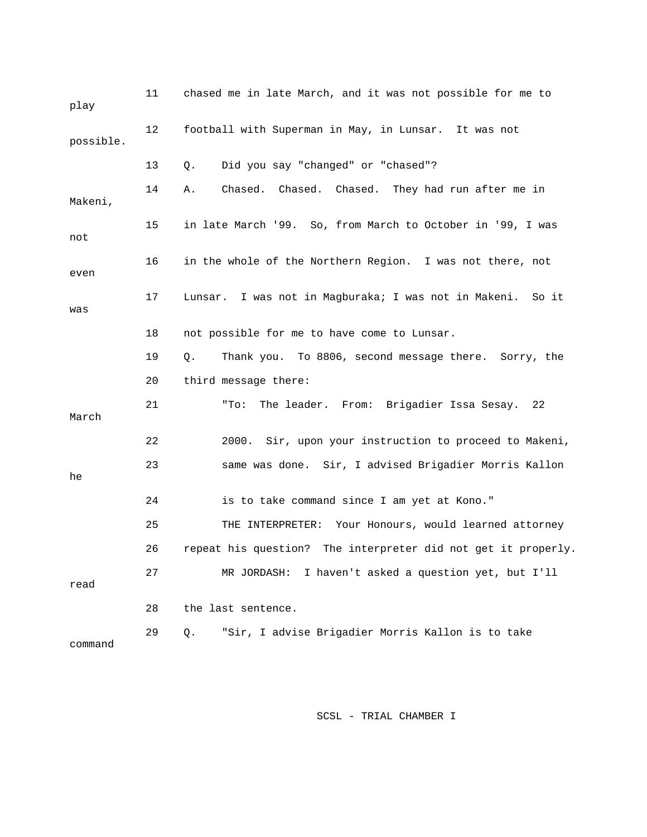| play      | 11 | chased me in late March, and it was not possible for me to    |
|-----------|----|---------------------------------------------------------------|
| possible. | 12 | football with Superman in May, in Lunsar. It was not          |
|           | 13 | Did you say "changed" or "chased"?<br>Q.                      |
| Makeni,   | 14 | Chased. Chased. Chased. They had run after me in<br>Α.        |
| not       | 15 | in late March '99. So, from March to October in '99, I was    |
| even      | 16 | in the whole of the Northern Region. I was not there, not     |
| was       | 17 | Lunsar. I was not in Magburaka; I was not in Makeni. So it    |
|           | 18 | not possible for me to have come to Lunsar.                   |
|           | 19 | Thank you. To 8806, second message there. Sorry, the<br>Q.    |
|           | 20 | third message there:                                          |
| March     | 21 | The leader. From: Brigadier Issa Sesay.<br>"To:<br>22         |
|           | 22 | 2000. Sir, upon your instruction to proceed to Makeni,        |
| he        | 23 | same was done. Sir, I advised Brigadier Morris Kallon         |
|           | 24 | is to take command since I am yet at Kono."                   |
|           | 25 | THE INTERPRETER: Your Honours, would learned attorney         |
|           | 26 | repeat his question? The interpreter did not get it properly. |
| read      | 27 | I haven't asked a question yet, but I'll<br>MR JORDASH:       |
|           | 28 | the last sentence.                                            |
| command   | 29 | "Sir, I advise Brigadier Morris Kallon is to take<br>Q.       |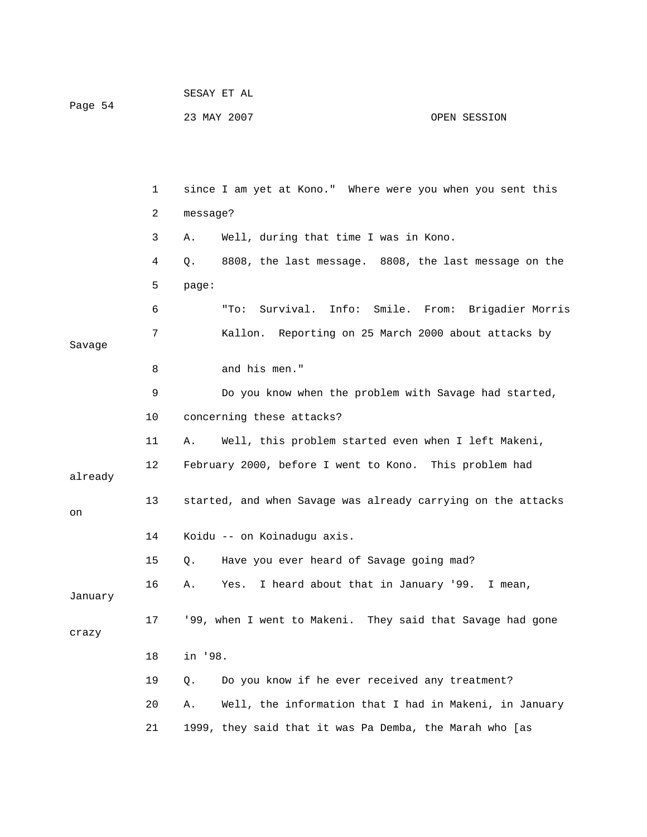| Page 54 | SESAY ET AL |              |
|---------|-------------|--------------|
|         | 23 MAY 2007 | OPEN SESSION |

|         | 1      | since I am yet at Kono." Where were you when you sent this   |  |  |  |  |  |  |  |  |
|---------|--------|--------------------------------------------------------------|--|--|--|--|--|--|--|--|
|         | 2      | message?                                                     |  |  |  |  |  |  |  |  |
|         | 3      | Well, during that time I was in Kono.<br>Α.                  |  |  |  |  |  |  |  |  |
|         | 4      | 8808, the last message. 8808, the last message on the<br>Q.  |  |  |  |  |  |  |  |  |
|         | 5      | page:                                                        |  |  |  |  |  |  |  |  |
|         | 6      | Survival. Info: Smile. From: Brigadier Morris<br>"To:        |  |  |  |  |  |  |  |  |
| Savage  | 7      | Kallon. Reporting on 25 March 2000 about attacks by          |  |  |  |  |  |  |  |  |
|         | 8      | and his men."                                                |  |  |  |  |  |  |  |  |
|         | 9      | Do you know when the problem with Savage had started,        |  |  |  |  |  |  |  |  |
|         | 10     | concerning these attacks?                                    |  |  |  |  |  |  |  |  |
|         | 11     | Well, this problem started even when I left Makeni,<br>Α.    |  |  |  |  |  |  |  |  |
| already | 12     | February 2000, before I went to Kono. This problem had       |  |  |  |  |  |  |  |  |
| on      | 13     | started, and when Savage was already carrying on the attacks |  |  |  |  |  |  |  |  |
|         | 14     | Koidu -- on Koinadugu axis.                                  |  |  |  |  |  |  |  |  |
|         | 15     | Have you ever heard of Savage going mad?<br>Q.               |  |  |  |  |  |  |  |  |
| January | 16     | Yes. I heard about that in January '99. I mean,<br>Α.        |  |  |  |  |  |  |  |  |
| crazy   | 17     | '99, when I went to Makeni. They said that Savage had gone   |  |  |  |  |  |  |  |  |
|         | $18\,$ | in '98.                                                      |  |  |  |  |  |  |  |  |
|         | 19     | Q.<br>Do you know if he ever received any treatment?         |  |  |  |  |  |  |  |  |
|         | 20     | Well, the information that I had in Makeni, in January<br>Α. |  |  |  |  |  |  |  |  |
|         | 21     | 1999, they said that it was Pa Demba, the Marah who [as      |  |  |  |  |  |  |  |  |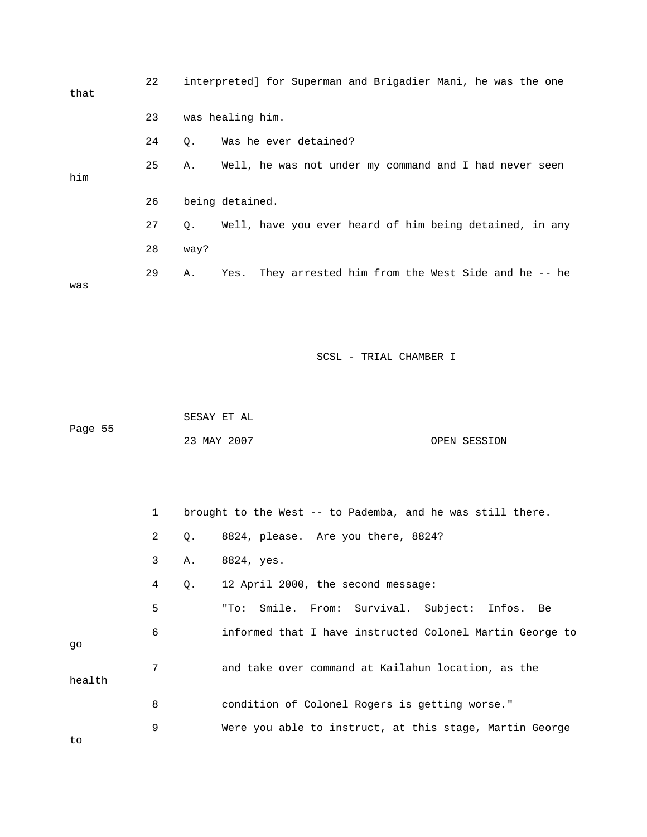| that | 22 |           | interpreted] for Superman and Brigadier Mani, he was the one |  |  |  |  |  |  |
|------|----|-----------|--------------------------------------------------------------|--|--|--|--|--|--|
|      | 23 |           | was healing him.                                             |  |  |  |  |  |  |
|      | 24 | 0.        | Was he ever detained?                                        |  |  |  |  |  |  |
| him  | 25 | Α.        | Well, he was not under my command and I had never seen       |  |  |  |  |  |  |
|      | 26 |           | being detained.                                              |  |  |  |  |  |  |
|      | 27 | $\circ$ . | Well, have you ever heard of him being detained, in any      |  |  |  |  |  |  |
|      | 28 | way?      |                                                              |  |  |  |  |  |  |
| was  | 29 | Α.        | Yes. They arrested him from the West Side and he -- he       |  |  |  |  |  |  |

|         | SESAY ET AL |              |
|---------|-------------|--------------|
| Page 55 |             |              |
|         | 23 MAY 2007 | OPEN SESSION |

|        | $1 \quad$    |    | brought to the West -- to Pademba, and he was still there. |
|--------|--------------|----|------------------------------------------------------------|
|        | $\mathbf{2}$ | Q. | 8824, please. Are you there, 8824?                         |
|        | 3            | Α. | 8824, yes.                                                 |
|        | 4            | Q. | 12 April 2000, the second message:                         |
|        | 5            |    | "To: Smile. From: Survival. Subject: Infos. Be             |
| qo     | 6            |    | informed that I have instructed Colonel Martin George to   |
| health | 7            |    | and take over command at Kailahun location, as the         |
|        | 8            |    | condition of Colonel Rogers is getting worse."             |
|        | 9            |    | Were you able to instruct, at this stage, Martin George    |

to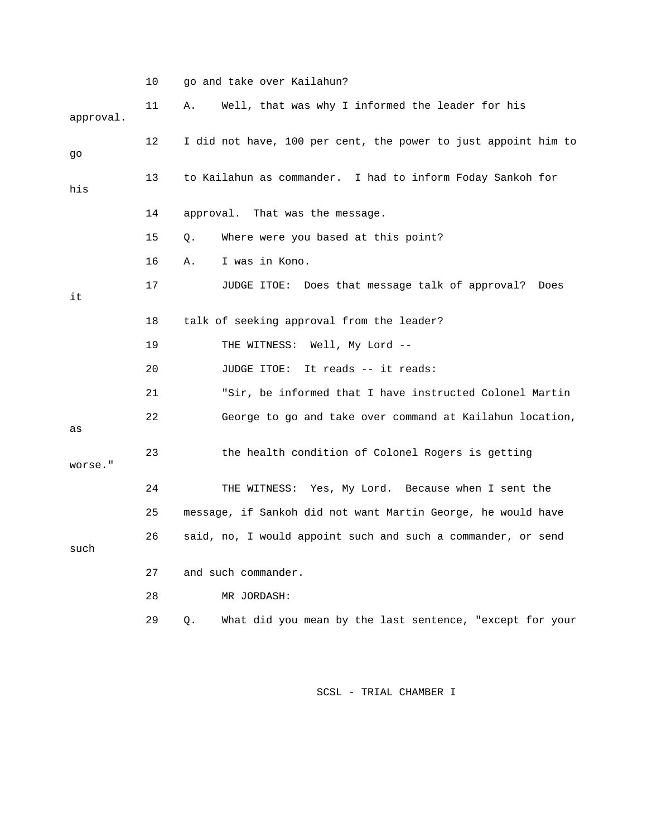|           | 10              | go and take over Kailahun?                                     |
|-----------|-----------------|----------------------------------------------------------------|
| approval. | 11              | Well, that was why I informed the leader for his<br>Α.         |
| go        | 12              | I did not have, 100 per cent, the power to just appoint him to |
| his       | 13 <sup>°</sup> | to Kailahun as commander. I had to inform Foday Sankoh for     |
|           | 14              | approval. That was the message.                                |
|           | 15              | Where were you based at this point?<br>Q.                      |
|           | 16              | I was in Kono.<br>Α.                                           |
| it        | 17              | JUDGE ITOE: Does that message talk of approval?<br>Does        |
|           | 18              | talk of seeking approval from the leader?                      |
|           | 19              | THE WITNESS: Well, My Lord --                                  |
|           | 20              | JUDGE ITOE: It reads -- it reads:                              |
|           | 21              | "Sir, be informed that I have instructed Colonel Martin        |
| as        | 22              | George to go and take over command at Kailahun location,       |
| worse."   | 23              | the health condition of Colonel Rogers is getting              |
|           | 24              | THE WITNESS: Yes, My Lord. Because when I sent the             |
|           | 25              | message, if Sankoh did not want Martin George, he would have   |
| such      | 26              | said, no, I would appoint such and such a commander, or send   |
|           | 27              | and such commander.                                            |
|           | 28              | MR JORDASH:                                                    |
|           | 29              | What did you mean by the last sentence, "except for your<br>Q. |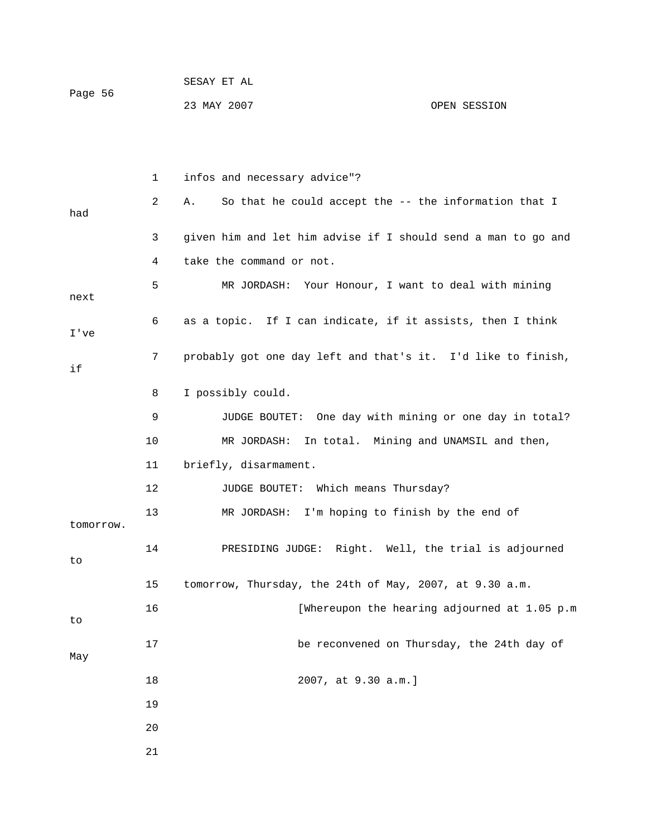|         | SESAY ET AL |              |
|---------|-------------|--------------|
| Page 56 |             |              |
|         | 23 MAY 2007 | OPEN SESSION |

|           | 1      | infos and necessary advice"?                                  |
|-----------|--------|---------------------------------------------------------------|
| had       | 2      | So that he could accept the -- the information that I<br>Α.   |
|           | 3      | given him and let him advise if I should send a man to go and |
|           | 4      | take the command or not.                                      |
| next      | 5      | MR JORDASH: Your Honour, I want to deal with mining           |
| I've      | 6      | as a topic. If I can indicate, if it assists, then I think    |
| if        | 7      | probably got one day left and that's it. I'd like to finish,  |
|           | 8      | I possibly could.                                             |
|           | 9      | One day with mining or one day in total?<br>JUDGE BOUTET:     |
|           | 10     | In total. Mining and UNAMSIL and then,<br>MR JORDASH:         |
|           | 11     | briefly, disarmament.                                         |
|           | 12     | JUDGE BOUTET: Which means Thursday?                           |
| tomorrow. | 13     | MR JORDASH: I'm hoping to finish by the end of                |
| to        | 14     | PRESIDING JUDGE: Right. Well, the trial is adjourned          |
|           | 15     | tomorrow, Thursday, the 24th of May, 2007, at 9.30 a.m.       |
| to        | 16     | [Whereupon the hearing adjourned at 1.05 p.m                  |
| May       | $17\,$ | be reconvened on Thursday, the 24th day of                    |
|           | $18\,$ | 2007, at 9.30 a.m.]                                           |
|           | 19     |                                                               |
|           | 20     |                                                               |
|           | 21     |                                                               |